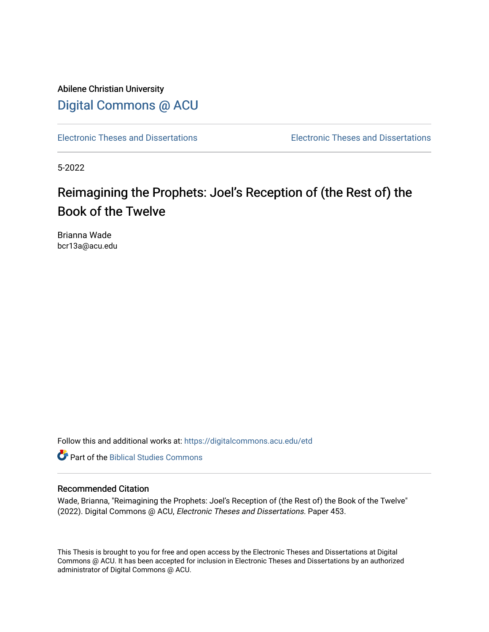Abilene Christian University [Digital Commons @ ACU](https://digitalcommons.acu.edu/)

[Electronic Theses and Dissertations](https://digitalcommons.acu.edu/etd) [Electronic Theses and Dissertations](https://digitalcommons.acu.edu/graduate_works) 

5-2022

# Reimagining the Prophets: Joel's Reception of (the Rest of) the Book of the Twelve

Brianna Wade bcr13a@acu.edu

Follow this and additional works at: [https://digitalcommons.acu.edu/etd](https://digitalcommons.acu.edu/etd?utm_source=digitalcommons.acu.edu%2Fetd%2F453&utm_medium=PDF&utm_campaign=PDFCoverPages) 

**C** Part of the Biblical Studies Commons

#### Recommended Citation

Wade, Brianna, "Reimagining the Prophets: Joel's Reception of (the Rest of) the Book of the Twelve" (2022). Digital Commons @ ACU, Electronic Theses and Dissertations. Paper 453.

This Thesis is brought to you for free and open access by the Electronic Theses and Dissertations at Digital Commons @ ACU. It has been accepted for inclusion in Electronic Theses and Dissertations by an authorized administrator of Digital Commons @ ACU.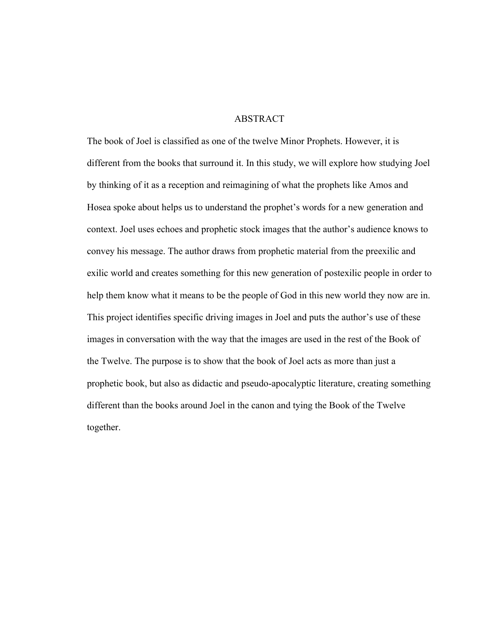### ABSTRACT

The book of Joel is classified as one of the twelve Minor Prophets. However, it is different from the books that surround it. In this study, we will explore how studying Joel by thinking of it as a reception and reimagining of what the prophets like Amos and Hosea spoke about helps us to understand the prophet's words for a new generation and context. Joel uses echoes and prophetic stock images that the author's audience knows to convey his message. The author draws from prophetic material from the preexilic and exilic world and creates something for this new generation of postexilic people in order to help them know what it means to be the people of God in this new world they now are in. This project identifies specific driving images in Joel and puts the author's use of these images in conversation with the way that the images are used in the rest of the Book of the Twelve. The purpose is to show that the book of Joel acts as more than just a prophetic book, but also as didactic and pseudo-apocalyptic literature, creating something different than the books around Joel in the canon and tying the Book of the Twelve together.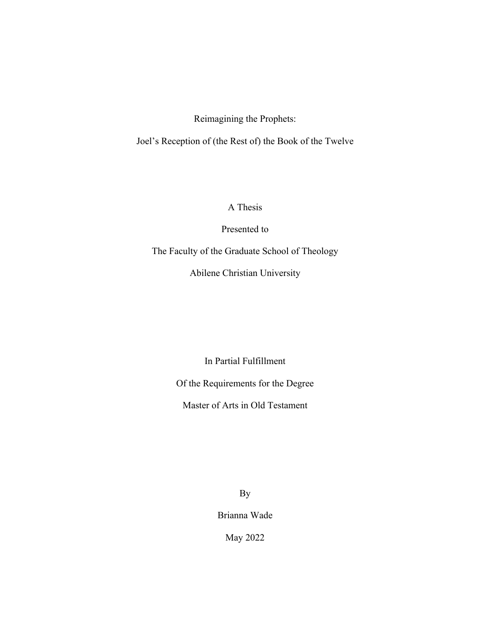Reimagining the Prophets:

Joel's Reception of (the Rest of) the Book of the Twelve

A Thesis

Presented to

The Faculty of the Graduate School of Theology

Abilene Christian University

In Partial Fulfillment

Of the Requirements for the Degree

Master of Arts in Old Testament

By

Brianna Wade

May 2022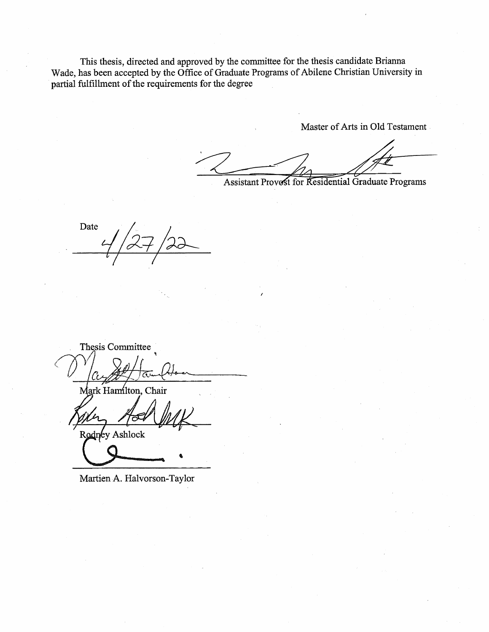This thesis, directed and approved by the committee for the thesis candidate Brianna Wade, has been accepted by the Office of Graduate Programs of Abilene Christian University in partial fulfillment of the requirements for the degree

Master of Arts in Old Testament

Assistant Provest for Residential Graduate Programs

Date

Thesis Committee Mark Hamilton, Chair

Rodney Ashlock

Martien A. Halvorson-Taylor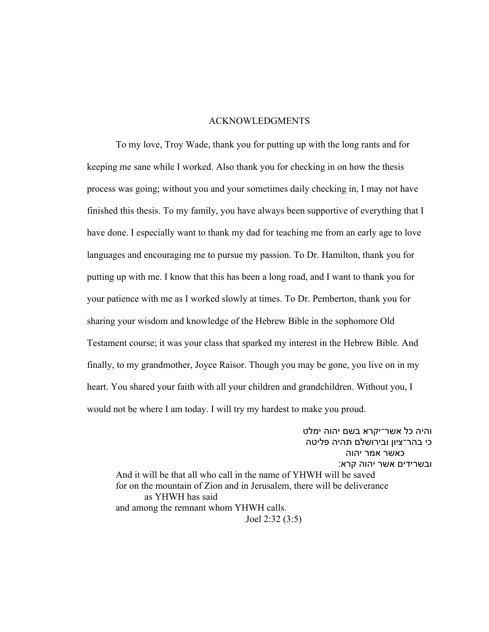#### ACKNOWLEDGMENTS

To my love, Troy Wade, thank you for putting up with the long rants and for keeping me sane while I worked. Also thank you for checking in on how the thesis process was going; without you and your sometimes daily checking in, I may not have finished this thesis. To my family, you have always been supportive of everything that I have done. I especially want to thank my dad for teaching me from an early age to love languages and encouraging me to pursue my passion. To Dr. Hamilton, thank you for putting up with me. I know that this has been a long road, and I want to thank you for your patience with me as I worked slowly at times. To Dr. Pemberton, thank you for sharing your wisdom and knowledge of the Hebrew Bible in the sophomore Old Testament course; it was your class that sparked my interest in the Hebrew Bible. And finally, to my grandmother, Joyce Raisor. Though you may be gone, you live on in my heart. You shared your faith with all your children and grandchildren. Without you, I would not be where I am today. I will try my hardest to make you proud.

והיה כל אשר־יקרא בשם יהוה ימלט כי בהר־ציון ובירושלם תהיה פליטה כאשר אמר יהוה ובשרידים אשר יהוה קרא: And it will be that all who call in the name of YHWH will be saved for on the mountain of Zion and in Jerusalem, there will be deliverance as YHWH has said and among the remnant whom YHWH calls. Joel 2:32 (3:5)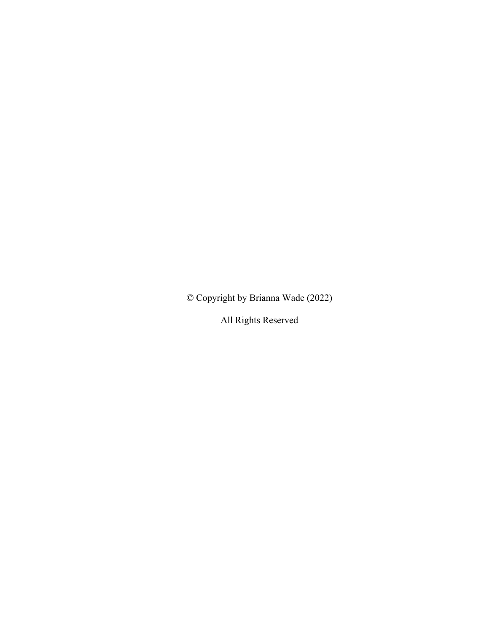© Copyright by Brianna Wade (2022)

All Rights Reserved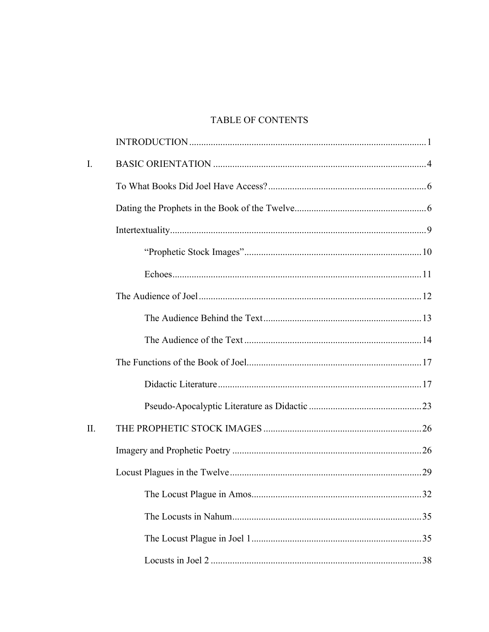## TABLE OF CONTENTS

| $\mathbf{I}$ . |    |
|----------------|----|
|                |    |
|                |    |
|                |    |
|                |    |
|                |    |
|                |    |
|                |    |
|                |    |
|                |    |
|                |    |
|                |    |
| II.            |    |
|                |    |
|                |    |
|                | 32 |
|                |    |
|                |    |
|                |    |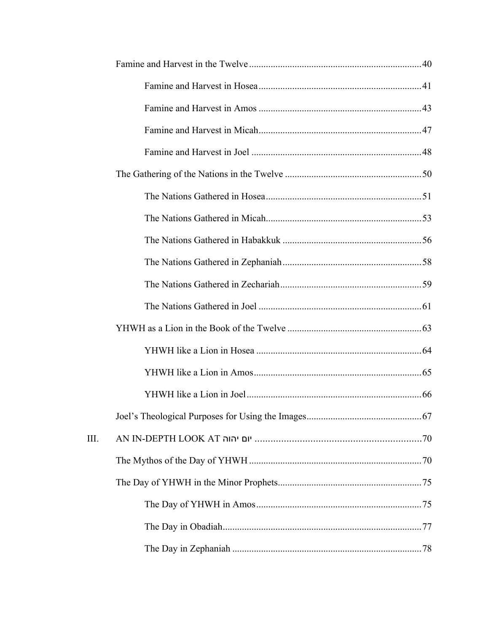| III. |  |
|------|--|
|      |  |
|      |  |
|      |  |
|      |  |
|      |  |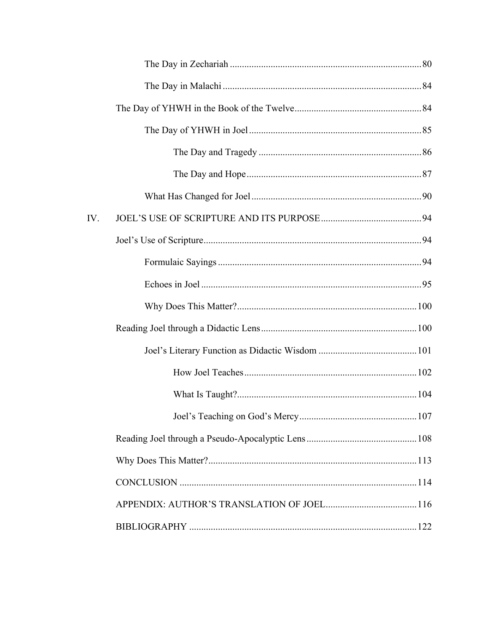| IV. |  |
|-----|--|
|     |  |
|     |  |
|     |  |
|     |  |
|     |  |
|     |  |
|     |  |
|     |  |
|     |  |
|     |  |
|     |  |
|     |  |
|     |  |
|     |  |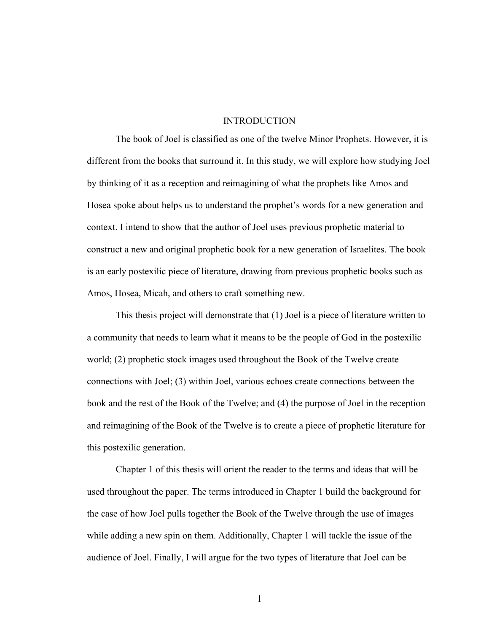#### **INTRODUCTION**

The book of Joel is classified as one of the twelve Minor Prophets. However, it is different from the books that surround it. In this study, we will explore how studying Joel by thinking of it as a reception and reimagining of what the prophets like Amos and Hosea spoke about helps us to understand the prophet's words for a new generation and context. I intend to show that the author of Joel uses previous prophetic material to construct a new and original prophetic book for a new generation of Israelites. The book is an early postexilic piece of literature, drawing from previous prophetic books such as Amos, Hosea, Micah, and others to craft something new.

This thesis project will demonstrate that (1) Joel is a piece of literature written to a community that needs to learn what it means to be the people of God in the postexilic world; (2) prophetic stock images used throughout the Book of the Twelve create connections with Joel; (3) within Joel, various echoes create connections between the book and the rest of the Book of the Twelve; and (4) the purpose of Joel in the reception and reimagining of the Book of the Twelve is to create a piece of prophetic literature for this postexilic generation.

Chapter 1 of this thesis will orient the reader to the terms and ideas that will be used throughout the paper. The terms introduced in Chapter 1 build the background for the case of how Joel pulls together the Book of the Twelve through the use of images while adding a new spin on them. Additionally, Chapter 1 will tackle the issue of the audience of Joel. Finally, I will argue for the two types of literature that Joel can be

1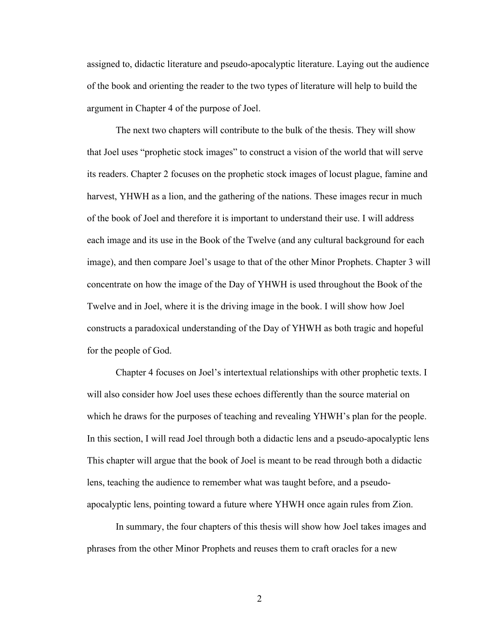assigned to, didactic literature and pseudo-apocalyptic literature. Laying out the audience of the book and orienting the reader to the two types of literature will help to build the argument in Chapter 4 of the purpose of Joel.

The next two chapters will contribute to the bulk of the thesis. They will show that Joel uses "prophetic stock images" to construct a vision of the world that will serve its readers. Chapter 2 focuses on the prophetic stock images of locust plague, famine and harvest, YHWH as a lion, and the gathering of the nations. These images recur in much of the book of Joel and therefore it is important to understand their use. I will address each image and its use in the Book of the Twelve (and any cultural background for each image), and then compare Joel's usage to that of the other Minor Prophets. Chapter 3 will concentrate on how the image of the Day of YHWH is used throughout the Book of the Twelve and in Joel, where it is the driving image in the book. I will show how Joel constructs a paradoxical understanding of the Day of YHWH as both tragic and hopeful for the people of God.

Chapter 4 focuses on Joel's intertextual relationships with other prophetic texts. I will also consider how Joel uses these echoes differently than the source material on which he draws for the purposes of teaching and revealing YHWH's plan for the people. In this section, I will read Joel through both a didactic lens and a pseudo-apocalyptic lens This chapter will argue that the book of Joel is meant to be read through both a didactic lens, teaching the audience to remember what was taught before, and a pseudoapocalyptic lens, pointing toward a future where YHWH once again rules from Zion.

In summary, the four chapters of this thesis will show how Joel takes images and phrases from the other Minor Prophets and reuses them to craft oracles for a new

2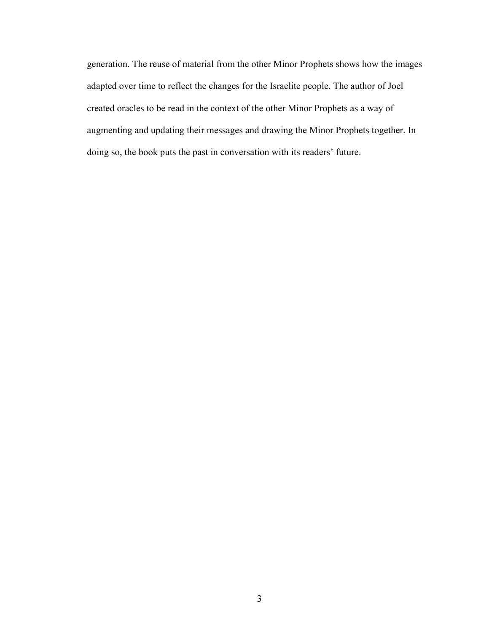generation. The reuse of material from the other Minor Prophets shows how the images adapted over time to reflect the changes for the Israelite people. The author of Joel created oracles to be read in the context of the other Minor Prophets as a way of augmenting and updating their messages and drawing the Minor Prophets together. In doing so, the book puts the past in conversation with its readers' future.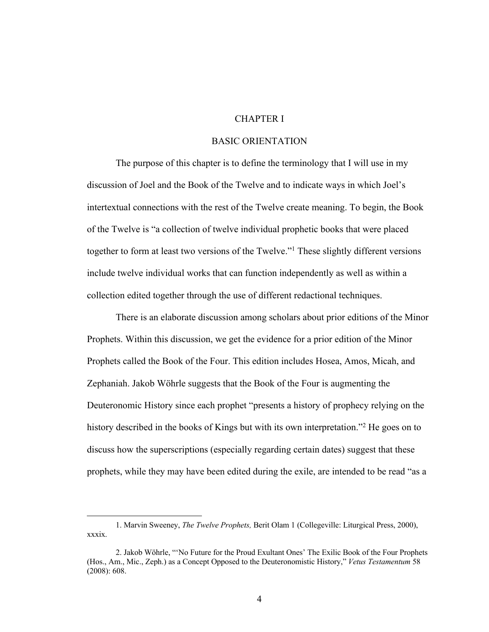## CHAPTER I

## BASIC ORIENTATION

The purpose of this chapter is to define the terminology that I will use in my discussion of Joel and the Book of the Twelve and to indicate ways in which Joel's intertextual connections with the rest of the Twelve create meaning. To begin, the Book of the Twelve is "a collection of twelve individual prophetic books that were placed together to form at least two versions of the Twelve."1 These slightly different versions include twelve individual works that can function independently as well as within a collection edited together through the use of different redactional techniques.

There is an elaborate discussion among scholars about prior editions of the Minor Prophets. Within this discussion, we get the evidence for a prior edition of the Minor Prophets called the Book of the Four. This edition includes Hosea, Amos, Micah, and Zephaniah. Jakob Wöhrle suggests that the Book of the Four is augmenting the Deuteronomic History since each prophet "presents a history of prophecy relying on the history described in the books of Kings but with its own interpretation."<sup>2</sup> He goes on to discuss how the superscriptions (especially regarding certain dates) suggest that these prophets, while they may have been edited during the exile, are intended to be read "as a

<sup>1.</sup> Marvin Sweeney, *The Twelve Prophets,* Berit Olam 1 (Collegeville: Liturgical Press, 2000), xxxix.

<sup>2.</sup> Jakob Wöhrle, "'No Future for the Proud Exultant Ones' The Exilic Book of the Four Prophets (Hos., Am., Mic., Zeph.) as a Concept Opposed to the Deuteronomistic History," *Vetus Testamentum* 58 (2008): 608.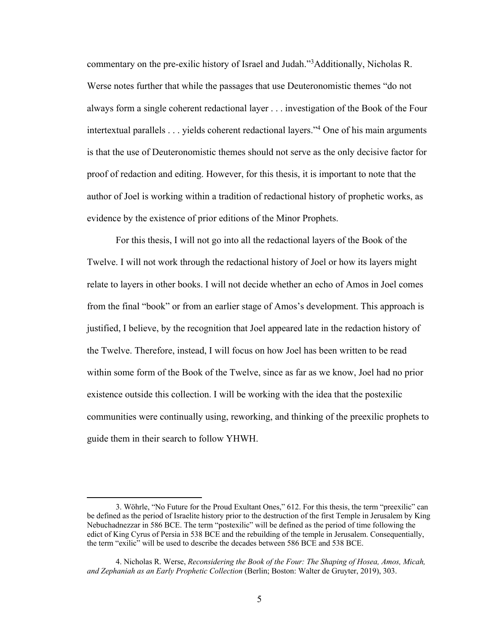commentary on the pre-exilic history of Israel and Judah."3 Additionally, Nicholas R. Werse notes further that while the passages that use Deuteronomistic themes "do not always form a single coherent redactional layer . . . investigation of the Book of the Four intertextual parallels . . . yields coherent redactional layers."4 One of his main arguments is that the use of Deuteronomistic themes should not serve as the only decisive factor for proof of redaction and editing. However, for this thesis, it is important to note that the author of Joel is working within a tradition of redactional history of prophetic works, as evidence by the existence of prior editions of the Minor Prophets.

For this thesis, I will not go into all the redactional layers of the Book of the Twelve. I will not work through the redactional history of Joel or how its layers might relate to layers in other books. I will not decide whether an echo of Amos in Joel comes from the final "book" or from an earlier stage of Amos's development. This approach is justified, I believe, by the recognition that Joel appeared late in the redaction history of the Twelve. Therefore, instead, I will focus on how Joel has been written to be read within some form of the Book of the Twelve, since as far as we know, Joel had no prior existence outside this collection. I will be working with the idea that the postexilic communities were continually using, reworking, and thinking of the preexilic prophets to guide them in their search to follow YHWH.

<sup>3.</sup> Wöhrle, "No Future for the Proud Exultant Ones," 612. For this thesis, the term "preexilic" can be defined as the period of Israelite history prior to the destruction of the first Temple in Jerusalem by King Nebuchadnezzar in 586 BCE. The term "postexilic" will be defined as the period of time following the edict of King Cyrus of Persia in 538 BCE and the rebuilding of the temple in Jerusalem. Consequentially, the term "exilic" will be used to describe the decades between 586 BCE and 538 BCE.

<sup>4.</sup> Nicholas R. Werse, *Reconsidering the Book of the Four: The Shaping of Hosea, Amos, Micah, and Zephaniah as an Early Prophetic Collection* (Berlin; Boston: Walter de Gruyter, 2019), 303.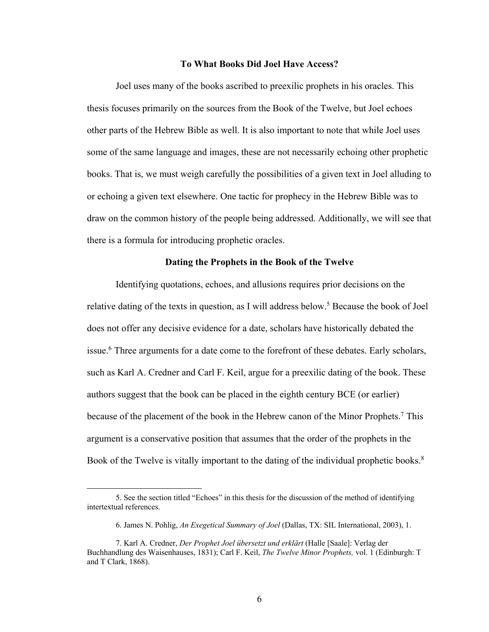#### **To What Books Did Joel Have Access?**

Joel uses many of the books ascribed to preexilic prophets in his oracles. This thesis focuses primarily on the sources from the Book of the Twelve, but Joel echoes other parts of the Hebrew Bible as well. It is also important to note that while Joel uses some of the same language and images, these are not necessarily echoing other prophetic books. That is, we must weigh carefully the possibilities of a given text in Joel alluding to or echoing a given text elsewhere. One tactic for prophecy in the Hebrew Bible was to draw on the common history of the people being addressed. Additionally, we will see that there is a formula for introducing prophetic oracles.

## **Dating the Prophets in the Book of the Twelve**

Identifying quotations, echoes, and allusions requires prior decisions on the relative dating of the texts in question, as I will address below. <sup>5</sup> Because the book of Joel does not offer any decisive evidence for a date, scholars have historically debated the issue. <sup>6</sup> Three arguments for a date come to the forefront of these debates. Early scholars, such as Karl A. Credner and Carl F. Keil, argue for a preexilic dating of the book. These authors suggest that the book can be placed in the eighth century BCE (or earlier) because of the placement of the book in the Hebrew canon of the Minor Prophets.<sup>7</sup> This argument is a conservative position that assumes that the order of the prophets in the Book of the Twelve is vitally important to the dating of the individual prophetic books.<sup>8</sup>

<sup>5.</sup> See the section titled "Echoes" in this thesis for the discussion of the method of identifying intertextual references.

<sup>6.</sup> James N. Pohlig, *An Exegetical Summary of Joel* (Dallas, TX: SIL International, 2003), 1.

<sup>7.</sup> Karl A. Credner, *Der Prophet Joel übersetzt und erklärt* (Halle [Saale]: Verlag der Buchhandlung des Waisenhauses, 1831); Carl F. Keil, *The Twelve Minor Prophets,* vol. 1 (Edinburgh: T and T Clark, 1868).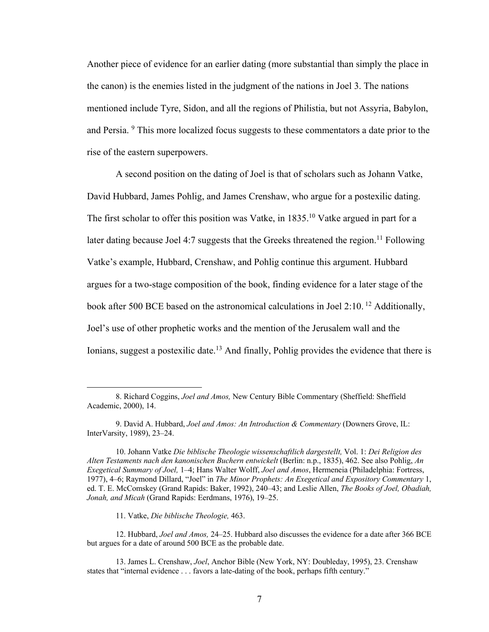Another piece of evidence for an earlier dating (more substantial than simply the place in the canon) is the enemies listed in the judgment of the nations in Joel 3. The nations mentioned include Tyre, Sidon, and all the regions of Philistia, but not Assyria, Babylon, and Persia. 9 This more localized focus suggests to these commentators a date prior to the rise of the eastern superpowers.

A second position on the dating of Joel is that of scholars such as Johann Vatke, David Hubbard, James Pohlig, and James Crenshaw, who argue for a postexilic dating. The first scholar to offer this position was Vatke, in  $1835$ <sup>10</sup> Vatke argued in part for a later dating because Joel 4:7 suggests that the Greeks threatened the region.<sup>11</sup> Following Vatke's example, Hubbard, Crenshaw, and Pohlig continue this argument. Hubbard argues for a two-stage composition of the book, finding evidence for a later stage of the book after 500 BCE based on the astronomical calculations in Joel 2:10. <sup>12</sup> Additionally, Joel's use of other prophetic works and the mention of the Jerusalem wall and the Ionians, suggest a postexilic date.<sup>13</sup> And finally, Pohlig provides the evidence that there is

11. Vatke, *Die biblische Theologie,* 463.

<sup>8.</sup> Richard Coggins, *Joel and Amos,* New Century Bible Commentary (Sheffield: Sheffield Academic, 2000), 14.

<sup>9.</sup> David A. Hubbard, *Joel and Amos: An Introduction & Commentary* (Downers Grove, IL: InterVarsity, 1989), 23–24.

<sup>10.</sup> Johann Vatke *Die biblische Theologie wissenschaftlich dargestellt,* Vol. 1: *Dei Religion des Alten Testaments nach den kanonischen Buchern entwickelt* (Berlin: n.p., 1835), 462. See also Pohlig, *An Exegetical Summary of Joel,* 1–4; Hans Walter Wolff, *Joel and Amos*, Hermeneia (Philadelphia: Fortress, 1977), 4–6; Raymond Dillard, "Joel" in *The Minor Prophets: An Exegetical and Expository Commentary* 1, ed. T. E. McComskey (Grand Rapids: Baker, 1992), 240–43; and Leslie Allen, *The Books of Joel, Obadiah, Jonah, and Micah* (Grand Rapids: Eerdmans, 1976), 19–25.

<sup>12.</sup> Hubbard, *Joel and Amos,* 24–25. Hubbard also discusses the evidence for a date after 366 BCE but argues for a date of around 500 BCE as the probable date.

<sup>13.</sup> James L. Crenshaw, *Joel*, Anchor Bible (New York, NY: Doubleday, 1995), 23. Crenshaw states that "internal evidence . . . favors a late-dating of the book, perhaps fifth century."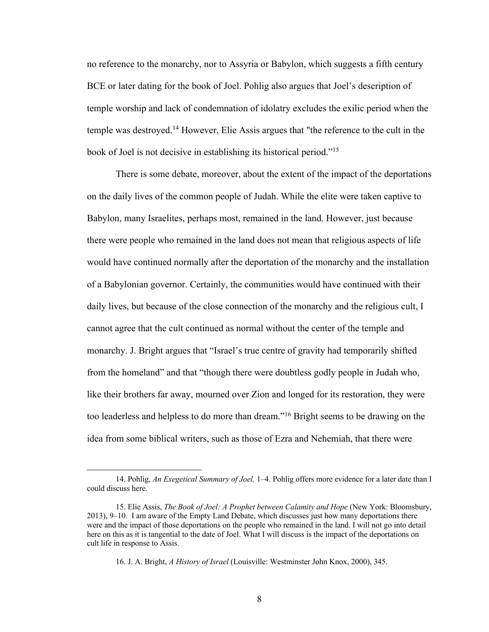no reference to the monarchy, nor to Assyria or Babylon, which suggests a fifth century BCE or later dating for the book of Joel. Pohlig also argues that Joel's description of temple worship and lack of condemnation of idolatry excludes the exilic period when the temple was destroyed.14 However, Elie Assis argues that "the reference to the cult in the book of Joel is not decisive in establishing its historical period."15

There is some debate, moreover, about the extent of the impact of the deportations on the daily lives of the common people of Judah. While the elite were taken captive to Babylon, many Israelites, perhaps most, remained in the land. However, just because there were people who remained in the land does not mean that religious aspects of life would have continued normally after the deportation of the monarchy and the installation of a Babylonian governor. Certainly, the communities would have continued with their daily lives, but because of the close connection of the monarchy and the religious cult, I cannot agree that the cult continued as normal without the center of the temple and monarchy. J. Bright argues that "Israel's true centre of gravity had temporarily shifted from the homeland" and that "though there were doubtless godly people in Judah who, like their brothers far away, mourned over Zion and longed for its restoration, they were too leaderless and helpless to do more than dream."16 Bright seems to be drawing on the idea from some biblical writers, such as those of Ezra and Nehemiah, that there were

<sup>14.</sup> Pohlig, *An Exegetical Summary of Joel,* 1–4. Pohlig offers more evidence for a later date than I could discuss here.

<sup>15.</sup> Elie Assis, *The Book of Joel: A Prophet between Calamity and Hope* (New York: Bloomsbury, 2013), 9–10. I am aware of the Empty Land Debate, which discusses just how many deportations there were and the impact of those deportations on the people who remained in the land. I will not go into detail here on this as it is tangential to the date of Joel. What I will discuss is the impact of the deportations on cult life in response to Assis.

<sup>16.</sup> J. A. Bright, *A History of Israel* (Louisville: Westminster John Knox, 2000), 345.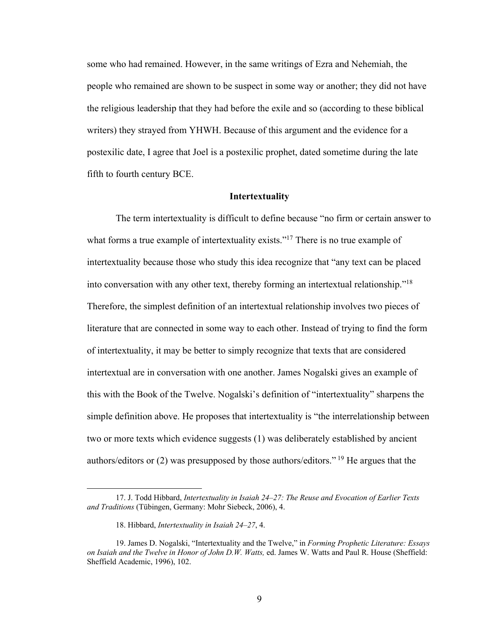some who had remained. However, in the same writings of Ezra and Nehemiah, the people who remained are shown to be suspect in some way or another; they did not have the religious leadership that they had before the exile and so (according to these biblical writers) they strayed from YHWH. Because of this argument and the evidence for a postexilic date, I agree that Joel is a postexilic prophet, dated sometime during the late fifth to fourth century BCE.

#### **Intertextuality**

The term intertextuality is difficult to define because "no firm or certain answer to what forms a true example of intertextuality exists."<sup>17</sup> There is no true example of intertextuality because those who study this idea recognize that "any text can be placed into conversation with any other text, thereby forming an intertextual relationship."18 Therefore, the simplest definition of an intertextual relationship involves two pieces of literature that are connected in some way to each other. Instead of trying to find the form of intertextuality, it may be better to simply recognize that texts that are considered intertextual are in conversation with one another. James Nogalski gives an example of this with the Book of the Twelve. Nogalski's definition of "intertextuality" sharpens the simple definition above. He proposes that intertextuality is "the interrelationship between two or more texts which evidence suggests (1) was deliberately established by ancient authors/editors or (2) was presupposed by those authors/editors." <sup>19</sup> He argues that the

<sup>17.</sup> J. Todd Hibbard, *Intertextuality in Isaiah 24–27: The Reuse and Evocation of Earlier Texts and Traditions* (Tübingen, Germany: Mohr Siebeck, 2006), 4.

<sup>18.</sup> Hibbard, *Intertextuality in Isaiah 24–27*, 4.

<sup>19.</sup> James D. Nogalski, "Intertextuality and the Twelve," in *Forming Prophetic Literature: Essays on Isaiah and the Twelve in Honor of John D.W. Watts,* ed. James W. Watts and Paul R. House (Sheffield: Sheffield Academic, 1996), 102.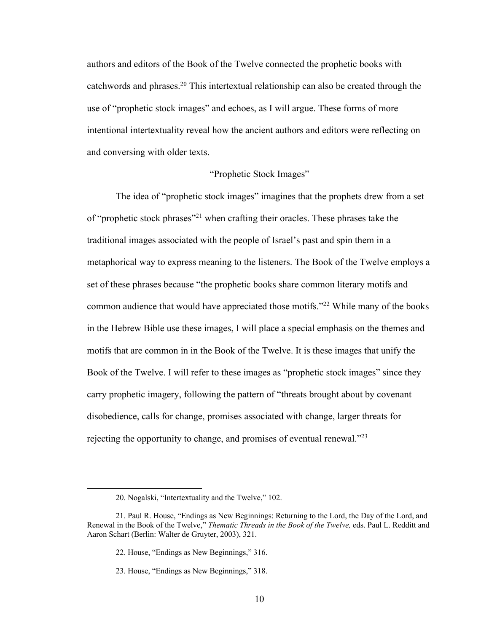authors and editors of the Book of the Twelve connected the prophetic books with catchwords and phrases.20 This intertextual relationship can also be created through the use of "prophetic stock images" and echoes, as I will argue. These forms of more intentional intertextuality reveal how the ancient authors and editors were reflecting on and conversing with older texts.

#### "Prophetic Stock Images"

The idea of "prophetic stock images" imagines that the prophets drew from a set of "prophetic stock phrases"21 when crafting their oracles. These phrases take the traditional images associated with the people of Israel's past and spin them in a metaphorical way to express meaning to the listeners. The Book of the Twelve employs a set of these phrases because "the prophetic books share common literary motifs and common audience that would have appreciated those motifs."22 While many of the books in the Hebrew Bible use these images, I will place a special emphasis on the themes and motifs that are common in in the Book of the Twelve. It is these images that unify the Book of the Twelve. I will refer to these images as "prophetic stock images" since they carry prophetic imagery, following the pattern of "threats brought about by covenant disobedience, calls for change, promises associated with change, larger threats for rejecting the opportunity to change, and promises of eventual renewal."<sup>23</sup>

<sup>20.</sup> Nogalski, "Intertextuality and the Twelve," 102.

<sup>21.</sup> Paul R. House, "Endings as New Beginnings: Returning to the Lord, the Day of the Lord, and Renewal in the Book of the Twelve," *Thematic Threads in the Book of the Twelve,* eds. Paul L. Redditt and Aaron Schart (Berlin: Walter de Gruyter, 2003), 321.

<sup>22.</sup> House, "Endings as New Beginnings," 316.

<sup>23.</sup> House, "Endings as New Beginnings," 318.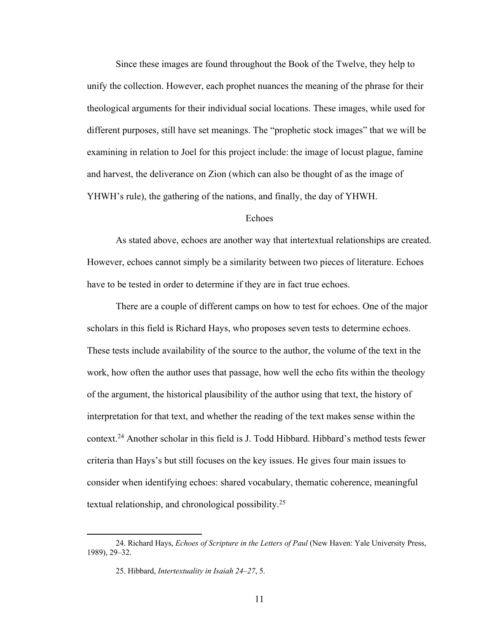Since these images are found throughout the Book of the Twelve, they help to unify the collection. However, each prophet nuances the meaning of the phrase for their theological arguments for their individual social locations. These images, while used for different purposes, still have set meanings. The "prophetic stock images" that we will be examining in relation to Joel for this project include: the image of locust plague, famine and harvest, the deliverance on Zion (which can also be thought of as the image of YHWH's rule), the gathering of the nations, and finally, the day of YHWH.

#### Echoes

As stated above, echoes are another way that intertextual relationships are created. However, echoes cannot simply be a similarity between two pieces of literature. Echoes have to be tested in order to determine if they are in fact true echoes.

There are a couple of different camps on how to test for echoes. One of the major scholars in this field is Richard Hays, who proposes seven tests to determine echoes. These tests include availability of the source to the author, the volume of the text in the work, how often the author uses that passage, how well the echo fits within the theology of the argument, the historical plausibility of the author using that text, the history of interpretation for that text, and whether the reading of the text makes sense within the context.24 Another scholar in this field is J. Todd Hibbard. Hibbard's method tests fewer criteria than Hays's but still focuses on the key issues. He gives four main issues to consider when identifying echoes: shared vocabulary, thematic coherence, meaningful textual relationship, and chronological possibility.25

<sup>24.</sup> Richard Hays, *Echoes of Scripture in the Letters of Paul* (New Haven: Yale University Press, 1989), 29–32.

<sup>25.</sup> Hibbard, *Intertextuality in Isaiah 24–27*, 5.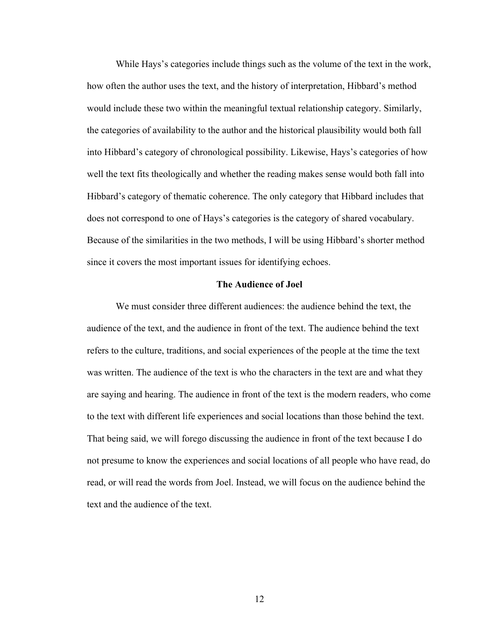While Hays's categories include things such as the volume of the text in the work, how often the author uses the text, and the history of interpretation, Hibbard's method would include these two within the meaningful textual relationship category. Similarly, the categories of availability to the author and the historical plausibility would both fall into Hibbard's category of chronological possibility. Likewise, Hays's categories of how well the text fits theologically and whether the reading makes sense would both fall into Hibbard's category of thematic coherence. The only category that Hibbard includes that does not correspond to one of Hays's categories is the category of shared vocabulary. Because of the similarities in the two methods, I will be using Hibbard's shorter method since it covers the most important issues for identifying echoes.

#### **The Audience of Joel**

We must consider three different audiences: the audience behind the text, the audience of the text, and the audience in front of the text. The audience behind the text refers to the culture, traditions, and social experiences of the people at the time the text was written. The audience of the text is who the characters in the text are and what they are saying and hearing. The audience in front of the text is the modern readers, who come to the text with different life experiences and social locations than those behind the text. That being said, we will forego discussing the audience in front of the text because I do not presume to know the experiences and social locations of all people who have read, do read, or will read the words from Joel. Instead, we will focus on the audience behind the text and the audience of the text.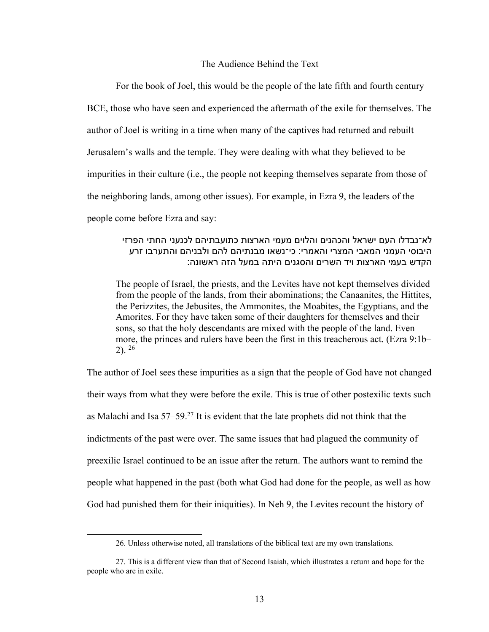#### The Audience Behind the Text

For the book of Joel, this would be the people of the late fifth and fourth century BCE, those who have seen and experienced the aftermath of the exile for themselves. The author of Joel is writing in a time when many of the captives had returned and rebuilt Jerusalem's walls and the temple. They were dealing with what they believed to be impurities in their culture (i.e., the people not keeping themselves separate from those of the neighboring lands, among other issues). For example, in Ezra 9, the leaders of the people come before Ezra and say:

## לא־נבדלו העם ישראל והכהנים והלוים מעמי הארצות כתועבתיהם לכנעני החתי הפרזי היבוסי העמני המאבי המצרי והאמרי: כי־נשאו מבנתיהם להם ולבניהם והתערבו זרע הקדש בעמי הארצות ויד השרים והסגנים היתה במעל הזה ראשונה:

The people of Israel, the priests, and the Levites have not kept themselves divided from the people of the lands, from their abominations; the Canaanites, the Hittites, the Perizzites, the Jebusites, the Ammonites, the Moabites, the Egyptians, and the Amorites. For they have taken some of their daughters for themselves and their sons, so that the holy descendants are mixed with the people of the land. Even more, the princes and rulers have been the first in this treacherous act. (Ezra 9:1b–  $2)$ .  $^{26}$ 

The author of Joel sees these impurities as a sign that the people of God have not changed their ways from what they were before the exile. This is true of other postexilic texts such as Malachi and Isa  $57-59$ <sup>27</sup> It is evident that the late prophets did not think that the indictments of the past were over. The same issues that had plagued the community of preexilic Israel continued to be an issue after the return. The authors want to remind the people what happened in the past (both what God had done for the people, as well as how God had punished them for their iniquities). In Neh 9, the Levites recount the history of

<sup>26.</sup> Unless otherwise noted, all translations of the biblical text are my own translations.

<sup>27.</sup> This is a different view than that of Second Isaiah, which illustrates a return and hope for the people who are in exile.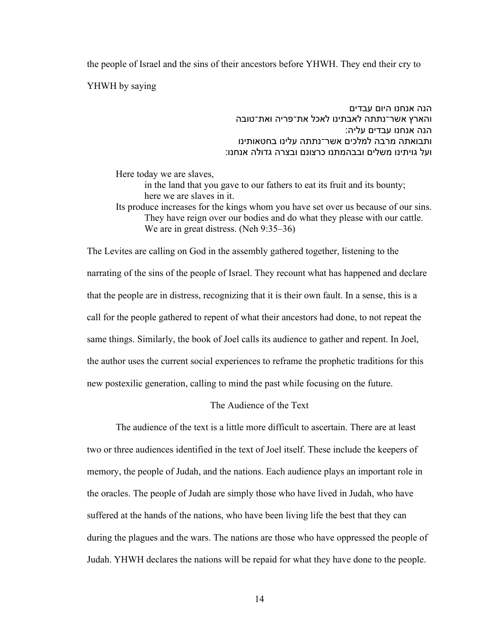the people of Israel and the sins of their ancestors before YHWH. They end their cry to

YHWH by saying

הנה אנחנו היום עבדים והארץ אשר־נתתה לאבתינו לאכל את־פריה ואת־טובה הנה אנחנו עבדים עליה: ותבואתה מרבה למלכים אשר־נתתה עלינו בחטאותינו ועל גויתינו משלים ובבהמתנו כרצונם ובצרה גדולה אנחנו:

Here today we are slaves,

in the land that you gave to our fathers to eat its fruit and its bounty; here we are slaves in it.

Its produce increases for the kings whom you have set over us because of our sins. They have reign over our bodies and do what they please with our cattle. We are in great distress. (Neh 9:35–36)

The Levites are calling on God in the assembly gathered together, listening to the narrating of the sins of the people of Israel. They recount what has happened and declare that the people are in distress, recognizing that it is their own fault. In a sense, this is a call for the people gathered to repent of what their ancestors had done, to not repeat the same things. Similarly, the book of Joel calls its audience to gather and repent. In Joel, the author uses the current social experiences to reframe the prophetic traditions for this new postexilic generation, calling to mind the past while focusing on the future.

## The Audience of the Text

The audience of the text is a little more difficult to ascertain. There are at least two or three audiences identified in the text of Joel itself. These include the keepers of memory, the people of Judah, and the nations. Each audience plays an important role in the oracles. The people of Judah are simply those who have lived in Judah, who have suffered at the hands of the nations, who have been living life the best that they can during the plagues and the wars. The nations are those who have oppressed the people of Judah. YHWH declares the nations will be repaid for what they have done to the people.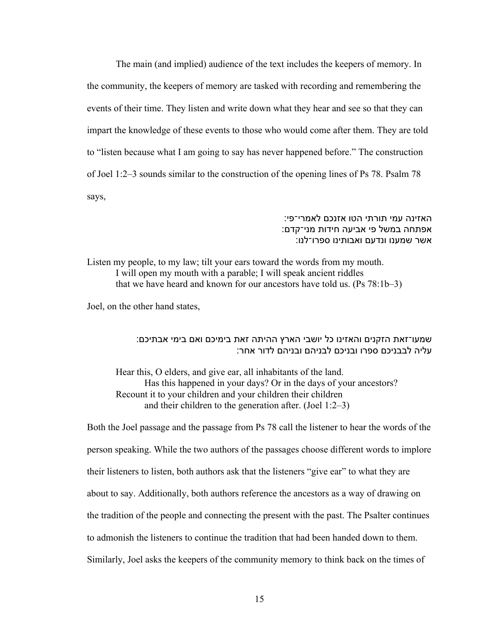The main (and implied) audience of the text includes the keepers of memory. In the community, the keepers of memory are tasked with recording and remembering the events of their time. They listen and write down what they hear and see so that they can impart the knowledge of these events to those who would come after them. They are told to "listen because what I am going to say has never happened before." The construction of Joel 1:2–3 sounds similar to the construction of the opening lines of Ps 78. Psalm 78 says,

## האזינה עמי תורתי הטו אזנכם לאמרי־פי: אפתחה במשל פי אביעה חידות מני־קדם: אשר שמענו ונדעם ואבותינו ספרו־לנו:

Listen my people, to my law; tilt your ears toward the words from my mouth. I will open my mouth with a parable; I will speak ancient riddles that we have heard and known for our ancestors have told us. (Ps 78:1b–3)

Joel, on the other hand states,

## שמעו־זאת הזקנים והאזינו כל יושבי הארץ ההיתה זאת בימיכם ואם בימי אבתיכם: עליה לבבניכם ספרו ובניכם לבניהם ובניהם לדור אחר:

Hear this, O elders, and give ear, all inhabitants of the land. Has this happened in your days? Or in the days of your ancestors? Recount it to your children and your children their children and their children to the generation after. (Joel 1:2–3)

Both the Joel passage and the passage from Ps 78 call the listener to hear the words of the person speaking. While the two authors of the passages choose different words to implore their listeners to listen, both authors ask that the listeners "give ear" to what they are about to say. Additionally, both authors reference the ancestors as a way of drawing on the tradition of the people and connecting the present with the past. The Psalter continues to admonish the listeners to continue the tradition that had been handed down to them. Similarly, Joel asks the keepers of the community memory to think back on the times of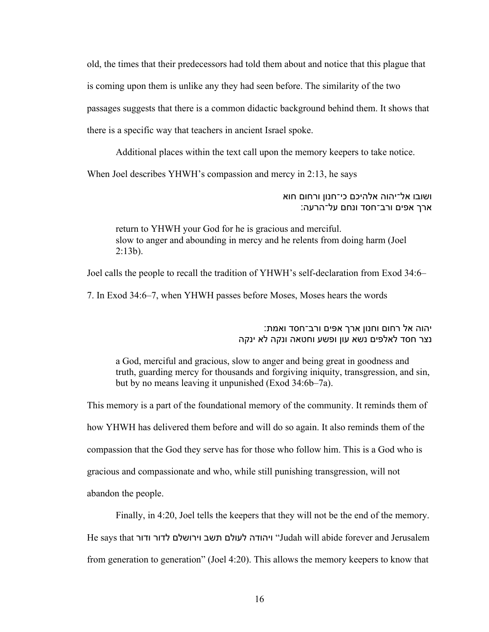old, the times that their predecessors had told them about and notice that this plague that is coming upon them is unlike any they had seen before. The similarity of the two passages suggests that there is a common didactic background behind them. It shows that there is a specific way that teachers in ancient Israel spoke.

Additional places within the text call upon the memory keepers to take notice.

When Joel describes YHWH's compassion and mercy in 2:13, he says

ושובו אל־יהוה אלהיכם כי־חנון ורחום חוא ארך אפים ורב־חסד ונחם על־הרעה:

return to YHWH your God for he is gracious and merciful. slow to anger and abounding in mercy and he relents from doing harm (Joel  $2:13b$ ).

Joel calls the people to recall the tradition of YHWH's self-declaration from Exod 34:6–

7. In Exod 34:6–7, when YHWH passes before Moses, Moses hears the words

יהוה אל רחום וחנון ארך אפים ורב־חסד ואמת: נצר חסד לאלפים נשא עון ופשע וחטאה ונקה לא ינקה

a God, merciful and gracious, slow to anger and being great in goodness and truth, guarding mercy for thousands and forgiving iniquity, transgression, and sin, but by no means leaving it unpunished (Exod 34:6b–7a).

This memory is a part of the foundational memory of the community. It reminds them of how YHWH has delivered them before and will do so again. It also reminds them of the compassion that the God they serve has for those who follow him. This is a God who is gracious and compassionate and who, while still punishing transgression, will not abandon the people.

Finally, in 4:20, Joel tells the keepers that they will not be the end of the memory. He says that ודור ודור ביושלם לדור ודור He says that וו־ Judah will abide forever and Jerusalem from generation to generation" (Joel 4:20). This allows the memory keepers to know that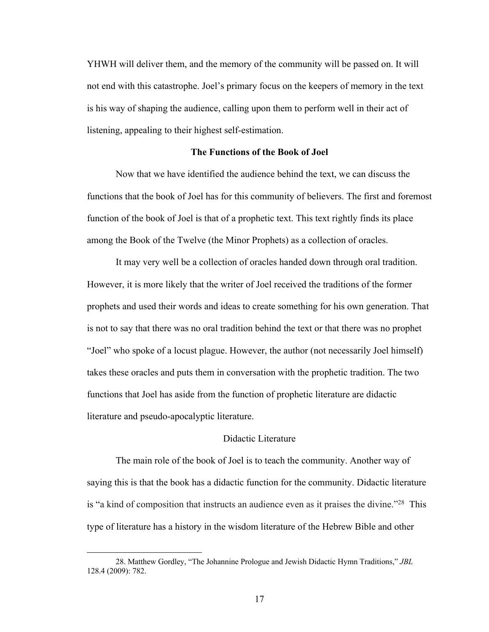YHWH will deliver them, and the memory of the community will be passed on. It will not end with this catastrophe. Joel's primary focus on the keepers of memory in the text is his way of shaping the audience, calling upon them to perform well in their act of listening, appealing to their highest self-estimation.

#### **The Functions of the Book of Joel**

Now that we have identified the audience behind the text, we can discuss the functions that the book of Joel has for this community of believers. The first and foremost function of the book of Joel is that of a prophetic text. This text rightly finds its place among the Book of the Twelve (the Minor Prophets) as a collection of oracles.

It may very well be a collection of oracles handed down through oral tradition. However, it is more likely that the writer of Joel received the traditions of the former prophets and used their words and ideas to create something for his own generation. That is not to say that there was no oral tradition behind the text or that there was no prophet "Joel" who spoke of a locust plague. However, the author (not necessarily Joel himself) takes these oracles and puts them in conversation with the prophetic tradition. The two functions that Joel has aside from the function of prophetic literature are didactic literature and pseudo-apocalyptic literature.

#### Didactic Literature

The main role of the book of Joel is to teach the community. Another way of saying this is that the book has a didactic function for the community. Didactic literature is "a kind of composition that instructs an audience even as it praises the divine."28 This type of literature has a history in the wisdom literature of the Hebrew Bible and other

<sup>28.</sup> Matthew Gordley, "The Johannine Prologue and Jewish Didactic Hymn Traditions," *JBL* 128.4 (2009): 782.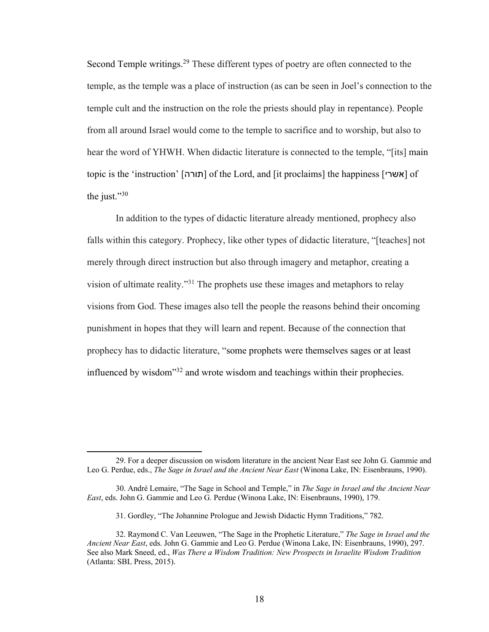Second Temple writings.<sup>29</sup> These different types of poetry are often connected to the temple, as the temple was a place of instruction (as can be seen in Joel's connection to the temple cult and the instruction on the role the priests should play in repentance). People from all around Israel would come to the temple to sacrifice and to worship, but also to hear the word of YHWH. When didactic literature is connected to the temple, "[its] main topic is the 'instruction' [תורה] of the Lord, and [it proclaims] the happiness [אשרי] of the just."30

In addition to the types of didactic literature already mentioned, prophecy also falls within this category. Prophecy, like other types of didactic literature, "[teaches] not merely through direct instruction but also through imagery and metaphor, creating a vision of ultimate reality."31 The prophets use these images and metaphors to relay visions from God. These images also tell the people the reasons behind their oncoming punishment in hopes that they will learn and repent. Because of the connection that prophecy has to didactic literature, "some prophets were themselves sages or at least influenced by wisdom"32 and wrote wisdom and teachings within their prophecies.

<sup>29.</sup> For a deeper discussion on wisdom literature in the ancient Near East see John G. Gammie and Leo G. Perdue, eds., *The Sage in Israel and the Ancient Near East* (Winona Lake, IN: Eisenbrauns, 1990).

<sup>30.</sup> André Lemaire, "The Sage in School and Temple," in *The Sage in Israel and the Ancient Near East*, eds. John G. Gammie and Leo G. Perdue (Winona Lake, IN: Eisenbrauns, 1990), 179.

<sup>31.</sup> Gordley, "The Johannine Prologue and Jewish Didactic Hymn Traditions," 782.

<sup>32.</sup> Raymond C. Van Leeuwen, "The Sage in the Prophetic Literature," *The Sage in Israel and the Ancient Near East*, eds. John G. Gammie and Leo G. Perdue (Winona Lake, IN: Eisenbrauns, 1990), 297. See also Mark Sneed, ed., *Was There a Wisdom Tradition: New Prospects in Israelite Wisdom Tradition* (Atlanta: SBL Press, 2015).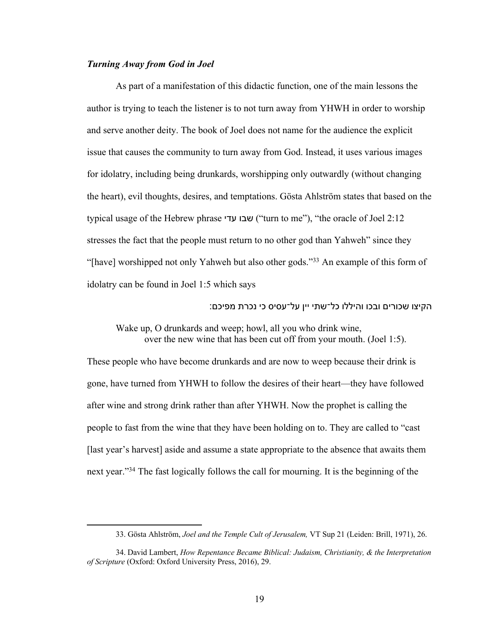#### *Turning Away from God in Joel*

As part of a manifestation of this didactic function, one of the main lessons the author is trying to teach the listener is to not turn away from YHWH in order to worship and serve another deity. The book of Joel does not name for the audience the explicit issue that causes the community to turn away from God. Instead, it uses various images for idolatry, including being drunkards, worshipping only outwardly (without changing the heart), evil thoughts, desires, and temptations. Gösta Ahlström states that based on the typical usage of the Hebrew phrase ובש ידע") turn to me"), "the oracle of Joel 2:12 stresses the fact that the people must return to no other god than Yahweh" since they "[have] worshipped not only Yahweh but also other gods."<sup>33</sup> An example of this form of idolatry can be found in Joel 1:5 which says

הקיצו שכורים ובכו והיללו כל־שתי יין על־עסיס כי נכרת מפיכם:

Wake up, O drunkards and weep; howl, all you who drink wine, over the new wine that has been cut off from your mouth. (Joel 1:5).

These people who have become drunkards and are now to weep because their drink is gone, have turned from YHWH to follow the desires of their heart—they have followed after wine and strong drink rather than after YHWH. Now the prophet is calling the people to fast from the wine that they have been holding on to. They are called to "cast [last year's harvest] aside and assume a state appropriate to the absence that awaits them next year."34 The fast logically follows the call for mourning. It is the beginning of the

<sup>33.</sup> Gösta Ahlström, *Joel and the Temple Cult of Jerusalem,* VT Sup 21 (Leiden: Brill, 1971), 26.

<sup>34.</sup> David Lambert, *How Repentance Became Biblical: Judaism, Christianity, & the Interpretation of Scripture* (Oxford: Oxford University Press, 2016), 29.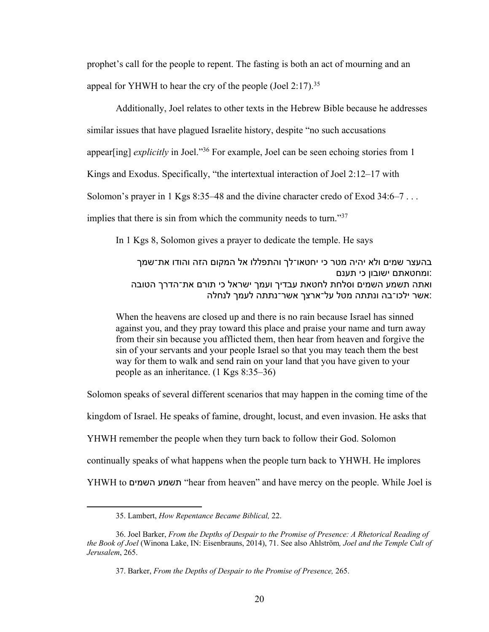prophet's call for the people to repent. The fasting is both an act of mourning and an appeal for YHWH to hear the cry of the people (Joel 2:17).<sup>35</sup>

Additionally, Joel relates to other texts in the Hebrew Bible because he addresses similar issues that have plagued Israelite history, despite "no such accusations appear[ing] *explicitly* in Joel."36 For example, Joel can be seen echoing stories from 1 Kings and Exodus. Specifically, "the intertextual interaction of Joel 2:12–17 with Solomon's prayer in 1 Kgs 8:35–48 and the divine character credo of Exod 34:6–7... implies that there is sin from which the community needs to turn."37

In 1 Kgs 8, Solomon gives a prayer to dedicate the temple. He says

בהעצר שמים ולא יהיה מטר כי יחטאו־לך והתפללו אל המקום הזה והודו את־שמך ומחטאתם ישובון כי תענם: ואתה תשמע השמים וסלחת לחטאת עבדיך ועמך ישראל כי תורם את־הדרך הטובה אשר ילכו־בה ונתתה מטל על־ארצך אשר־נתתה לעמך לנחלה:

When the heavens are closed up and there is no rain because Israel has sinned against you, and they pray toward this place and praise your name and turn away from their sin because you afflicted them, then hear from heaven and forgive the sin of your servants and your people Israel so that you may teach them the best way for them to walk and send rain on your land that you have given to your people as an inheritance. (1 Kgs 8:35–36)

Solomon speaks of several different scenarios that may happen in the coming time of the kingdom of Israel. He speaks of famine, drought, locust, and even invasion. He asks that YHWH remember the people when they turn back to follow their God. Solomon continually speaks of what happens when the people turn back to YHWH. He implores YHWH to םימשה עמשת" hear from heaven" and have mercy on the people. While Joel is

<sup>35.</sup> Lambert, *How Repentance Became Biblical,* 22.

<sup>36.</sup> Joel Barker, *From the Depths of Despair to the Promise of Presence: A Rhetorical Reading of the Book of Joel* (Winona Lake, IN: Eisenbrauns, 2014), 71. See also Ahlström*, Joel and the Temple Cult of Jerusalem*, 265.

<sup>37.</sup> Barker, *From the Depths of Despair to the Promise of Presence,* 265.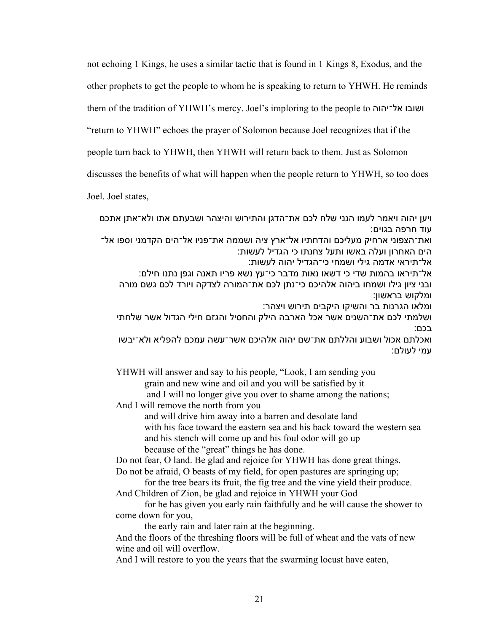not echoing 1 Kings, he uses a similar tactic that is found in 1 Kings 8, Exodus, and the

other prophets to get the people to whom he is speaking to return to YHWH. He reminds

them of the tradition of YHWH's mercy. Joel's imploring to the people to ושובו אל־יהוה

"return to YHWH" echoes the prayer of Solomon because Joel recognizes that if the

people turn back to YHWH, then YHWH will return back to them. Just as Solomon

discusses the benefits of what will happen when the people return to YHWH, so too does

Joel. Joel states,

ויען יהוה ויאמר לעמו הנני שלח לכם את־הדגן והתירוש והיצהר ושבעתם אתו ולא־אתן אתכם עוד חרפה בגוים:

ואת־הצפוני ארחיק מעליכם והדחתיו אל־ארץ ציה ושממה את־פניו אל־הים הקדמני וספו אל־ הים האחרון ועלה באשו ותעל צחנתו כי הגדיל לעשות:

אל־תיראי אדמה גילי ושמחי כי־הגדיל יהוה לעשות:

אל־תיראו בהמות שדי כי דשאו נאות מדבר כי־עץ נשא פריו תאנה וגפן נתנו חילם: ובני ציון גילו ושמחו ביהוה אלהיכם כי־נתן לכם את־המורה לצדקה ויורד לכם גשם מורה ומלקוש בראשון:

ומלאו הגרנות בר והשיקו היקבים תירוש ויצהר:

ושלמתי לכם את־השנים אשר אכל הארבה הילק והחסיל והגזם חילי הגדול אשר שלחתי בכם:

ואכלתם אכול ושבוע והללתם את־שם יהוה אלהיכם אשר־עשה עמכם להפליא ולא־יבשו עמי לעולם:

YHWH will answer and say to his people, "Look, I am sending you grain and new wine and oil and you will be satisfied by it and I will no longer give you over to shame among the nations;

And I will remove the north from you

and will drive him away into a barren and desolate land with his face toward the eastern sea and his back toward the western sea and his stench will come up and his foul odor will go up because of the "great" things he has done.

Do not fear, O land. Be glad and rejoice for YHWH has done great things.

Do not be afraid, O beasts of my field, for open pastures are springing up;

for the tree bears its fruit, the fig tree and the vine yield their produce. And Children of Zion, be glad and rejoice in YHWH your God

for he has given you early rain faithfully and he will cause the shower to come down for you,

the early rain and later rain at the beginning.

And the floors of the threshing floors will be full of wheat and the vats of new wine and oil will overflow.

And I will restore to you the years that the swarming locust have eaten,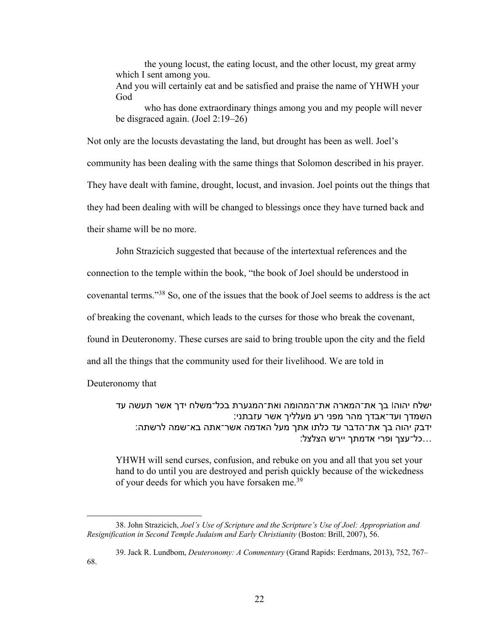the young locust, the eating locust, and the other locust, my great army which I sent among you. And you will certainly eat and be satisfied and praise the name of YHWH your God

who has done extraordinary things among you and my people will never be disgraced again. (Joel 2:19–26)

Not only are the locusts devastating the land, but drought has been as well. Joel's community has been dealing with the same things that Solomon described in his prayer. They have dealt with famine, drought, locust, and invasion. Joel points out the things that they had been dealing with will be changed to blessings once they have turned back and their shame will be no more.

John Strazicich suggested that because of the intertextual references and the

connection to the temple within the book, "the book of Joel should be understood in

covenantal terms."38 So, one of the issues that the book of Joel seems to address is the act

of breaking the covenant, which leads to the curses for those who break the covenant,

found in Deuteronomy. These curses are said to bring trouble upon the city and the field

and all the things that the community used for their livelihood. We are told in

Deuteronomy that

ישלח יהוה! בך את־המארה את־המהומה ואת־המגערת בכל־משלח ידך אשר תעשה עד השמדך ועד־אבדך מהר מפני רע מעלליך אשר עזבתני: ידבק יהוה בך את־הדבר עד כלתו אתך מעל האדמה אשר־אתה בא־שמה לרשתה: ...כל־עצך ופרי אדמתך יירש הצלצל:

YHWH will send curses, confusion, and rebuke on you and all that you set your hand to do until you are destroyed and perish quickly because of the wickedness of your deeds for which you have forsaken me.<sup>39</sup>

<sup>38.</sup> John Strazicich, *Joel's Use of Scripture and the Scripture's Use of Joel: Appropriation and Resignification in Second Temple Judaism and Early Christianity* (Boston: Brill, 2007), 56.

<sup>39.</sup> Jack R. Lundbom, *Deuteronomy: A Commentary* (Grand Rapids: Eerdmans, 2013), 752, 767– 68.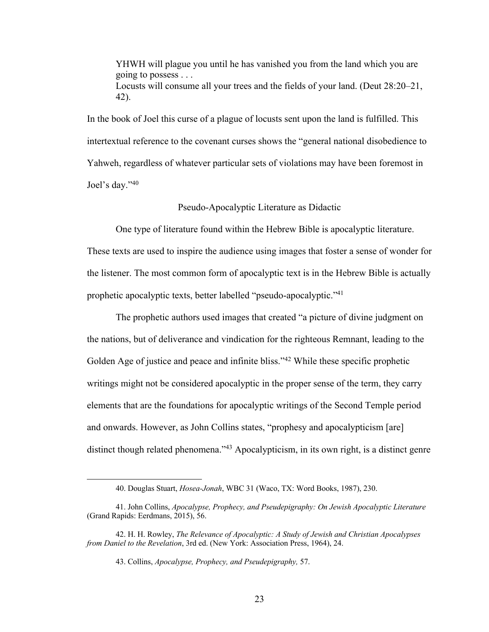YHWH will plague you until he has vanished you from the land which you are going to possess . . . Locusts will consume all your trees and the fields of your land. (Deut 28:20–21, 42).

In the book of Joel this curse of a plague of locusts sent upon the land is fulfilled. This intertextual reference to the covenant curses shows the "general national disobedience to Yahweh, regardless of whatever particular sets of violations may have been foremost in Joel's day."40

#### Pseudo-Apocalyptic Literature as Didactic

One type of literature found within the Hebrew Bible is apocalyptic literature.

These texts are used to inspire the audience using images that foster a sense of wonder for the listener. The most common form of apocalyptic text is in the Hebrew Bible is actually prophetic apocalyptic texts, better labelled "pseudo-apocalyptic."41

The prophetic authors used images that created "a picture of divine judgment on the nations, but of deliverance and vindication for the righteous Remnant, leading to the Golden Age of justice and peace and infinite bliss."<sup>42</sup> While these specific prophetic writings might not be considered apocalyptic in the proper sense of the term, they carry elements that are the foundations for apocalyptic writings of the Second Temple period and onwards. However, as John Collins states, "prophesy and apocalypticism [are] distinct though related phenomena."<sup>43</sup> Apocalypticism, in its own right, is a distinct genre

<sup>40.</sup> Douglas Stuart, *Hosea-Jonah*, WBC 31 (Waco, TX: Word Books, 1987), 230.

<sup>41.</sup> John Collins, *Apocalypse, Prophecy, and Pseudepigraphy: On Jewish Apocalyptic Literature*  (Grand Rapids: Eerdmans, 2015), 56.

<sup>42.</sup> H. H. Rowley, *The Relevance of Apocalyptic: A Study of Jewish and Christian Apocalypses from Daniel to the Revelation*, 3rd ed. (New York: Association Press, 1964), 24.

<sup>43.</sup> Collins, *Apocalypse, Prophecy, and Pseudepigraphy,* 57.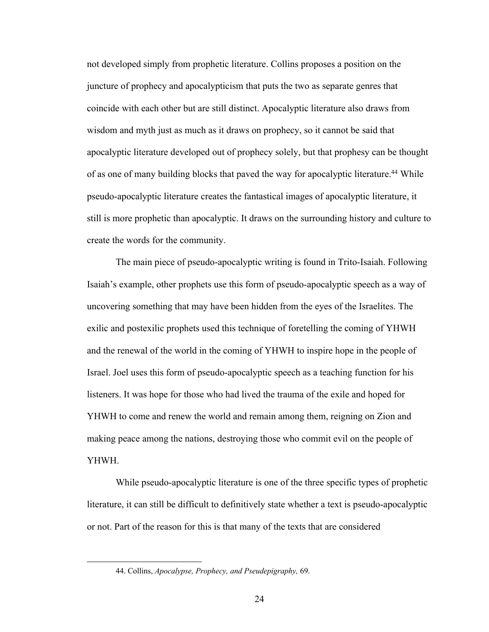not developed simply from prophetic literature. Collins proposes a position on the juncture of prophecy and apocalypticism that puts the two as separate genres that coincide with each other but are still distinct. Apocalyptic literature also draws from wisdom and myth just as much as it draws on prophecy, so it cannot be said that apocalyptic literature developed out of prophecy solely, but that prophesy can be thought of as one of many building blocks that paved the way for apocalyptic literature.<sup>44</sup> While pseudo-apocalyptic literature creates the fantastical images of apocalyptic literature, it still is more prophetic than apocalyptic. It draws on the surrounding history and culture to create the words for the community.

The main piece of pseudo-apocalyptic writing is found in Trito-Isaiah. Following Isaiah's example, other prophets use this form of pseudo-apocalyptic speech as a way of uncovering something that may have been hidden from the eyes of the Israelites. The exilic and postexilic prophets used this technique of foretelling the coming of YHWH and the renewal of the world in the coming of YHWH to inspire hope in the people of Israel. Joel uses this form of pseudo-apocalyptic speech as a teaching function for his listeners. It was hope for those who had lived the trauma of the exile and hoped for YHWH to come and renew the world and remain among them, reigning on Zion and making peace among the nations, destroying those who commit evil on the people of YHWH.

While pseudo-apocalyptic literature is one of the three specific types of prophetic literature, it can still be difficult to definitively state whether a text is pseudo-apocalyptic or not. Part of the reason for this is that many of the texts that are considered

<sup>44.</sup> Collins, *Apocalypse, Prophecy, and Pseudepigraphy,* 69.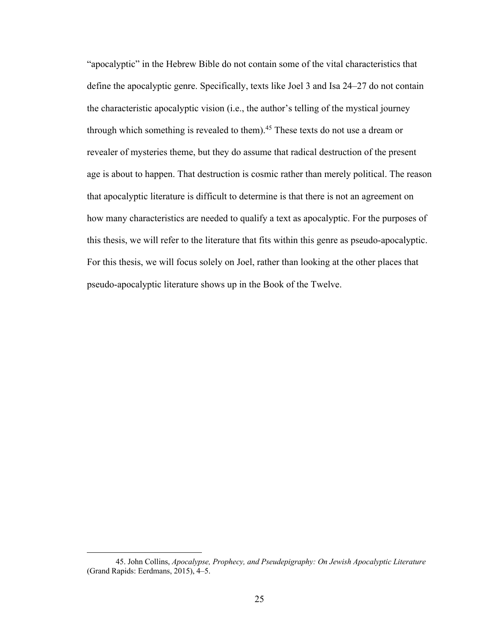"apocalyptic" in the Hebrew Bible do not contain some of the vital characteristics that define the apocalyptic genre. Specifically, texts like Joel 3 and Isa 24–27 do not contain the characteristic apocalyptic vision (i.e., the author's telling of the mystical journey through which something is revealed to them).<sup>45</sup> These texts do not use a dream or revealer of mysteries theme, but they do assume that radical destruction of the present age is about to happen. That destruction is cosmic rather than merely political. The reason that apocalyptic literature is difficult to determine is that there is not an agreement on how many characteristics are needed to qualify a text as apocalyptic. For the purposes of this thesis, we will refer to the literature that fits within this genre as pseudo-apocalyptic. For this thesis, we will focus solely on Joel, rather than looking at the other places that pseudo-apocalyptic literature shows up in the Book of the Twelve.

<sup>45.</sup> John Collins, *Apocalypse, Prophecy, and Pseudepigraphy: On Jewish Apocalyptic Literature*  (Grand Rapids: Eerdmans, 2015), 4–5.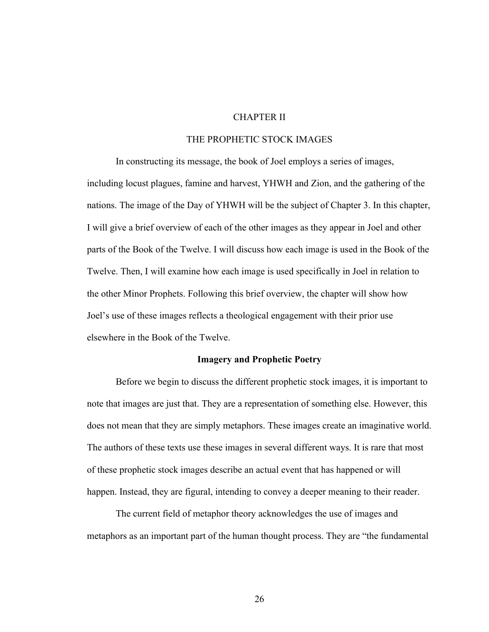#### CHAPTER II

#### THE PROPHETIC STOCK IMAGES

In constructing its message, the book of Joel employs a series of images, including locust plagues, famine and harvest, YHWH and Zion, and the gathering of the nations. The image of the Day of YHWH will be the subject of Chapter 3. In this chapter, I will give a brief overview of each of the other images as they appear in Joel and other parts of the Book of the Twelve. I will discuss how each image is used in the Book of the Twelve. Then, I will examine how each image is used specifically in Joel in relation to the other Minor Prophets. Following this brief overview, the chapter will show how Joel's use of these images reflects a theological engagement with their prior use elsewhere in the Book of the Twelve.

#### **Imagery and Prophetic Poetry**

Before we begin to discuss the different prophetic stock images, it is important to note that images are just that. They are a representation of something else. However, this does not mean that they are simply metaphors. These images create an imaginative world. The authors of these texts use these images in several different ways. It is rare that most of these prophetic stock images describe an actual event that has happened or will happen. Instead, they are figural, intending to convey a deeper meaning to their reader.

The current field of metaphor theory acknowledges the use of images and metaphors as an important part of the human thought process. They are "the fundamental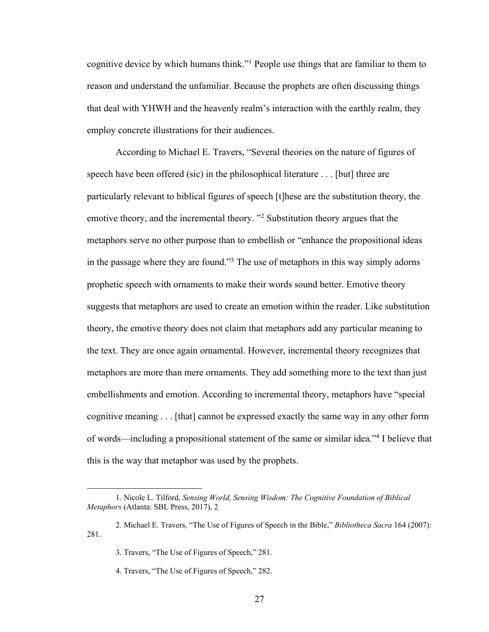cognitive device by which humans think."1 People use things that are familiar to them to reason and understand the unfamiliar. Because the prophets are often discussing things that deal with YHWH and the heavenly realm's interaction with the earthly realm, they employ concrete illustrations for their audiences.

According to Michael E. Travers, "Several theories on the nature of figures of speech have been offered (sic) in the philosophical literature . . . [but] three are particularly relevant to biblical figures of speech [t]hese are the substitution theory, the emotive theory, and the incremental theory. "2 Substitution theory argues that the metaphors serve no other purpose than to embellish or "enhance the propositional ideas in the passage where they are found."3 The use of metaphors in this way simply adorns prophetic speech with ornaments to make their words sound better. Emotive theory suggests that metaphors are used to create an emotion within the reader. Like substitution theory, the emotive theory does not claim that metaphors add any particular meaning to the text. They are once again ornamental. However, incremental theory recognizes that metaphors are more than mere ornaments. They add something more to the text than just embellishments and emotion. According to incremental theory, metaphors have "special cognitive meaning . . . [that] cannot be expressed exactly the same way in any other form of words—including a propositional statement of the same or similar idea."4 I believe that this is the way that metaphor was used by the prophets.

<sup>1.</sup> Nicole L. Tilford, *Sensing World, Sensing Wisdom: The Cognitive Foundation of Biblical Metaphors* (Atlanta: SBL Press, 2017), 2

<sup>2.</sup> Michael E. Travers, "The Use of Figures of Speech in the Bible," *Bibliotheca Sacra* 164 (2007): 281.

<sup>3.</sup> Travers, "The Use of Figures of Speech," 281.

<sup>4.</sup> Travers, "The Use of Figures of Speech," 282.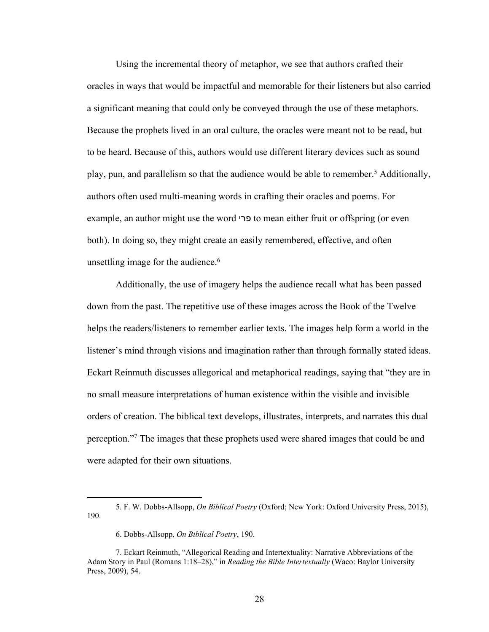Using the incremental theory of metaphor, we see that authors crafted their oracles in ways that would be impactful and memorable for their listeners but also carried a significant meaning that could only be conveyed through the use of these metaphors. Because the prophets lived in an oral culture, the oracles were meant not to be read, but to be heard. Because of this, authors would use different literary devices such as sound play, pun, and parallelism so that the audience would be able to remember.5 Additionally, authors often used multi-meaning words in crafting their oracles and poems. For example, an author might use the word ירפ to mean either fruit or offspring (or even both). In doing so, they might create an easily remembered, effective, and often unsettling image for the audience.<sup>6</sup>

Additionally, the use of imagery helps the audience recall what has been passed down from the past. The repetitive use of these images across the Book of the Twelve helps the readers/listeners to remember earlier texts. The images help form a world in the listener's mind through visions and imagination rather than through formally stated ideas. Eckart Reinmuth discusses allegorical and metaphorical readings, saying that "they are in no small measure interpretations of human existence within the visible and invisible orders of creation. The biblical text develops, illustrates, interprets, and narrates this dual perception."7 The images that these prophets used were shared images that could be and were adapted for their own situations.

<sup>5.</sup> F. W. Dobbs-Allsopp, *On Biblical Poetry* (Oxford; New York: Oxford University Press, 2015), 190.

<sup>6.</sup> Dobbs-Allsopp, *On Biblical Poetry*, 190.

<sup>7.</sup> Eckart Reinmuth, "Allegorical Reading and Intertextuality: Narrative Abbreviations of the Adam Story in Paul (Romans 1:18–28)," in *Reading the Bible Intertextually* (Waco: Baylor University Press, 2009), 54.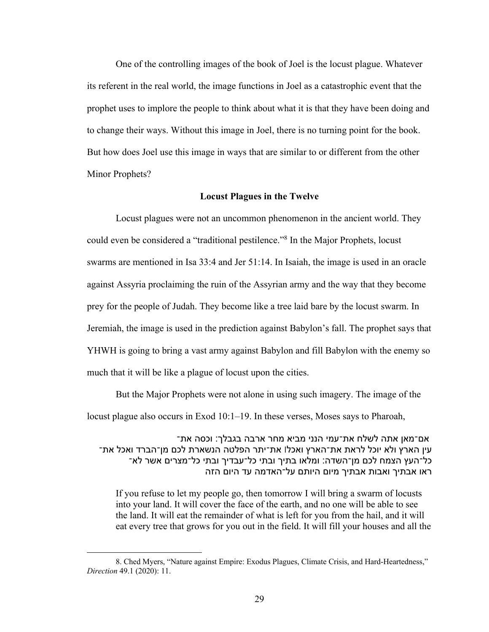One of the controlling images of the book of Joel is the locust plague. Whatever its referent in the real world, the image functions in Joel as a catastrophic event that the prophet uses to implore the people to think about what it is that they have been doing and to change their ways. Without this image in Joel, there is no turning point for the book. But how does Joel use this image in ways that are similar to or different from the other Minor Prophets?

#### **Locust Plagues in the Twelve**

Locust plagues were not an uncommon phenomenon in the ancient world. They could even be considered a "traditional pestilence."8 In the Major Prophets, locust swarms are mentioned in Isa 33:4 and Jer 51:14. In Isaiah, the image is used in an oracle against Assyria proclaiming the ruin of the Assyrian army and the way that they become prey for the people of Judah. They become like a tree laid bare by the locust swarm. In Jeremiah, the image is used in the prediction against Babylon's fall. The prophet says that YHWH is going to bring a vast army against Babylon and fill Babylon with the enemy so much that it will be like a plague of locust upon the cities.

But the Major Prophets were not alone in using such imagery. The image of the locust plague also occurs in Exod 10:1–19. In these verses, Moses says to Pharoah,

אם־מאן אתה לשלח את־עמי הנני מביא מחר ארבה בגבלך: וכסה את־ יע הארץ ולא יוכל לראת את־הארץ ואכל| את־יתר הפלטה הנשארת לכם מן־הברד ואכל את־ כל־העץ הצמח לכם מן־השדה: ומלאו בתיך ובתי כל־עבדיך ובתי כל־מצרים אשר לא־ ראו אבתיך ואבות אבתיך מיום היותם על־האדמה עד היום הזה

If you refuse to let my people go, then tomorrow I will bring a swarm of locusts into your land. It will cover the face of the earth, and no one will be able to see the land. It will eat the remainder of what is left for you from the hail, and it will eat every tree that grows for you out in the field. It will fill your houses and all the

<sup>8.</sup> Ched Myers, "Nature against Empire: Exodus Plagues, Climate Crisis, and Hard-Heartedness," *Direction* 49.1 (2020): 11.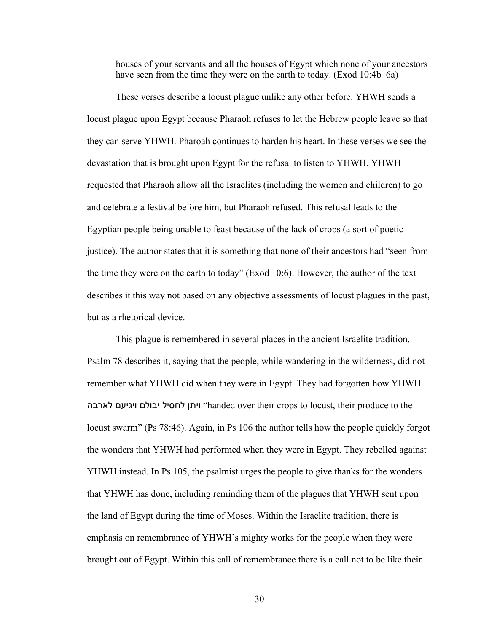houses of your servants and all the houses of Egypt which none of your ancestors have seen from the time they were on the earth to today. (Exod 10:4b–6a)

These verses describe a locust plague unlike any other before. YHWH sends a locust plague upon Egypt because Pharaoh refuses to let the Hebrew people leave so that they can serve YHWH. Pharoah continues to harden his heart. In these verses we see the devastation that is brought upon Egypt for the refusal to listen to YHWH. YHWH requested that Pharaoh allow all the Israelites (including the women and children) to go and celebrate a festival before him, but Pharaoh refused. This refusal leads to the Egyptian people being unable to feast because of the lack of crops (a sort of poetic justice). The author states that it is something that none of their ancestors had "seen from the time they were on the earth to today" (Exod 10:6). However, the author of the text describes it this way not based on any objective assessments of locust plagues in the past, but as a rhetorical device.

This plague is remembered in several places in the ancient Israelite tradition. Psalm 78 describes it, saying that the people, while wandering in the wilderness, did not remember what YHWH did when they were in Egypt. They had forgotten how YHWH הבראל םעיגיו םלובי ליסחל ןתיו" handed over their crops to locust, their produce to the locust swarm" (Ps 78:46). Again, in Ps 106 the author tells how the people quickly forgot the wonders that YHWH had performed when they were in Egypt. They rebelled against YHWH instead. In Ps 105, the psalmist urges the people to give thanks for the wonders that YHWH has done, including reminding them of the plagues that YHWH sent upon the land of Egypt during the time of Moses. Within the Israelite tradition, there is emphasis on remembrance of YHWH's mighty works for the people when they were brought out of Egypt. Within this call of remembrance there is a call not to be like their

30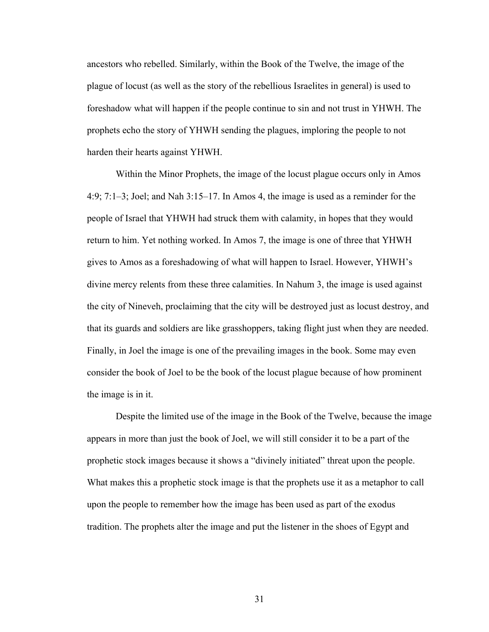ancestors who rebelled. Similarly, within the Book of the Twelve, the image of the plague of locust (as well as the story of the rebellious Israelites in general) is used to foreshadow what will happen if the people continue to sin and not trust in YHWH. The prophets echo the story of YHWH sending the plagues, imploring the people to not harden their hearts against YHWH.

Within the Minor Prophets, the image of the locust plague occurs only in Amos 4:9; 7:1–3; Joel; and Nah 3:15–17. In Amos 4, the image is used as a reminder for the people of Israel that YHWH had struck them with calamity, in hopes that they would return to him. Yet nothing worked. In Amos 7, the image is one of three that YHWH gives to Amos as a foreshadowing of what will happen to Israel. However, YHWH's divine mercy relents from these three calamities. In Nahum 3, the image is used against the city of Nineveh, proclaiming that the city will be destroyed just as locust destroy, and that its guards and soldiers are like grasshoppers, taking flight just when they are needed. Finally, in Joel the image is one of the prevailing images in the book. Some may even consider the book of Joel to be the book of the locust plague because of how prominent the image is in it.

Despite the limited use of the image in the Book of the Twelve, because the image appears in more than just the book of Joel, we will still consider it to be a part of the prophetic stock images because it shows a "divinely initiated" threat upon the people. What makes this a prophetic stock image is that the prophets use it as a metaphor to call upon the people to remember how the image has been used as part of the exodus tradition. The prophets alter the image and put the listener in the shoes of Egypt and

31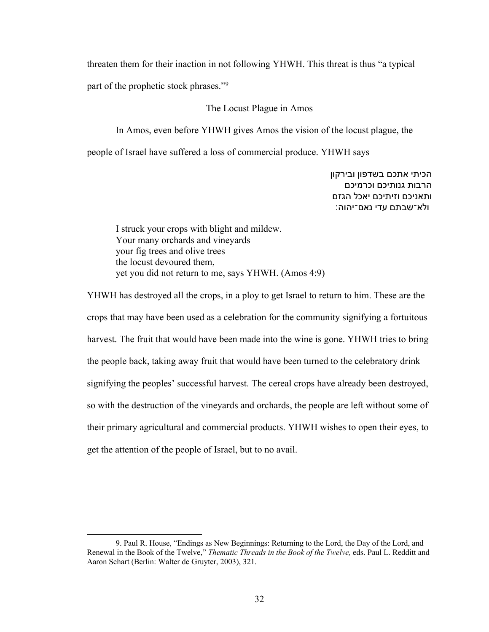threaten them for their inaction in not following YHWH. This threat is thus "a typical part of the prophetic stock phrases."9

## The Locust Plague in Amos

In Amos, even before YHWH gives Amos the vision of the locust plague, the

people of Israel have suffered a loss of commercial produce. YHWH says

הכיתי אתכם בשדפון ובירקון הרבות גנותיכם וכרמיכם ותאניכם וזיתיכם יאכל הגזם ולא־שבתם עדי נאם־יהוה:

I struck your crops with blight and mildew. Your many orchards and vineyards your fig trees and olive trees the locust devoured them, yet you did not return to me, says YHWH. (Amos 4:9)

YHWH has destroyed all the crops, in a ploy to get Israel to return to him. These are the crops that may have been used as a celebration for the community signifying a fortuitous harvest. The fruit that would have been made into the wine is gone. YHWH tries to bring the people back, taking away fruit that would have been turned to the celebratory drink signifying the peoples' successful harvest. The cereal crops have already been destroyed, so with the destruction of the vineyards and orchards, the people are left without some of their primary agricultural and commercial products. YHWH wishes to open their eyes, to get the attention of the people of Israel, but to no avail.

<sup>9.</sup> Paul R. House, "Endings as New Beginnings: Returning to the Lord, the Day of the Lord, and Renewal in the Book of the Twelve," *Thematic Threads in the Book of the Twelve,* eds. Paul L. Redditt and Aaron Schart (Berlin: Walter de Gruyter, 2003), 321.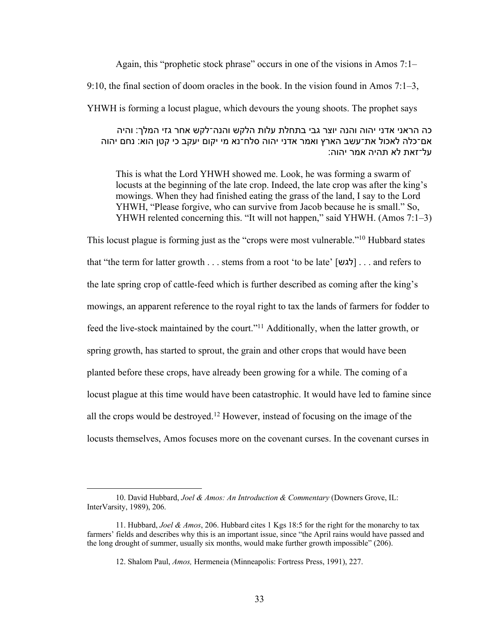Again, this "prophetic stock phrase" occurs in one of the visions in Amos 7:1–

9:10, the final section of doom oracles in the book. In the vision found in Amos 7:1–3,

YHWH is forming a locust plague, which devours the young shoots. The prophet says

כה הראני אדני יהוה והנה יוצר גבי בתחלת עלות הלקש והנה־לקש אחר גזי המלך: והיה אם־כלה לאכול את־עשב הארץ ואמר אדני יהוה סלח־נא מי יקום יעקב כי קטן הוא: נחם יהוה על־זאת לא תהיה אמר יהוה:

This is what the Lord YHWH showed me. Look, he was forming a swarm of locusts at the beginning of the late crop. Indeed, the late crop was after the king's mowings. When they had finished eating the grass of the land, I say to the Lord YHWH, "Please forgive, who can survive from Jacob because he is small." So, YHWH relented concerning this. "It will not happen," said YHWH. (Amos 7:1–3)

This locust plague is forming just as the "crops were most vulnerable."10 Hubbard states that "the term for latter growth . . . stems from a root 'to be late' [לגש] . . . and refers to the late spring crop of cattle-feed which is further described as coming after the king's mowings, an apparent reference to the royal right to tax the lands of farmers for fodder to feed the live-stock maintained by the court."11 Additionally, when the latter growth, or spring growth, has started to sprout, the grain and other crops that would have been planted before these crops, have already been growing for a while. The coming of a locust plague at this time would have been catastrophic. It would have led to famine since all the crops would be destroyed.12 However, instead of focusing on the image of the locusts themselves, Amos focuses more on the covenant curses. In the covenant curses in

<sup>10.</sup> David Hubbard, *Joel & Amos: An Introduction & Commentary* (Downers Grove, IL: InterVarsity, 1989), 206.

<sup>11.</sup> Hubbard, *Joel & Amos*, 206. Hubbard cites 1 Kgs 18:5 for the right for the monarchy to tax farmers' fields and describes why this is an important issue, since "the April rains would have passed and the long drought of summer, usually six months, would make further growth impossible" (206).

<sup>12.</sup> Shalom Paul, *Amos,* Hermeneia (Minneapolis: Fortress Press, 1991), 227.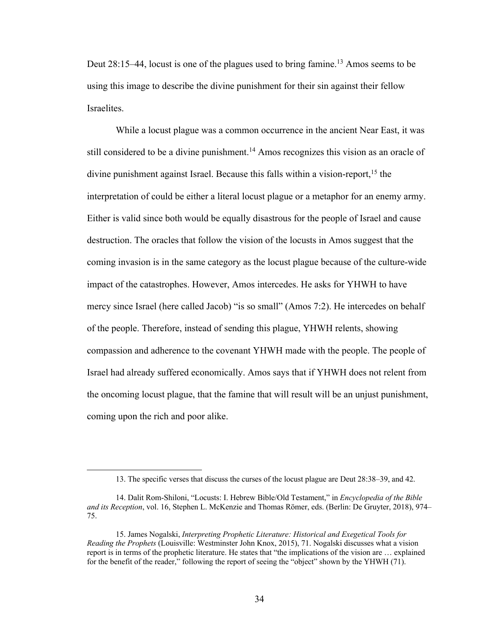Deut 28:15–44, locust is one of the plagues used to bring famine.<sup>13</sup> Amos seems to be using this image to describe the divine punishment for their sin against their fellow Israelites.

While a locust plague was a common occurrence in the ancient Near East, it was still considered to be a divine punishment.<sup>14</sup> Amos recognizes this vision as an oracle of divine punishment against Israel. Because this falls within a vision-report,<sup>15</sup> the interpretation of could be either a literal locust plague or a metaphor for an enemy army. Either is valid since both would be equally disastrous for the people of Israel and cause destruction. The oracles that follow the vision of the locusts in Amos suggest that the coming invasion is in the same category as the locust plague because of the culture-wide impact of the catastrophes. However, Amos intercedes. He asks for YHWH to have mercy since Israel (here called Jacob) "is so small" (Amos 7:2). He intercedes on behalf of the people. Therefore, instead of sending this plague, YHWH relents, showing compassion and adherence to the covenant YHWH made with the people. The people of Israel had already suffered economically. Amos says that if YHWH does not relent from the oncoming locust plague, that the famine that will result will be an unjust punishment, coming upon the rich and poor alike.

<sup>13.</sup> The specific verses that discuss the curses of the locust plague are Deut 28:38–39, and 42.

<sup>14.</sup> Dalit Rom-Shiloni, "Locusts: I. Hebrew Bible/Old Testament," in *Encyclopedia of the Bible and its Reception*, vol. 16, Stephen L. McKenzie and Thomas Römer, eds. (Berlin: De Gruyter, 2018), 974– 75.

<sup>15.</sup> James Nogalski, *Interpreting Prophetic Literature: Historical and Exegetical Tools for Reading the Prophets* (Louisville: Westminster John Knox, 2015), 71. Nogalski discusses what a vision report is in terms of the prophetic literature. He states that "the implications of the vision are … explained for the benefit of the reader," following the report of seeing the "object" shown by the YHWH (71).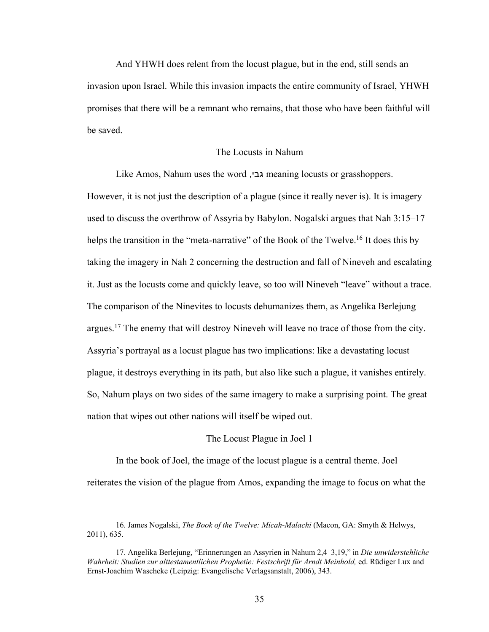And YHWH does relent from the locust plague, but in the end, still sends an invasion upon Israel. While this invasion impacts the entire community of Israel, YHWH promises that there will be a remnant who remains, that those who have been faithful will be saved.

## The Locusts in Nahum

Like Amos, Nahum uses the word , יבג meaning locusts or grasshoppers. However, it is not just the description of a plague (since it really never is). It is imagery used to discuss the overthrow of Assyria by Babylon. Nogalski argues that Nah 3:15–17 helps the transition in the "meta-narrative" of the Book of the Twelve.<sup>16</sup> It does this by taking the imagery in Nah 2 concerning the destruction and fall of Nineveh and escalating it. Just as the locusts come and quickly leave, so too will Nineveh "leave" without a trace. The comparison of the Ninevites to locusts dehumanizes them, as Angelika Berlejung argues.<sup>17</sup> The enemy that will destroy Nineveh will leave no trace of those from the city. Assyria's portrayal as a locust plague has two implications: like a devastating locust plague, it destroys everything in its path, but also like such a plague, it vanishes entirely. So, Nahum plays on two sides of the same imagery to make a surprising point. The great nation that wipes out other nations will itself be wiped out.

# The Locust Plague in Joel 1

In the book of Joel, the image of the locust plague is a central theme. Joel reiterates the vision of the plague from Amos, expanding the image to focus on what the

<sup>16.</sup> James Nogalski, *The Book of the Twelve: Micah-Malachi* (Macon, GA: Smyth & Helwys, 2011), 635.

<sup>17.</sup> Angelika Berlejung, "Erinnerungen an Assyrien in Nahum 2,4–3,19," in *Die unwiderstehliche Wahrheit: Studien zur alttestamentlichen Prophetie: Festschrift für Arndt Meinhold,* ed. Rüdiger Lux and Ernst-Joachim Wascheke (Leipzig: Evangelische Verlagsanstalt, 2006), 343.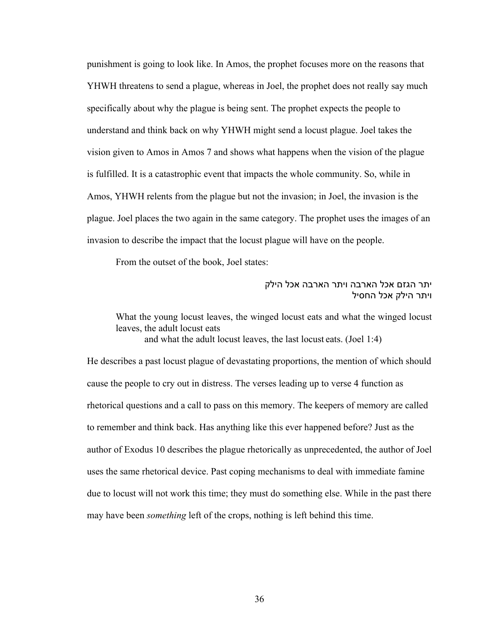punishment is going to look like. In Amos, the prophet focuses more on the reasons that YHWH threatens to send a plague, whereas in Joel, the prophet does not really say much specifically about why the plague is being sent. The prophet expects the people to understand and think back on why YHWH might send a locust plague. Joel takes the vision given to Amos in Amos 7 and shows what happens when the vision of the plague is fulfilled. It is a catastrophic event that impacts the whole community. So, while in Amos, YHWH relents from the plague but not the invasion; in Joel, the invasion is the plague. Joel places the two again in the same category. The prophet uses the images of an invasion to describe the impact that the locust plague will have on the people.

From the outset of the book, Joel states:

# יתר הגזם אכל הארבה ויתר הארבה אכל הילק ויתר הילק אכל החסיל

What the young locust leaves, the winged locust eats and what the winged locust leaves, the adult locust eats and what the adult locust leaves, the last locust eats. (Joel 1:4)

He describes a past locust plague of devastating proportions, the mention of which should cause the people to cry out in distress. The verses leading up to verse 4 function as rhetorical questions and a call to pass on this memory. The keepers of memory are called to remember and think back. Has anything like this ever happened before? Just as the author of Exodus 10 describes the plague rhetorically as unprecedented, the author of Joel uses the same rhetorical device. Past coping mechanisms to deal with immediate famine due to locust will not work this time; they must do something else. While in the past there may have been *something* left of the crops, nothing is left behind this time.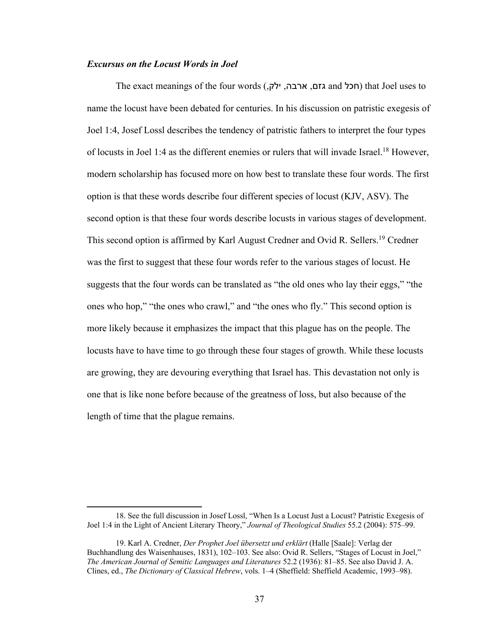## *Excursus on the Locust Words in Joel*

The exact meanings of the four words (חכל and גזם, ארבה, ילק,) (nat Joel uses to name the locust have been debated for centuries. In his discussion on patristic exegesis of Joel 1:4, Josef Lossl describes the tendency of patristic fathers to interpret the four types of locusts in Joel 1:4 as the different enemies or rulers that will invade Israel.18 However, modern scholarship has focused more on how best to translate these four words. The first option is that these words describe four different species of locust (KJV, ASV). The second option is that these four words describe locusts in various stages of development. This second option is affirmed by Karl August Credner and Ovid R. Sellers. <sup>19</sup> Credner was the first to suggest that these four words refer to the various stages of locust. He suggests that the four words can be translated as "the old ones who lay their eggs," "the ones who hop," "the ones who crawl," and "the ones who fly." This second option is more likely because it emphasizes the impact that this plague has on the people. The locusts have to have time to go through these four stages of growth. While these locusts are growing, they are devouring everything that Israel has. This devastation not only is one that is like none before because of the greatness of loss, but also because of the length of time that the plague remains.

<sup>18.</sup> See the full discussion in Josef Lossl, "When Is a Locust Just a Locust? Patristic Exegesis of Joel 1:4 in the Light of Ancient Literary Theory," *Journal of Theological Studies* 55.2 (2004): 575–99.

<sup>19.</sup> Karl A. Credner, *Der Prophet Joel übersetzt und erklärt* (Halle [Saale]: Verlag der Buchhandlung des Waisenhauses, 1831), 102–103. See also: Ovid R. Sellers, "Stages of Locust in Joel," *The American Journal of Semitic Languages and Literatures* 52.2 (1936): 81–85. See also David J. A. Clines, ed., *The Dictionary of Classical Hebrew*, vols. 1–4 (Sheffield: Sheffield Academic, 1993–98).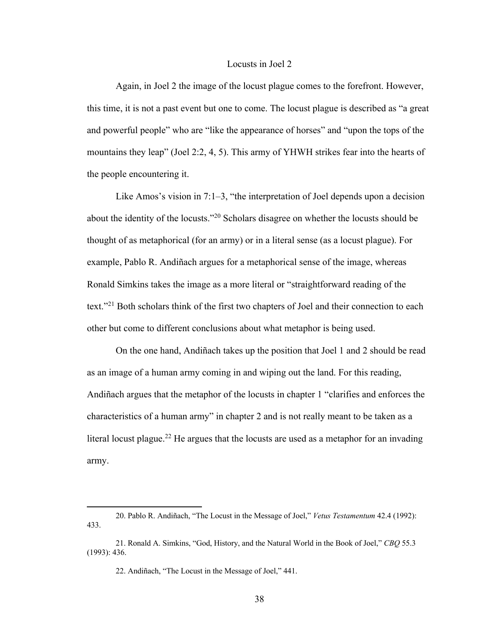## Locusts in Joel 2

Again, in Joel 2 the image of the locust plague comes to the forefront. However, this time, it is not a past event but one to come. The locust plague is described as "a great and powerful people" who are "like the appearance of horses" and "upon the tops of the mountains they leap" (Joel 2:2, 4, 5). This army of YHWH strikes fear into the hearts of the people encountering it.

Like Amos's vision in 7:1–3, "the interpretation of Joel depends upon a decision about the identity of the locusts."20 Scholars disagree on whether the locusts should be thought of as metaphorical (for an army) or in a literal sense (as a locust plague). For example, Pablo R. Andiñach argues for a metaphorical sense of the image, whereas Ronald Simkins takes the image as a more literal or "straightforward reading of the text."21 Both scholars think of the first two chapters of Joel and their connection to each other but come to different conclusions about what metaphor is being used.

On the one hand, Andiñach takes up the position that Joel 1 and 2 should be read as an image of a human army coming in and wiping out the land. For this reading, Andiñach argues that the metaphor of the locusts in chapter 1 "clarifies and enforces the characteristics of a human army" in chapter 2 and is not really meant to be taken as a literal locust plague.<sup>22</sup> He argues that the locusts are used as a metaphor for an invading army.

<sup>20.</sup> Pablo R. Andiñach, "The Locust in the Message of Joel," *Vetus Testamentum* 42.4 (1992): 433.

<sup>21.</sup> Ronald A. Simkins, "God, History, and the Natural World in the Book of Joel," *CBQ* 55.3 (1993): 436.

<sup>22.</sup> Andiñach, "The Locust in the Message of Joel," 441.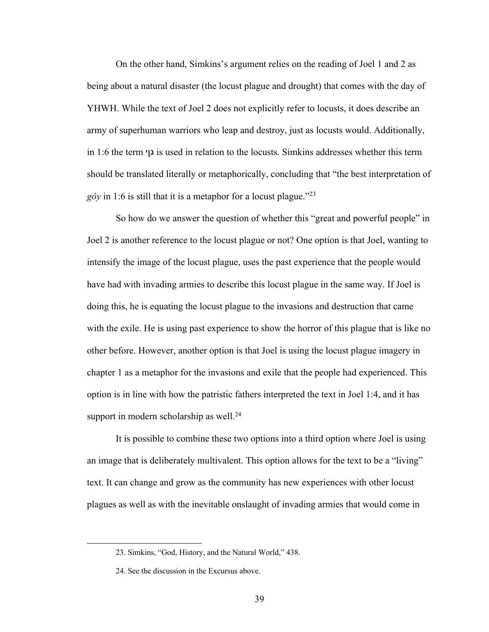On the other hand, Simkins's argument relies on the reading of Joel 1 and 2 as being about a natural disaster (the locust plague and drought) that comes with the day of YHWH. While the text of Joel 2 does not explicitly refer to locusts, it does describe an army of superhuman warriors who leap and destroy, just as locusts would. Additionally, in 1:6 the term יןג is used in relation to the locusts. Simkins addresses whether this term should be translated literally or metaphorically, concluding that "the best interpretation of  $g\hat{o}y$  in 1:6 is still that it is a metaphor for a locust plague."<sup>23</sup>

So how do we answer the question of whether this "great and powerful people" in Joel 2 is another reference to the locust plague or not? One option is that Joel, wanting to intensify the image of the locust plague, uses the past experience that the people would have had with invading armies to describe this locust plague in the same way. If Joel is doing this, he is equating the locust plague to the invasions and destruction that came with the exile. He is using past experience to show the horror of this plague that is like no other before. However, another option is that Joel is using the locust plague imagery in chapter 1 as a metaphor for the invasions and exile that the people had experienced. This option is in line with how the patristic fathers interpreted the text in Joel 1:4, and it has support in modern scholarship as well.<sup>24</sup>

It is possible to combine these two options into a third option where Joel is using an image that is deliberately multivalent. This option allows for the text to be a "living" text. It can change and grow as the community has new experiences with other locust plagues as well as with the inevitable onslaught of invading armies that would come in

<sup>23.</sup> Simkins, "God, History, and the Natural World," 438.

<sup>24.</sup> See the discussion in the Excursus above.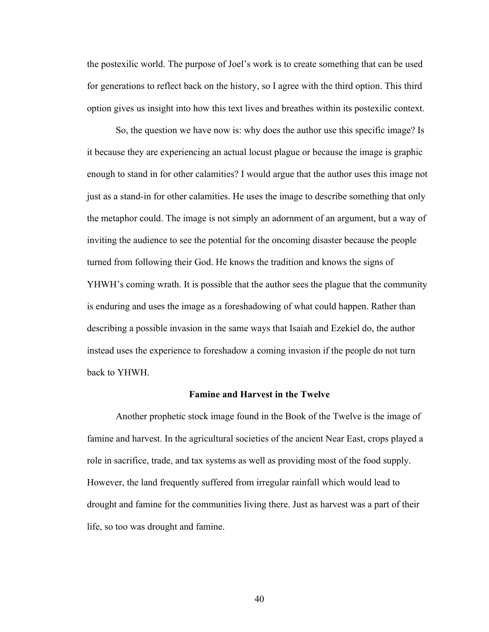the postexilic world. The purpose of Joel's work is to create something that can be used for generations to reflect back on the history, so I agree with the third option. This third option gives us insight into how this text lives and breathes within its postexilic context.

So, the question we have now is: why does the author use this specific image? Is it because they are experiencing an actual locust plague or because the image is graphic enough to stand in for other calamities? I would argue that the author uses this image not just as a stand-in for other calamities. He uses the image to describe something that only the metaphor could. The image is not simply an adornment of an argument, but a way of inviting the audience to see the potential for the oncoming disaster because the people turned from following their God. He knows the tradition and knows the signs of YHWH's coming wrath. It is possible that the author sees the plague that the community is enduring and uses the image as a foreshadowing of what could happen. Rather than describing a possible invasion in the same ways that Isaiah and Ezekiel do, the author instead uses the experience to foreshadow a coming invasion if the people do not turn back to YHWH.

### **Famine and Harvest in the Twelve**

Another prophetic stock image found in the Book of the Twelve is the image of famine and harvest. In the agricultural societies of the ancient Near East, crops played a role in sacrifice, trade, and tax systems as well as providing most of the food supply. However, the land frequently suffered from irregular rainfall which would lead to drought and famine for the communities living there. Just as harvest was a part of their life, so too was drought and famine.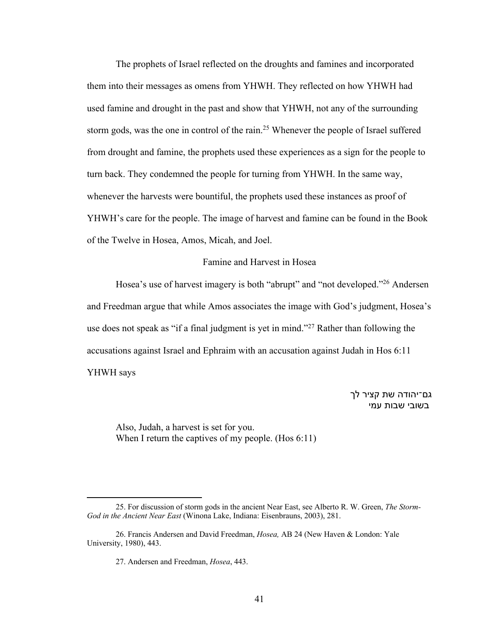The prophets of Israel reflected on the droughts and famines and incorporated them into their messages as omens from YHWH. They reflected on how YHWH had used famine and drought in the past and show that YHWH, not any of the surrounding storm gods, was the one in control of the rain.25 Whenever the people of Israel suffered from drought and famine, the prophets used these experiences as a sign for the people to turn back. They condemned the people for turning from YHWH. In the same way, whenever the harvests were bountiful, the prophets used these instances as proof of YHWH's care for the people. The image of harvest and famine can be found in the Book of the Twelve in Hosea, Amos, Micah, and Joel.

# Famine and Harvest in Hosea

Hosea's use of harvest imagery is both "abrupt" and "not developed."26 Andersen and Freedman argue that while Amos associates the image with God's judgment, Hosea's use does not speak as "if a final judgment is yet in mind."<sup>27</sup> Rather than following the accusations against Israel and Ephraim with an accusation against Judah in Hos 6:11 YHWH says

> גם־יהודה שת קציר לך בשובי שבות עמי

Also, Judah, a harvest is set for you. When I return the captives of my people. (Hos 6:11)

<sup>25.</sup> For discussion of storm gods in the ancient Near East, see Alberto R. W. Green, *The Storm-God in the Ancient Near East* (Winona Lake, Indiana: Eisenbrauns, 2003), 281.

<sup>26.</sup> Francis Andersen and David Freedman, *Hosea,* AB 24 (New Haven & London: Yale University, 1980), 443.

<sup>27.</sup> Andersen and Freedman, *Hosea*, 443.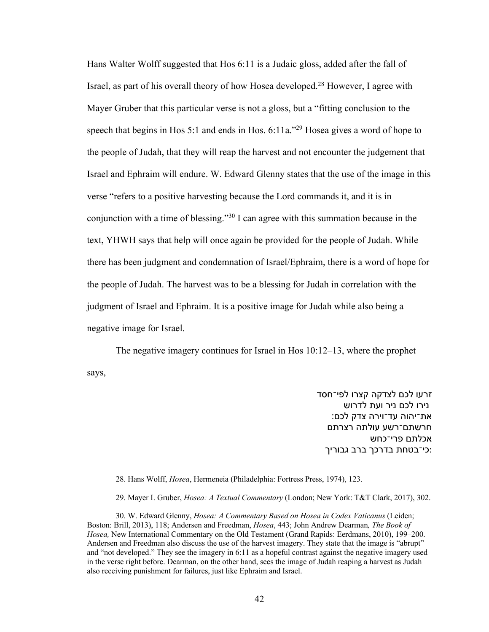Hans Walter Wolff suggested that Hos 6:11 is a Judaic gloss, added after the fall of Israel, as part of his overall theory of how Hosea developed.<sup>28</sup> However, I agree with Mayer Gruber that this particular verse is not a gloss, but a "fitting conclusion to the speech that begins in Hos 5:1 and ends in Hos. 6:11a."29 Hosea gives a word of hope to the people of Judah, that they will reap the harvest and not encounter the judgement that Israel and Ephraim will endure. W. Edward Glenny states that the use of the image in this verse "refers to a positive harvesting because the Lord commands it, and it is in conjunction with a time of blessing."30 I can agree with this summation because in the text, YHWH says that help will once again be provided for the people of Judah. While there has been judgment and condemnation of Israel/Ephraim, there is a word of hope for the people of Judah. The harvest was to be a blessing for Judah in correlation with the judgment of Israel and Ephraim. It is a positive image for Judah while also being a negative image for Israel.

The negative imagery continues for Israel in Hos 10:12–13, where the prophet says,

> זרעו לכם לצדקה קצרו לפי־חסד נירו לכם ניר ועת לדרוש את־יהוה עד־וירה צדק לכם: חרשתם־רשע עולתה רצרתם אכלתם פרי־כחש כי־בטחת בדרכך ברב גבוריך:

<sup>28.</sup> Hans Wolff, *Hosea*, Hermeneia (Philadelphia: Fortress Press, 1974), 123.

<sup>29.</sup> Mayer I. Gruber, *Hosea: A Textual Commentary* (London; New York: T&T Clark, 2017), 302.

<sup>30.</sup> W. Edward Glenny, *Hosea: A Commentary Based on Hosea in Codex Vaticanus* (Leiden; Boston: Brill, 2013), 118; Andersen and Freedman, *Hosea*, 443; John Andrew Dearman*, The Book of Hosea,* New International Commentary on the Old Testament (Grand Rapids: Eerdmans, 2010), 199–200. Andersen and Freedman also discuss the use of the harvest imagery. They state that the image is "abrupt" and "not developed." They see the imagery in 6:11 as a hopeful contrast against the negative imagery used in the verse right before. Dearman, on the other hand, sees the image of Judah reaping a harvest as Judah also receiving punishment for failures, just like Ephraim and Israel.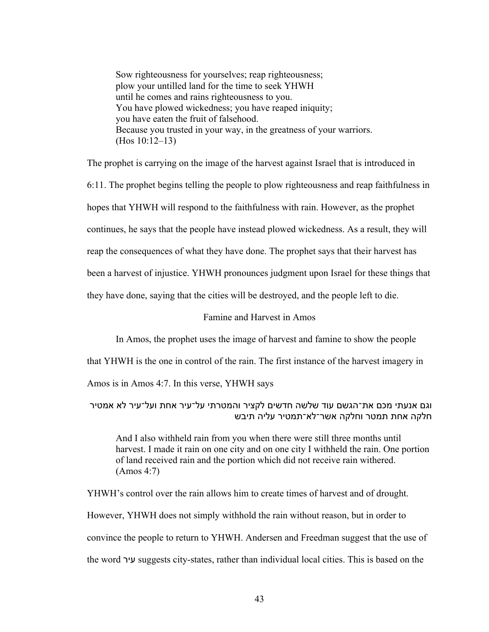Sow righteousness for yourselves; reap righteousness; plow your untilled land for the time to seek YHWH until he comes and rains righteousness to you. You have plowed wickedness; you have reaped iniquity; you have eaten the fruit of falsehood. Because you trusted in your way, in the greatness of your warriors. (Hos 10:12–13)

The prophet is carrying on the image of the harvest against Israel that is introduced in

6:11. The prophet begins telling the people to plow righteousness and reap faithfulness in

hopes that YHWH will respond to the faithfulness with rain. However, as the prophet

continues, he says that the people have instead plowed wickedness. As a result, they will

reap the consequences of what they have done. The prophet says that their harvest has

been a harvest of injustice. YHWH pronounces judgment upon Israel for these things that

they have done, saying that the cities will be destroyed, and the people left to die.

# Famine and Harvest in Amos

In Amos, the prophet uses the image of harvest and famine to show the people

that YHWH is the one in control of the rain. The first instance of the harvest imagery in

Amos is in Amos 4:7. In this verse, YHWH says

וגם אנעתי מכם את־הגשם עוד שלשה חדשים לקציר והמטרתי על־עיר אחת ועל־עיר לא אמטיר חלקה אחת תמטר וחלקה אשר־לא־תמטיר עליה תיבש

And I also withheld rain from you when there were still three months until harvest. I made it rain on one city and on one city I withheld the rain. One portion of land received rain and the portion which did not receive rain withered. (Amos 4:7)

YHWH's control over the rain allows him to create times of harvest and of drought. However, YHWH does not simply withhold the rain without reason, but in order to convince the people to return to YHWH. Andersen and Freedman suggest that the use of the word ריע suggests city-states, rather than individual local cities. This is based on the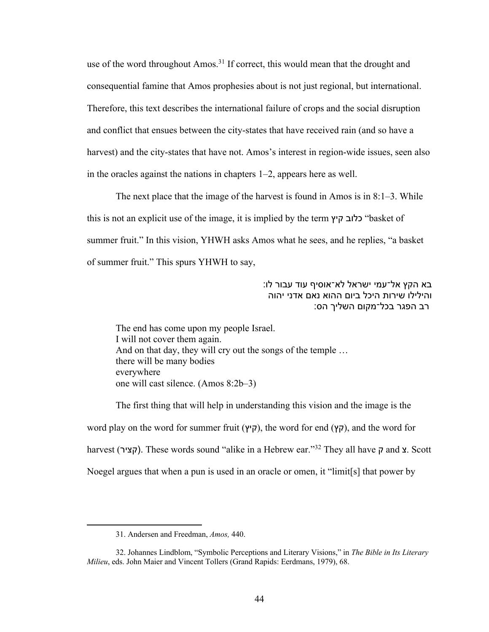use of the word throughout Amos.<sup>31</sup> If correct, this would mean that the drought and consequential famine that Amos prophesies about is not just regional, but international. Therefore, this text describes the international failure of crops and the social disruption and conflict that ensues between the city-states that have received rain (and so have a harvest) and the city-states that have not. Amos's interest in region-wide issues, seen also in the oracles against the nations in chapters 1–2, appears here as well.

The next place that the image of the harvest is found in Amos is in 8:1–3. While this is not an explicit use of the image, it is implied by the term **כלוב קיץ** basket of summer fruit." In this vision, YHWH asks Amos what he sees, and he replies, "a basket of summer fruit." This spurs YHWH to say,

> בא הקץ אל־עמי ישראל לא־אוסיף עוד עבור לו: והילילו שירות היכל ביום ההוא נאם אדני יהוה רב הפגר בכל־מקום השליך הס:

The end has come upon my people Israel. I will not cover them again. And on that day, they will cry out the songs of the temple ... there will be many bodies everywhere one will cast silence. (Amos 8:2b–3)

The first thing that will help in understanding this vision and the image is the word play on the word for summer fruit (קיץ), the word for end (קץ), and the word for harvest (קציר). These words sound "alike in a Hebrew ear."<sup>32</sup> They all have ק and **צ.** Scott Noegel argues that when a pun is used in an oracle or omen, it "limit[s] that power by

<sup>31.</sup> Andersen and Freedman, *Amos,* 440.

<sup>32.</sup> Johannes Lindblom, "Symbolic Perceptions and Literary Visions," in *The Bible in Its Literary Milieu*, eds. John Maier and Vincent Tollers (Grand Rapids: Eerdmans, 1979), 68.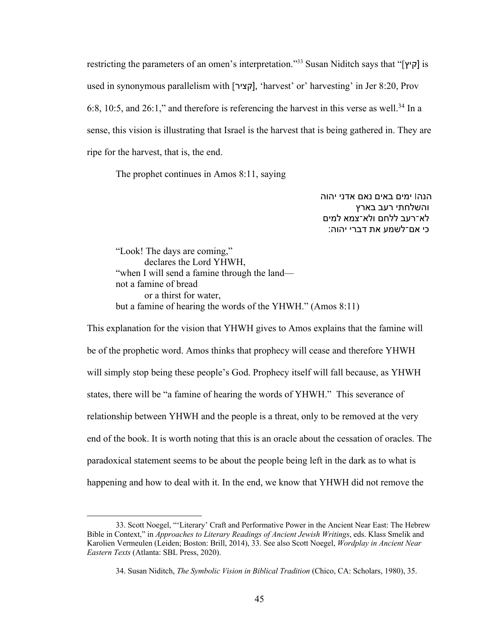restricting the parameters of an omen's interpretation."33 Susan Niditch says that "[ ץי ק [is used in synonymous parallelism with [קציר], 'harvest' or' harvesting' in Jer 8:20, Prov 6:8, 10:5, and 26:1," and therefore is referencing the harvest in this verse as well.<sup>34</sup> In a sense, this vision is illustrating that Israel is the harvest that is being gathered in. They are ripe for the harvest, that is, the end.

The prophet continues in Amos 8:11, saying

הנה! ימים באים נאם אדני יהוה והשלחתי רעב בארץ לא־רעב ללחם ולא־צמא למים :כי אם־לשמע את דברי יהוה

"Look! The days are coming," declares the Lord YHWH, "when I will send a famine through the land not a famine of bread or a thirst for water, but a famine of hearing the words of the YHWH." (Amos 8:11)

This explanation for the vision that YHWH gives to Amos explains that the famine will be of the prophetic word. Amos thinks that prophecy will cease and therefore YHWH will simply stop being these people's God. Prophecy itself will fall because, as YHWH states, there will be "a famine of hearing the words of YHWH." This severance of relationship between YHWH and the people is a threat, only to be removed at the very end of the book. It is worth noting that this is an oracle about the cessation of oracles. The paradoxical statement seems to be about the people being left in the dark as to what is happening and how to deal with it. In the end, we know that YHWH did not remove the

<sup>33.</sup> Scott Noegel, "'Literary' Craft and Performative Power in the Ancient Near East: The Hebrew Bible in Context," in *Approaches to Literary Readings of Ancient Jewish Writings*, eds. Klass Smelik and Karolien Vermeulen (Leiden; Boston: Brill, 2014), 33. See also Scott Noegel, *Wordplay in Ancient Near Eastern Texts* (Atlanta: SBL Press, 2020).

<sup>34.</sup> Susan Niditch, *The Symbolic Vision in Biblical Tradition* (Chico, CA: Scholars, 1980), 35.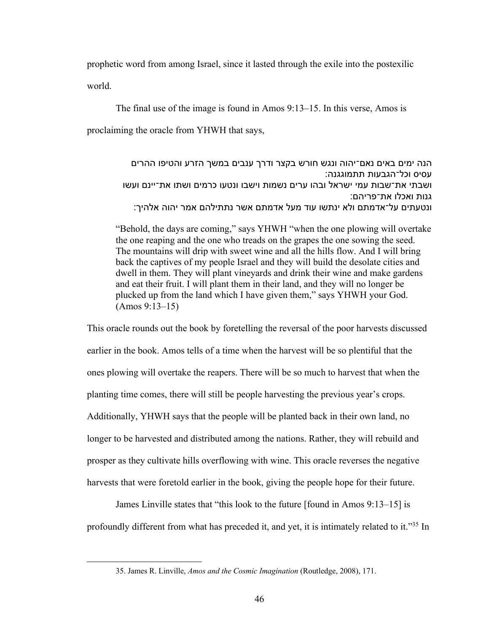prophetic word from among Israel, since it lasted through the exile into the postexilic world.

The final use of the image is found in Amos 9:13–15. In this verse, Amos is proclaiming the oracle from YHWH that says,

> הנה ימים באים נאם־יהוה ונגש חורש בקצר ודרך ענבים במשך הזרע והטיפו ההרים עסיס וכל־הגבעות תתמוגגנה: ושבתי את־שבות עמי ישראל ובהו ערים נשמות וישבו ונטעו כרמים ושתו את־יינם ועשו גנות ואכלו את־פריהם: ונטעתים על־אדמתם ולא ינתשו עוד מעל אדמתם אשר נתתילהם אמר יהוה אלהיך:

"Behold, the days are coming," says YHWH "when the one plowing will overtake the one reaping and the one who treads on the grapes the one sowing the seed. The mountains will drip with sweet wine and all the hills flow. And I will bring back the captives of my people Israel and they will build the desolate cities and dwell in them. They will plant vineyards and drink their wine and make gardens and eat their fruit. I will plant them in their land, and they will no longer be plucked up from the land which I have given them," says YHWH your God. (Amos 9:13–15)

This oracle rounds out the book by foretelling the reversal of the poor harvests discussed earlier in the book. Amos tells of a time when the harvest will be so plentiful that the ones plowing will overtake the reapers. There will be so much to harvest that when the planting time comes, there will still be people harvesting the previous year's crops. Additionally, YHWH says that the people will be planted back in their own land, no longer to be harvested and distributed among the nations. Rather, they will rebuild and prosper as they cultivate hills overflowing with wine. This oracle reverses the negative harvests that were foretold earlier in the book, giving the people hope for their future.

James Linville states that "this look to the future [found in Amos 9:13–15] is profoundly different from what has preceded it, and yet, it is intimately related to it."35 In

<sup>35.</sup> James R. Linville, *Amos and the Cosmic Imagination* (Routledge, 2008), 171.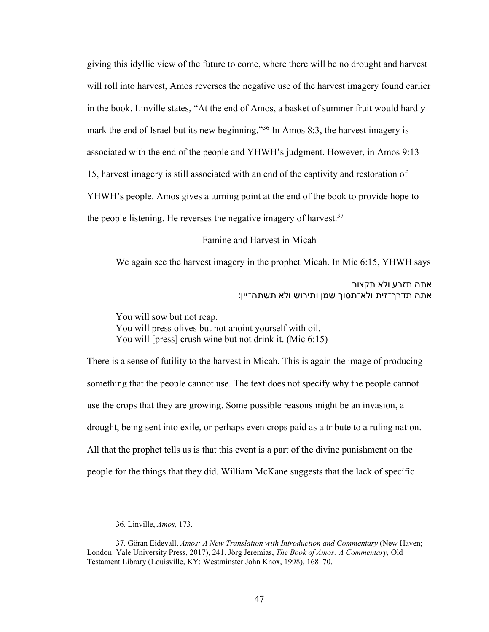giving this idyllic view of the future to come, where there will be no drought and harvest will roll into harvest, Amos reverses the negative use of the harvest imagery found earlier in the book. Linville states, "At the end of Amos, a basket of summer fruit would hardly mark the end of Israel but its new beginning."36 In Amos 8:3, the harvest imagery is associated with the end of the people and YHWH's judgment. However, in Amos 9:13– 15, harvest imagery is still associated with an end of the captivity and restoration of YHWH's people. Amos gives a turning point at the end of the book to provide hope to the people listening. He reverses the negative imagery of harvest.  $37$ 

Famine and Harvest in Micah

We again see the harvest imagery in the prophet Micah. In Mic 6:15, YHWH says

אתה תזרע ולא תקצור אתה תדרך־זית ולא־תסוך שמן ותירוש ולא תשתה־יין:

You will sow but not reap. You will press olives but not anoint yourself with oil. You will [press] crush wine but not drink it. (Mic 6:15)

There is a sense of futility to the harvest in Micah. This is again the image of producing something that the people cannot use. The text does not specify why the people cannot use the crops that they are growing. Some possible reasons might be an invasion, a drought, being sent into exile, or perhaps even crops paid as a tribute to a ruling nation. All that the prophet tells us is that this event is a part of the divine punishment on the people for the things that they did. William McKane suggests that the lack of specific

<sup>36.</sup> Linville, *Amos,* 173.

<sup>37.</sup> Göran Eidevall, *Amos: A New Translation with Introduction and Commentary* (New Haven; London: Yale University Press, 2017), 241. Jörg Jeremias, *The Book of Amos: A Commentary,* Old Testament Library (Louisville, KY: Westminster John Knox, 1998), 168–70.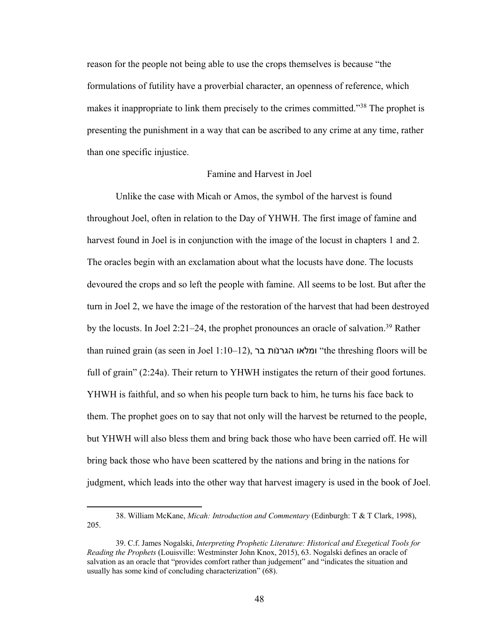reason for the people not being able to use the crops themselves is because "the formulations of futility have a proverbial character, an openness of reference, which makes it inappropriate to link them precisely to the crimes committed."38 The prophet is presenting the punishment in a way that can be ascribed to any crime at any time, rather than one specific injustice.

# Famine and Harvest in Joel

Unlike the case with Micah or Amos, the symbol of the harvest is found throughout Joel, often in relation to the Day of YHWH. The first image of famine and harvest found in Joel is in conjunction with the image of the locust in chapters 1 and 2. The oracles begin with an exclamation about what the locusts have done. The locusts devoured the crops and so left the people with famine. All seems to be lost. But after the turn in Joel 2, we have the image of the restoration of the harvest that had been destroyed by the locusts. In Joel 2:21–24, the prophet pronounces an oracle of salvation.<sup>39</sup> Rather than ruined grain (as seen in Joel 1:10–12), ומלאו הגרנות בר $\cdot$ the threshing floors will be full of grain" (2:24a). Their return to YHWH instigates the return of their good fortunes. YHWH is faithful, and so when his people turn back to him, he turns his face back to them. The prophet goes on to say that not only will the harvest be returned to the people, but YHWH will also bless them and bring back those who have been carried off. He will bring back those who have been scattered by the nations and bring in the nations for judgment, which leads into the other way that harvest imagery is used in the book of Joel.

<sup>38.</sup> William McKane, *Micah: Introduction and Commentary* (Edinburgh: T & T Clark, 1998), 205.

<sup>39.</sup> C.f. James Nogalski, *Interpreting Prophetic Literature: Historical and Exegetical Tools for Reading the Prophets* (Louisville: Westminster John Knox, 2015), 63. Nogalski defines an oracle of salvation as an oracle that "provides comfort rather than judgement" and "indicates the situation and usually has some kind of concluding characterization" (68).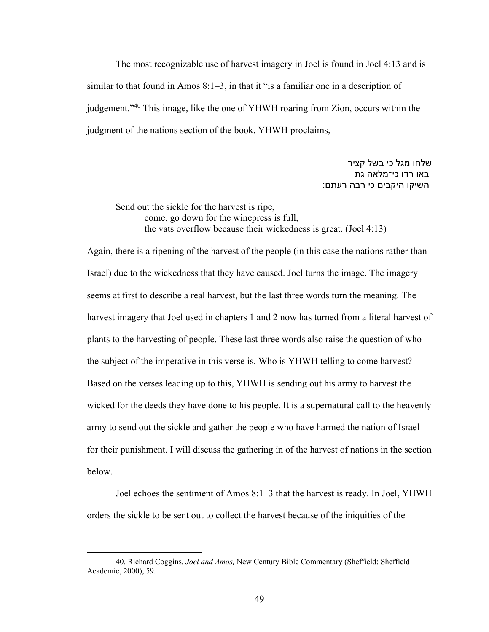The most recognizable use of harvest imagery in Joel is found in Joel 4:13 and is similar to that found in Amos 8:1–3, in that it "is a familiar one in a description of judgement."40 This image, like the one of YHWH roaring from Zion, occurs within the judgment of the nations section of the book. YHWH proclaims,

> שלחו מגל כי בשל קציר באו רדו כי־מלאה גת השיקו היקבים כי רבה רעתם:

Send out the sickle for the harvest is ripe, come, go down for the winepress is full, the vats overflow because their wickedness is great. (Joel 4:13)

Again, there is a ripening of the harvest of the people (in this case the nations rather than Israel) due to the wickedness that they have caused. Joel turns the image. The imagery seems at first to describe a real harvest, but the last three words turn the meaning. The harvest imagery that Joel used in chapters 1 and 2 now has turned from a literal harvest of plants to the harvesting of people. These last three words also raise the question of who the subject of the imperative in this verse is. Who is YHWH telling to come harvest? Based on the verses leading up to this, YHWH is sending out his army to harvest the wicked for the deeds they have done to his people. It is a supernatural call to the heavenly army to send out the sickle and gather the people who have harmed the nation of Israel for their punishment. I will discuss the gathering in of the harvest of nations in the section below.

Joel echoes the sentiment of Amos 8:1–3 that the harvest is ready. In Joel, YHWH orders the sickle to be sent out to collect the harvest because of the iniquities of the

<sup>40.</sup> Richard Coggins, *Joel and Amos,* New Century Bible Commentary (Sheffield: Sheffield Academic, 2000), 59.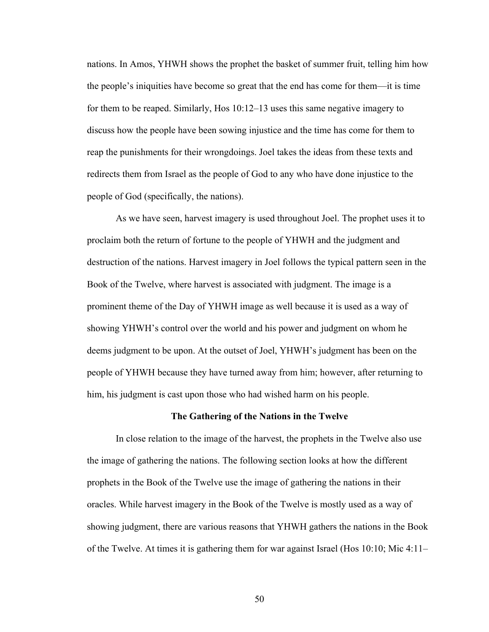nations. In Amos, YHWH shows the prophet the basket of summer fruit, telling him how the people's iniquities have become so great that the end has come for them—it is time for them to be reaped. Similarly, Hos 10:12–13 uses this same negative imagery to discuss how the people have been sowing injustice and the time has come for them to reap the punishments for their wrongdoings. Joel takes the ideas from these texts and redirects them from Israel as the people of God to any who have done injustice to the people of God (specifically, the nations).

As we have seen, harvest imagery is used throughout Joel. The prophet uses it to proclaim both the return of fortune to the people of YHWH and the judgment and destruction of the nations. Harvest imagery in Joel follows the typical pattern seen in the Book of the Twelve, where harvest is associated with judgment. The image is a prominent theme of the Day of YHWH image as well because it is used as a way of showing YHWH's control over the world and his power and judgment on whom he deems judgment to be upon. At the outset of Joel, YHWH's judgment has been on the people of YHWH because they have turned away from him; however, after returning to him, his judgment is cast upon those who had wished harm on his people.

## **The Gathering of the Nations in the Twelve**

In close relation to the image of the harvest, the prophets in the Twelve also use the image of gathering the nations. The following section looks at how the different prophets in the Book of the Twelve use the image of gathering the nations in their oracles. While harvest imagery in the Book of the Twelve is mostly used as a way of showing judgment, there are various reasons that YHWH gathers the nations in the Book of the Twelve. At times it is gathering them for war against Israel (Hos 10:10; Mic 4:11–

50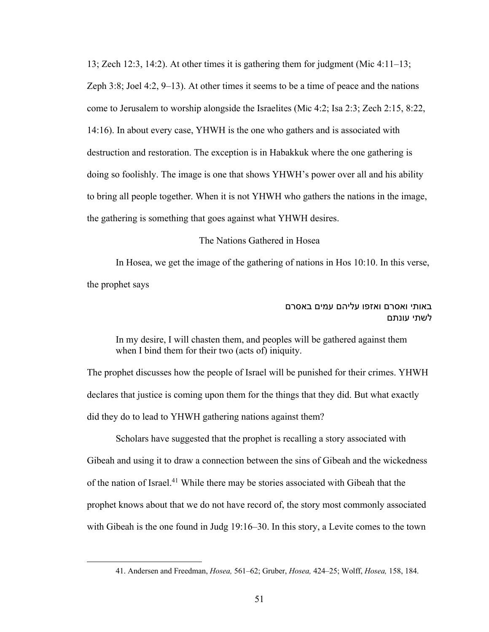13; Zech 12:3, 14:2). At other times it is gathering them for judgment (Mic 4:11–13; Zeph 3:8; Joel 4:2, 9–13). At other times it seems to be a time of peace and the nations come to Jerusalem to worship alongside the Israelites (Mic 4:2; Isa 2:3; Zech 2:15, 8:22, 14:16). In about every case, YHWH is the one who gathers and is associated with destruction and restoration. The exception is in Habakkuk where the one gathering is doing so foolishly. The image is one that shows YHWH's power over all and his ability to bring all people together. When it is not YHWH who gathers the nations in the image, the gathering is something that goes against what YHWH desires.

#### The Nations Gathered in Hosea

In Hosea, we get the image of the gathering of nations in Hos 10:10. In this verse, the prophet says

# באותי ואסרם ואזפו עליהם עמים באסרם לשתי עונתם

In my desire, I will chasten them, and peoples will be gathered against them when I bind them for their two (acts of) iniquity.

The prophet discusses how the people of Israel will be punished for their crimes. YHWH declares that justice is coming upon them for the things that they did. But what exactly did they do to lead to YHWH gathering nations against them?

Scholars have suggested that the prophet is recalling a story associated with Gibeah and using it to draw a connection between the sins of Gibeah and the wickedness of the nation of Israel.41 While there may be stories associated with Gibeah that the prophet knows about that we do not have record of, the story most commonly associated with Gibeah is the one found in Judg 19:16–30. In this story, a Levite comes to the town

<sup>41.</sup> Andersen and Freedman, *Hosea,* 561–62; Gruber, *Hosea,* 424–25; Wolff, *Hosea,* 158, 184.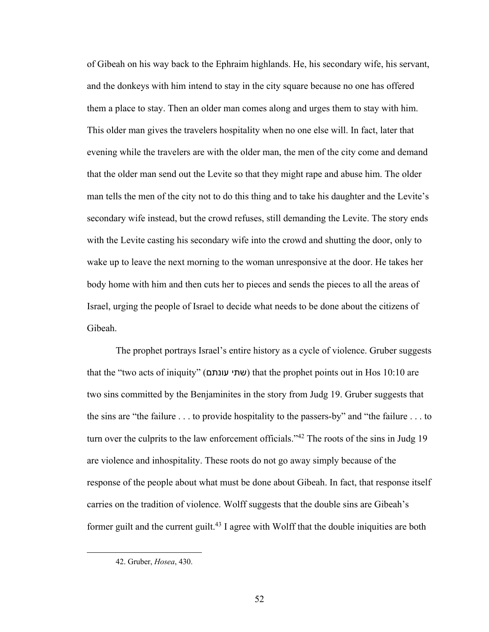of Gibeah on his way back to the Ephraim highlands. He, his secondary wife, his servant, and the donkeys with him intend to stay in the city square because no one has offered them a place to stay. Then an older man comes along and urges them to stay with him. This older man gives the travelers hospitality when no one else will. In fact, later that evening while the travelers are with the older man, the men of the city come and demand that the older man send out the Levite so that they might rape and abuse him. The older man tells the men of the city not to do this thing and to take his daughter and the Levite's secondary wife instead, but the crowd refuses, still demanding the Levite. The story ends with the Levite casting his secondary wife into the crowd and shutting the door, only to wake up to leave the next morning to the woman unresponsive at the door. He takes her body home with him and then cuts her to pieces and sends the pieces to all the areas of Israel, urging the people of Israel to decide what needs to be done about the citizens of Gibeah.

The prophet portrays Israel's entire history as a cycle of violence. Gruber suggests that the "two acts of iniquity" (שתי עונתם) that the prophet points out in Hos 10:10 are two sins committed by the Benjaminites in the story from Judg 19. Gruber suggests that the sins are "the failure . . . to provide hospitality to the passers-by" and "the failure . . . to turn over the culprits to the law enforcement officials."<sup>42</sup> The roots of the sins in Judg 19 are violence and inhospitality. These roots do not go away simply because of the response of the people about what must be done about Gibeah. In fact, that response itself carries on the tradition of violence. Wolff suggests that the double sins are Gibeah's former guilt and the current guilt.<sup>43</sup> I agree with Wolff that the double iniquities are both

<sup>42.</sup> Gruber, *Hosea*, 430.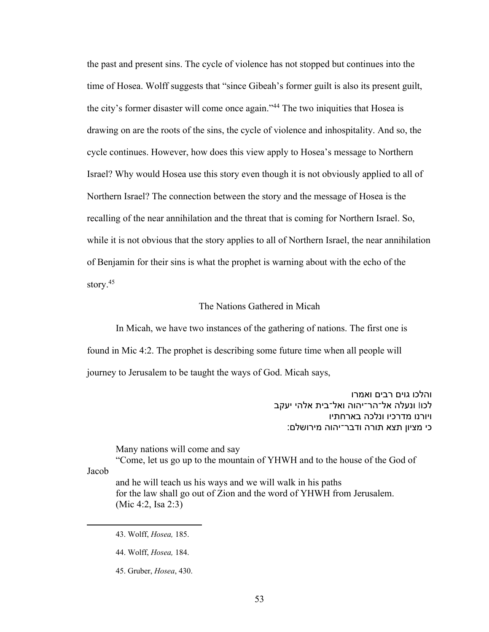the past and present sins. The cycle of violence has not stopped but continues into the time of Hosea. Wolff suggests that "since Gibeah's former guilt is also its present guilt, the city's former disaster will come once again."44 The two iniquities that Hosea is drawing on are the roots of the sins, the cycle of violence and inhospitality. And so, the cycle continues. However, how does this view apply to Hosea's message to Northern Israel? Why would Hosea use this story even though it is not obviously applied to all of Northern Israel? The connection between the story and the message of Hosea is the recalling of the near annihilation and the threat that is coming for Northern Israel. So, while it is not obvious that the story applies to all of Northern Israel, the near annihilation of Benjamin for their sins is what the prophet is warning about with the echo of the story.<sup>45</sup>

## The Nations Gathered in Micah

In Micah, we have two instances of the gathering of nations. The first one is found in Mic 4:2. The prophet is describing some future time when all people will journey to Jerusalem to be taught the ways of God. Micah says,

> והלכו גוים רבים ואמרו לכו! ונעלה אל־הר־יהוה ואל־בית אלהי יעקב ויורנו מדרכיו ונלכה בארחתיו כי מציון תצא תורה ודבר־יהוה מירושלם:

Many nations will come and say

"Come, let us go up to the mountain of YHWH and to the house of the God of

Jacob

and he will teach us his ways and we will walk in his paths for the law shall go out of Zion and the word of YHWH from Jerusalem. (Mic 4:2, Isa 2:3)

<sup>43.</sup> Wolff, *Hosea,* 185.

<sup>44.</sup> Wolff, *Hosea,* 184.

<sup>45.</sup> Gruber, *Hosea*, 430.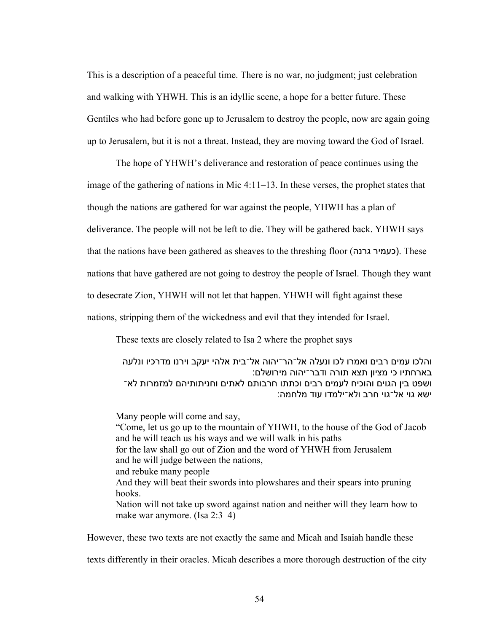This is a description of a peaceful time. There is no war, no judgment; just celebration and walking with YHWH. This is an idyllic scene, a hope for a better future. These Gentiles who had before gone up to Jerusalem to destroy the people, now are again going up to Jerusalem, but it is not a threat. Instead, they are moving toward the God of Israel.

The hope of YHWH's deliverance and restoration of peace continues using the image of the gathering of nations in Mic 4:11–13. In these verses, the prophet states that though the nations are gathered for war against the people, YHWH has a plan of deliverance. The people will not be left to die. They will be gathered back. YHWH says that the nations have been gathered as sheaves to the threshing floor (כעמיר גרנה). These nations that have gathered are not going to destroy the people of Israel. Though they want to desecrate Zion, YHWH will not let that happen. YHWH will fight against these nations, stripping them of the wickedness and evil that they intended for Israel.

These texts are closely related to Isa 2 where the prophet says

והלכו עמים רבים ואמרו לכו ונעלה אל־הר־יהוה אל־בית אלהי יעקב וירנו מדרכיו ונלעה בארחתיו כי מציון תצא תורה ודבר־יהוה מירושלם: ושפט בין הגוים והוכיח לעמים רבים וכתתו חרבותם לאתים וחניתותיהם למזמרות לא־ ֿישא גוי אל־גוי חרב ולא־ילמדו עוד מלחמה:

Many people will come and say, "Come, let us go up to the mountain of YHWH, to the house of the God of Jacob and he will teach us his ways and we will walk in his paths for the law shall go out of Zion and the word of YHWH from Jerusalem and he will judge between the nations, and rebuke many people And they will beat their swords into plowshares and their spears into pruning hooks. Nation will not take up sword against nation and neither will they learn how to make war anymore. (Isa 2:3–4)

However, these two texts are not exactly the same and Micah and Isaiah handle these

texts differently in their oracles. Micah describes a more thorough destruction of the city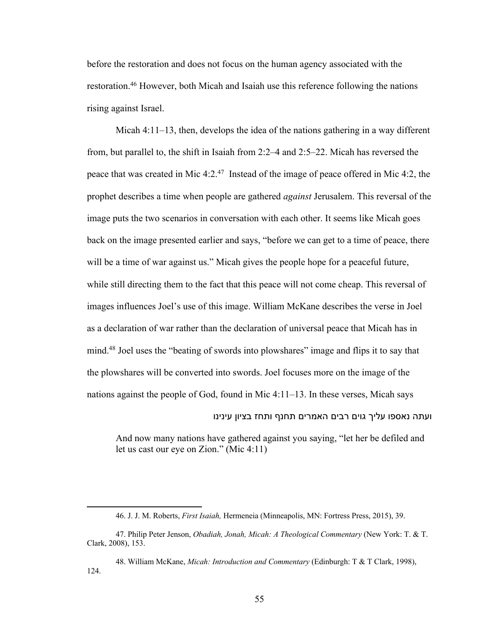before the restoration and does not focus on the human agency associated with the restoration.46 However, both Micah and Isaiah use this reference following the nations rising against Israel.

Micah 4:11–13, then, develops the idea of the nations gathering in a way different from, but parallel to, the shift in Isaiah from 2:2–4 and 2:5–22. Micah has reversed the peace that was created in Mic 4:2.47 Instead of the image of peace offered in Mic 4:2, the prophet describes a time when people are gathered *against* Jerusalem. This reversal of the image puts the two scenarios in conversation with each other. It seems like Micah goes back on the image presented earlier and says, "before we can get to a time of peace, there will be a time of war against us." Micah gives the people hope for a peaceful future, while still directing them to the fact that this peace will not come cheap. This reversal of images influences Joel's use of this image. William McKane describes the verse in Joel as a declaration of war rather than the declaration of universal peace that Micah has in mind.48 Joel uses the "beating of swords into plowshares" image and flips it to say that the plowshares will be converted into swords. Joel focuses more on the image of the nations against the people of God, found in Mic 4:11–13. In these verses, Micah says

ועתה נאספו עליך גוים רבים האמרים תחנף ותחז בציון עינינו

And now many nations have gathered against you saying, "let her be defiled and let us cast our eye on Zion." (Mic 4:11)

<sup>46.</sup> J. J. M. Roberts, *First Isaiah,* Hermeneia (Minneapolis, MN: Fortress Press, 2015), 39.

<sup>47.</sup> Philip Peter Jenson, *Obadiah, Jonah, Micah: A Theological Commentary* (New York: T. & T. Clark, 2008), 153.

<sup>48.</sup> William McKane, *Micah: Introduction and Commentary* (Edinburgh: T & T Clark, 1998), 124.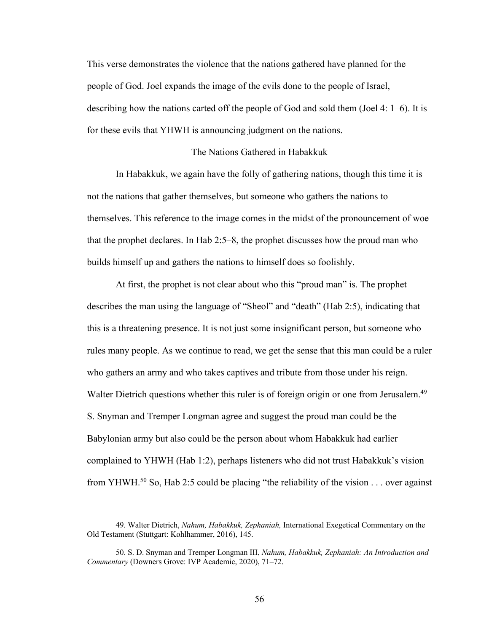This verse demonstrates the violence that the nations gathered have planned for the people of God. Joel expands the image of the evils done to the people of Israel, describing how the nations carted off the people of God and sold them (Joel 4: 1–6). It is for these evils that YHWH is announcing judgment on the nations.

## The Nations Gathered in Habakkuk

In Habakkuk, we again have the folly of gathering nations, though this time it is not the nations that gather themselves, but someone who gathers the nations to themselves. This reference to the image comes in the midst of the pronouncement of woe that the prophet declares. In Hab 2:5–8, the prophet discusses how the proud man who builds himself up and gathers the nations to himself does so foolishly.

At first, the prophet is not clear about who this "proud man" is. The prophet describes the man using the language of "Sheol" and "death" (Hab 2:5), indicating that this is a threatening presence. It is not just some insignificant person, but someone who rules many people. As we continue to read, we get the sense that this man could be a ruler who gathers an army and who takes captives and tribute from those under his reign. Walter Dietrich questions whether this ruler is of foreign origin or one from Jerusalem.<sup>49</sup> S. Snyman and Tremper Longman agree and suggest the proud man could be the Babylonian army but also could be the person about whom Habakkuk had earlier complained to YHWH (Hab 1:2), perhaps listeners who did not trust Habakkuk's vision from YHWH.<sup>50</sup> So, Hab 2:5 could be placing "the reliability of the vision  $\dots$  over against

<sup>49.</sup> Walter Dietrich, *Nahum, Habakkuk, Zephaniah,* International Exegetical Commentary on the Old Testament (Stuttgart: Kohlhammer, 2016), 145.

<sup>50.</sup> S. D. Snyman and Tremper Longman III, *Nahum, Habakkuk, Zephaniah: An Introduction and Commentary* (Downers Grove: IVP Academic, 2020), 71–72.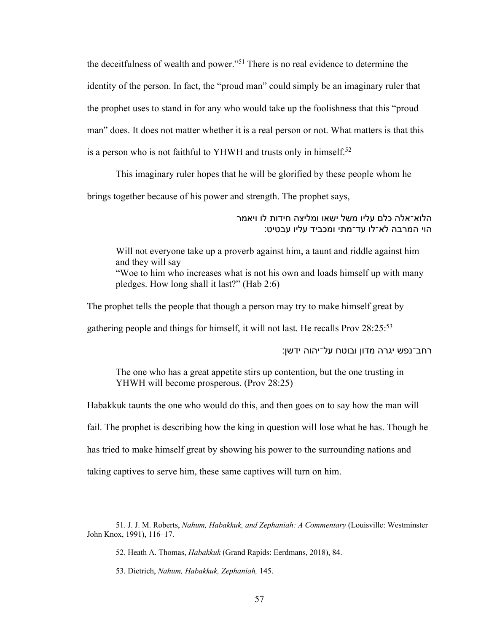the deceitfulness of wealth and power."51 There is no real evidence to determine the identity of the person. In fact, the "proud man" could simply be an imaginary ruler that the prophet uses to stand in for any who would take up the foolishness that this "proud man" does. It does not matter whether it is a real person or not. What matters is that this is a person who is not faithful to YHWH and trusts only in himself.<sup>52</sup>

This imaginary ruler hopes that he will be glorified by these people whom he

brings together because of his power and strength. The prophet says,

הלוא־אלה כלם עליו משל ישאו ומליצה חידות לו ויאמר הוי המרבה לא־לו עד־מתי ומכביד עליו עבטיט:

Will not everyone take up a proverb against him, a taunt and riddle against him and they will say "Woe to him who increases what is not his own and loads himself up with many pledges. How long shall it last?" (Hab 2:6)

The prophet tells the people that though a person may try to make himself great by

gathering people and things for himself, it will not last. He recalls Prov 28:25:53

רחב־נפש יגרה מדון ובוטח על־יהוה ידשן:

The one who has a great appetite stirs up contention, but the one trusting in YHWH will become prosperous. (Prov 28:25)

Habakkuk taunts the one who would do this, and then goes on to say how the man will fail. The prophet is describing how the king in question will lose what he has. Though he has tried to make himself great by showing his power to the surrounding nations and taking captives to serve him, these same captives will turn on him.

<sup>51.</sup> J. J. M. Roberts, *Nahum, Habakkuk, and Zephaniah: A Commentary* (Louisville: Westminster John Knox, 1991), 116–17.

<sup>52.</sup> Heath A. Thomas, *Habakkuk* (Grand Rapids: Eerdmans, 2018), 84.

<sup>53.</sup> Dietrich, *Nahum, Habakkuk, Zephaniah,* 145.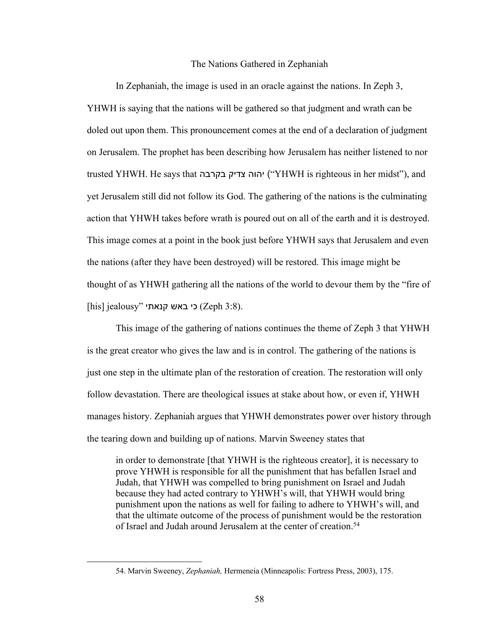#### The Nations Gathered in Zephaniah

In Zephaniah, the image is used in an oracle against the nations. In Zeph 3, YHWH is saying that the nations will be gathered so that judgment and wrath can be doled out upon them. This pronouncement comes at the end of a declaration of judgment on Jerusalem. The prophet has been describing how Jerusalem has neither listened to nor trusted YHWH. He says that הוה צדיק בקרבה ("YHWH is righteous in her midst"), and yet Jerusalem still did not follow its God. The gathering of the nations is the culminating action that YHWH takes before wrath is poured out on all of the earth and it is destroyed. This image comes at a point in the book just before YHWH says that Jerusalem and even the nations (after they have been destroyed) will be restored. This image might be thought of as YHWH gathering all the nations of the world to devour them by the "fire of  $[$ his] jealousy" כי באש קנאתי (Zeph 3:8).

This image of the gathering of nations continues the theme of Zeph 3 that YHWH is the great creator who gives the law and is in control. The gathering of the nations is just one step in the ultimate plan of the restoration of creation. The restoration will only follow devastation. There are theological issues at stake about how, or even if, YHWH manages history. Zephaniah argues that YHWH demonstrates power over history through the tearing down and building up of nations. Marvin Sweeney states that

in order to demonstrate [that YHWH is the righteous creator], it is necessary to prove YHWH is responsible for all the punishment that has befallen Israel and Judah, that YHWH was compelled to bring punishment on Israel and Judah because they had acted contrary to YHWH's will, that YHWH would bring punishment upon the nations as well for failing to adhere to YHWH's will, and that the ultimate outcome of the process of punishment would be the restoration of Israel and Judah around Jerusalem at the center of creation.<sup>54</sup>

<sup>54.</sup> Marvin Sweeney, *Zephaniah,* Hermeneia (Minneapolis: Fortress Press, 2003), 175.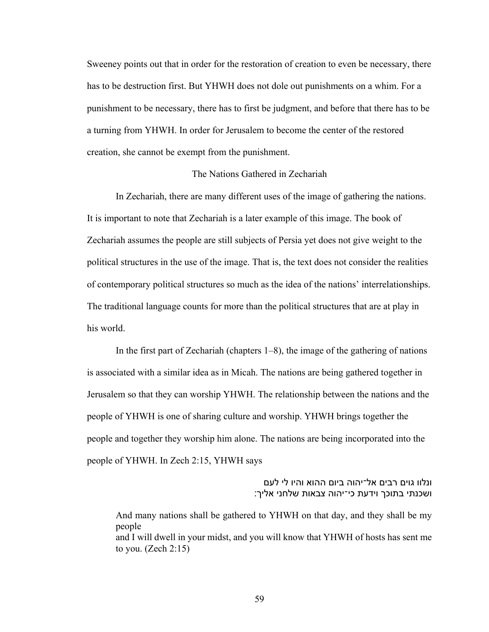Sweeney points out that in order for the restoration of creation to even be necessary, there has to be destruction first. But YHWH does not dole out punishments on a whim. For a punishment to be necessary, there has to first be judgment, and before that there has to be a turning from YHWH. In order for Jerusalem to become the center of the restored creation, she cannot be exempt from the punishment.

# The Nations Gathered in Zechariah

In Zechariah, there are many different uses of the image of gathering the nations. It is important to note that Zechariah is a later example of this image. The book of Zechariah assumes the people are still subjects of Persia yet does not give weight to the political structures in the use of the image. That is, the text does not consider the realities of contemporary political structures so much as the idea of the nations' interrelationships. The traditional language counts for more than the political structures that are at play in his world.

In the first part of Zechariah (chapters 1–8), the image of the gathering of nations is associated with a similar idea as in Micah. The nations are being gathered together in Jerusalem so that they can worship YHWH. The relationship between the nations and the people of YHWH is one of sharing culture and worship. YHWH brings together the people and together they worship him alone. The nations are being incorporated into the people of YHWH. In Zech 2:15, YHWH says

> ונלוו גוים רבים אל־יהוה ביום ההוא והיו לי לעם ושכנתי בתוכך וידעת כי־יהוה צבאות שלחני אליך:

And many nations shall be gathered to YHWH on that day, and they shall be my people and I will dwell in your midst, and you will know that YHWH of hosts has sent me to you. (Zech 2:15)

59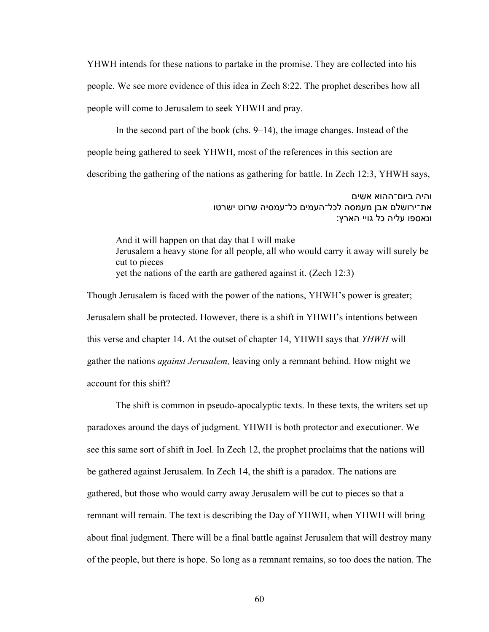YHWH intends for these nations to partake in the promise. They are collected into his people. We see more evidence of this idea in Zech 8:22. The prophet describes how all people will come to Jerusalem to seek YHWH and pray.

In the second part of the book (chs. 9–14), the image changes. Instead of the people being gathered to seek YHWH, most of the references in this section are describing the gathering of the nations as gathering for battle. In Zech 12:3, YHWH says,

> והיה ביום־ההוא אשים את־ירושלם אבן מעמסה לכל־העמים כל־עמסיה שרוט ישרטו ונאספו עליה כל גויי הארץ:

And it will happen on that day that I will make Jerusalem a heavy stone for all people, all who would carry it away will surely be cut to pieces yet the nations of the earth are gathered against it. (Zech 12:3)

Though Jerusalem is faced with the power of the nations, YHWH's power is greater; Jerusalem shall be protected. However, there is a shift in YHWH's intentions between this verse and chapter 14. At the outset of chapter 14, YHWH says that *YHWH* will gather the nations *against Jerusalem,* leaving only a remnant behind. How might we account for this shift?

The shift is common in pseudo-apocalyptic texts. In these texts, the writers set up paradoxes around the days of judgment. YHWH is both protector and executioner. We see this same sort of shift in Joel. In Zech 12, the prophet proclaims that the nations will be gathered against Jerusalem. In Zech 14, the shift is a paradox. The nations are gathered, but those who would carry away Jerusalem will be cut to pieces so that a remnant will remain. The text is describing the Day of YHWH, when YHWH will bring about final judgment. There will be a final battle against Jerusalem that will destroy many of the people, but there is hope. So long as a remnant remains, so too does the nation. The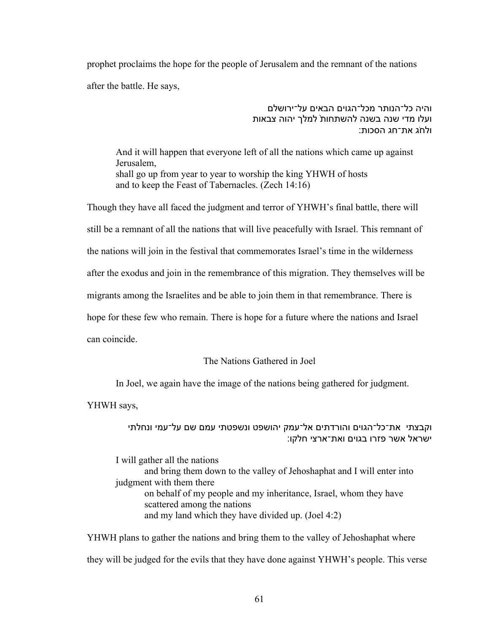prophet proclaims the hope for the people of Jerusalem and the remnant of the nations after the battle. He says,

> והיה כל־הנותר מכל־הגוים הבאים על־ירושלם ועלו מדי שנה בשנה להשתחות ׁלמלך יהוה צבאות ולחג את־חג הסכות:

And it will happen that everyone left of all the nations which came up against Jerusalem, shall go up from year to year to worship the king YHWH of hosts and to keep the Feast of Tabernacles. (Zech 14:16)

Though they have all faced the judgment and terror of YHWH's final battle, there will still be a remnant of all the nations that will live peacefully with Israel. This remnant of the nations will join in the festival that commemorates Israel's time in the wilderness after the exodus and join in the remembrance of this migration. They themselves will be migrants among the Israelites and be able to join them in that remembrance. There is hope for these few who remain. There is hope for a future where the nations and Israel can coincide.

# The Nations Gathered in Joel

In Joel, we again have the image of the nations being gathered for judgment.

YHWH says,

# וקבצתי את־כל־הגוים והורדתים אל־עמק יהושפט ונשפטתי עמם שם על־עמי ונחלתי ישראל אשר פזרו בגוים ואת־ארצי חלקו:

I will gather all the nations

and bring them down to the valley of Jehoshaphat and I will enter into judgment with them there on behalf of my people and my inheritance, Israel, whom they have scattered among the nations and my land which they have divided up. (Joel 4:2)

YHWH plans to gather the nations and bring them to the valley of Jehoshaphat where they will be judged for the evils that they have done against YHWH's people. This verse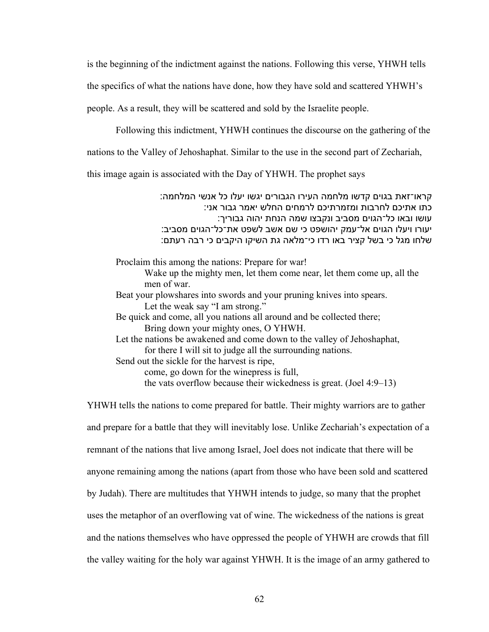is the beginning of the indictment against the nations. Following this verse, YHWH tells

the specifics of what the nations have done, how they have sold and scattered YHWH's

people. As a result, they will be scattered and sold by the Israelite people.

Following this indictment, YHWH continues the discourse on the gathering of the

nations to the Valley of Jehoshaphat. Similar to the use in the second part of Zechariah,

this image again is associated with the Day of YHWH. The prophet says

: קראו־זאת בגוים קדשו מלחמה העירו הגבורים יגשו יעלו כל אנשי המלחמה כתו אתיכם לחרבות ומזמרתיכם לרמחים החלש יאמר גבור אני: עושו ובאו כל־הגוים מסביב ונקבצו שמה הנחת יהוה גבוריך: יעורו ויעלו הגוים אל־עמק יהושפט כי שם אשב לשפט את־כל־הגוים מסביב: שלחו מגל כי בשל קציר באו רדו כי־מלאה גת השיקו היקבים כי רבה רעתם:

Proclaim this among the nations: Prepare for war! Wake up the mighty men, let them come near, let them come up, all the men of war.

Beat your plowshares into swords and your pruning knives into spears. Let the weak say "I am strong."

Be quick and come, all you nations all around and be collected there; Bring down your mighty ones, O YHWH.

Let the nations be awakened and come down to the valley of Jehoshaphat, for there I will sit to judge all the surrounding nations.

Send out the sickle for the harvest is ripe,

come, go down for the winepress is full,

the vats overflow because their wickedness is great. (Joel 4:9–13)

YHWH tells the nations to come prepared for battle. Their mighty warriors are to gather and prepare for a battle that they will inevitably lose. Unlike Zechariah's expectation of a remnant of the nations that live among Israel, Joel does not indicate that there will be anyone remaining among the nations (apart from those who have been sold and scattered by Judah). There are multitudes that YHWH intends to judge, so many that the prophet uses the metaphor of an overflowing vat of wine. The wickedness of the nations is great and the nations themselves who have oppressed the people of YHWH are crowds that fill the valley waiting for the holy war against YHWH. It is the image of an army gathered to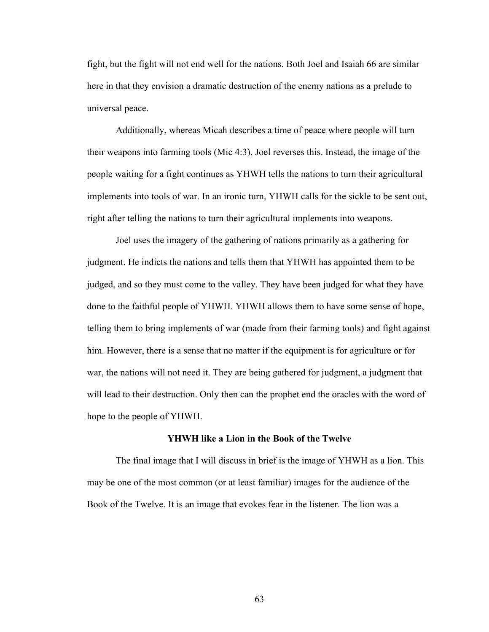fight, but the fight will not end well for the nations. Both Joel and Isaiah 66 are similar here in that they envision a dramatic destruction of the enemy nations as a prelude to universal peace.

Additionally, whereas Micah describes a time of peace where people will turn their weapons into farming tools (Mic 4:3), Joel reverses this. Instead, the image of the people waiting for a fight continues as YHWH tells the nations to turn their agricultural implements into tools of war. In an ironic turn, YHWH calls for the sickle to be sent out, right after telling the nations to turn their agricultural implements into weapons.

Joel uses the imagery of the gathering of nations primarily as a gathering for judgment. He indicts the nations and tells them that YHWH has appointed them to be judged, and so they must come to the valley. They have been judged for what they have done to the faithful people of YHWH. YHWH allows them to have some sense of hope, telling them to bring implements of war (made from their farming tools) and fight against him. However, there is a sense that no matter if the equipment is for agriculture or for war, the nations will not need it. They are being gathered for judgment, a judgment that will lead to their destruction. Only then can the prophet end the oracles with the word of hope to the people of YHWH.

## **YHWH like a Lion in the Book of the Twelve**

The final image that I will discuss in brief is the image of YHWH as a lion. This may be one of the most common (or at least familiar) images for the audience of the Book of the Twelve. It is an image that evokes fear in the listener. The lion was a

63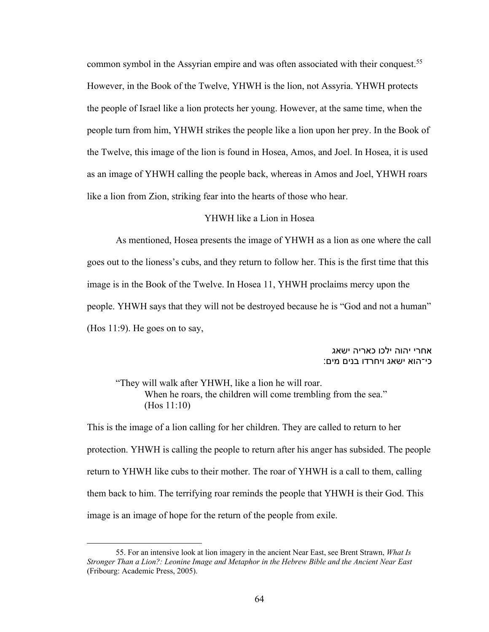common symbol in the Assyrian empire and was often associated with their conquest.55 However, in the Book of the Twelve, YHWH is the lion, not Assyria. YHWH protects the people of Israel like a lion protects her young. However, at the same time, when the people turn from him, YHWH strikes the people like a lion upon her prey. In the Book of the Twelve, this image of the lion is found in Hosea, Amos, and Joel. In Hosea, it is used as an image of YHWH calling the people back, whereas in Amos and Joel, YHWH roars like a lion from Zion, striking fear into the hearts of those who hear.

## YHWH like a Lion in Hosea

As mentioned, Hosea presents the image of YHWH as a lion as one where the call goes out to the lioness's cubs, and they return to follow her. This is the first time that this image is in the Book of the Twelve. In Hosea 11, YHWH proclaims mercy upon the people. YHWH says that they will not be destroyed because he is "God and not a human" (Hos 11:9). He goes on to say,

# אחרי יהוה ילכו כאריה ישאג :כי־הוא ישאג ויחרדו בנים מים

"They will walk after YHWH, like a lion he will roar. When he roars, the children will come trembling from the sea." (Hos 11:10)

This is the image of a lion calling for her children. They are called to return to her protection. YHWH is calling the people to return after his anger has subsided. The people return to YHWH like cubs to their mother. The roar of YHWH is a call to them, calling them back to him. The terrifying roar reminds the people that YHWH is their God. This image is an image of hope for the return of the people from exile.

<sup>55.</sup> For an intensive look at lion imagery in the ancient Near East, see Brent Strawn, *What Is Stronger Than a Lion?: Leonine Image and Metaphor in the Hebrew Bible and the Ancient Near East*  (Fribourg: Academic Press, 2005).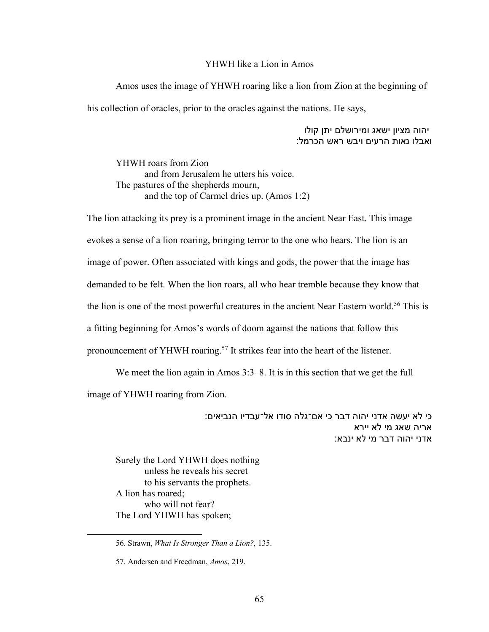### YHWH like a Lion in Amos

Amos uses the image of YHWH roaring like a lion from Zion at the beginning of his collection of oracles, prior to the oracles against the nations. He says,

## יהוה מציון ישאג ומירושלם יתן קולו ואבלו נאות הרעים ויבש ראש הכרמל:

YHWH roars from Zion and from Jerusalem he utters his voice. The pastures of the shepherds mourn, and the top of Carmel dries up. (Amos 1:2)

The lion attacking its prey is a prominent image in the ancient Near East. This image evokes a sense of a lion roaring, bringing terror to the one who hears. The lion is an image of power. Often associated with kings and gods, the power that the image has demanded to be felt. When the lion roars, all who hear tremble because they know that the lion is one of the most powerful creatures in the ancient Near Eastern world.<sup>56</sup> This is a fitting beginning for Amos's words of doom against the nations that follow this pronouncement of YHWH roaring.<sup>57</sup> It strikes fear into the heart of the listener.

We meet the lion again in Amos 3:3–8. It is in this section that we get the full image of YHWH roaring from Zion.

> :כי לא יעשה אדני יהוה דבר כי אם־גלה סודו אל־עבדיו הנביאים אריה שאג מי לא יירא אדני יהוה דבר מי לא ינבא:

Surely the Lord YHWH does nothing unless he reveals his secret to his servants the prophets. A lion has roared; who will not fear? The Lord YHWH has spoken;

<sup>56.</sup> Strawn, *What Is Stronger Than a Lion?,* 135.

<sup>57.</sup> Andersen and Freedman, *Amos*, 219.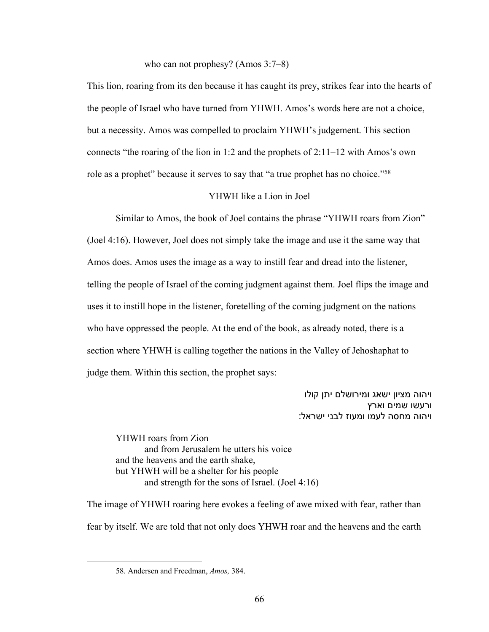who can not prophesy? (Amos 3:7–8)

This lion, roaring from its den because it has caught its prey, strikes fear into the hearts of the people of Israel who have turned from YHWH. Amos's words here are not a choice, but a necessity. Amos was compelled to proclaim YHWH's judgement. This section connects "the roaring of the lion in 1:2 and the prophets of 2:11–12 with Amos's own role as a prophet" because it serves to say that "a true prophet has no choice."58

#### YHWH like a Lion in Joel

Similar to Amos, the book of Joel contains the phrase "YHWH roars from Zion" (Joel 4:16). However, Joel does not simply take the image and use it the same way that Amos does. Amos uses the image as a way to instill fear and dread into the listener, telling the people of Israel of the coming judgment against them. Joel flips the image and uses it to instill hope in the listener, foretelling of the coming judgment on the nations who have oppressed the people. At the end of the book, as already noted, there is a section where YHWH is calling together the nations in the Valley of Jehoshaphat to judge them. Within this section, the prophet says:

> ויהוה מציון ישאג ומירושלם יתן קולו ורעשו שמים וארץ ויהוה מחסה לעמו ומעוז לבני ישראל:

YHWH roars from Zion and from Jerusalem he utters his voice and the heavens and the earth shake, but YHWH will be a shelter for his people and strength for the sons of Israel. (Joel 4:16)

The image of YHWH roaring here evokes a feeling of awe mixed with fear, rather than fear by itself. We are told that not only does YHWH roar and the heavens and the earth

<sup>58.</sup> Andersen and Freedman, *Amos,* 384.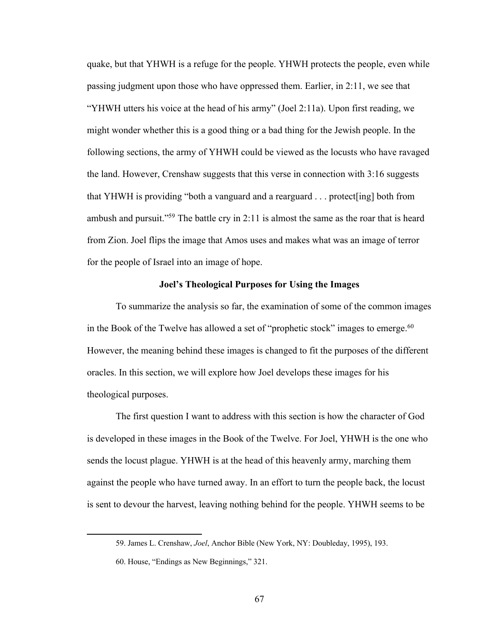quake, but that YHWH is a refuge for the people. YHWH protects the people, even while passing judgment upon those who have oppressed them. Earlier, in 2:11, we see that "YHWH utters his voice at the head of his army" (Joel 2:11a). Upon first reading, we might wonder whether this is a good thing or a bad thing for the Jewish people. In the following sections, the army of YHWH could be viewed as the locusts who have ravaged the land. However, Crenshaw suggests that this verse in connection with 3:16 suggests that YHWH is providing "both a vanguard and a rearguard . . . protect[ing] both from ambush and pursuit."59 The battle cry in 2:11 is almost the same as the roar that is heard from Zion. Joel flips the image that Amos uses and makes what was an image of terror for the people of Israel into an image of hope.

#### **Joel's Theological Purposes for Using the Images**

To summarize the analysis so far, the examination of some of the common images in the Book of the Twelve has allowed a set of "prophetic stock" images to emerge.<sup>60</sup> However, the meaning behind these images is changed to fit the purposes of the different oracles. In this section, we will explore how Joel develops these images for his theological purposes.

The first question I want to address with this section is how the character of God is developed in these images in the Book of the Twelve. For Joel, YHWH is the one who sends the locust plague. YHWH is at the head of this heavenly army, marching them against the people who have turned away. In an effort to turn the people back, the locust is sent to devour the harvest, leaving nothing behind for the people. YHWH seems to be

<sup>59.</sup> James L. Crenshaw, *Joel*, Anchor Bible (New York, NY: Doubleday, 1995), 193.

<sup>60.</sup> House, "Endings as New Beginnings," 321.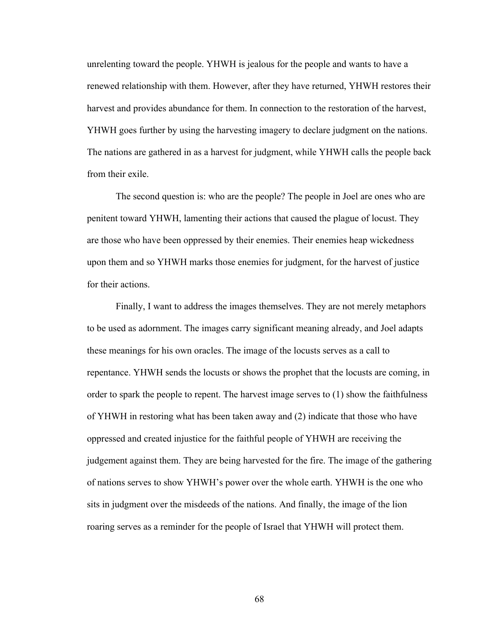unrelenting toward the people. YHWH is jealous for the people and wants to have a renewed relationship with them. However, after they have returned, YHWH restores their harvest and provides abundance for them. In connection to the restoration of the harvest, YHWH goes further by using the harvesting imagery to declare judgment on the nations. The nations are gathered in as a harvest for judgment, while YHWH calls the people back from their exile.

The second question is: who are the people? The people in Joel are ones who are penitent toward YHWH, lamenting their actions that caused the plague of locust. They are those who have been oppressed by their enemies. Their enemies heap wickedness upon them and so YHWH marks those enemies for judgment, for the harvest of justice for their actions.

Finally, I want to address the images themselves. They are not merely metaphors to be used as adornment. The images carry significant meaning already, and Joel adapts these meanings for his own oracles. The image of the locusts serves as a call to repentance. YHWH sends the locusts or shows the prophet that the locusts are coming, in order to spark the people to repent. The harvest image serves to (1) show the faithfulness of YHWH in restoring what has been taken away and (2) indicate that those who have oppressed and created injustice for the faithful people of YHWH are receiving the judgement against them. They are being harvested for the fire. The image of the gathering of nations serves to show YHWH's power over the whole earth. YHWH is the one who sits in judgment over the misdeeds of the nations. And finally, the image of the lion roaring serves as a reminder for the people of Israel that YHWH will protect them.

68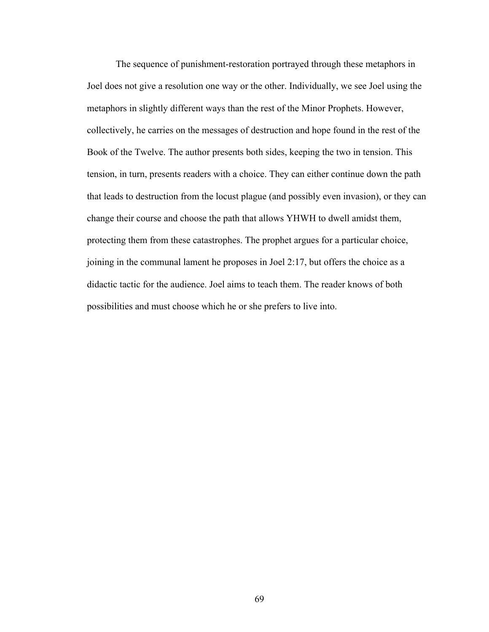The sequence of punishment-restoration portrayed through these metaphors in Joel does not give a resolution one way or the other. Individually, we see Joel using the metaphors in slightly different ways than the rest of the Minor Prophets. However, collectively, he carries on the messages of destruction and hope found in the rest of the Book of the Twelve. The author presents both sides, keeping the two in tension. This tension, in turn, presents readers with a choice. They can either continue down the path that leads to destruction from the locust plague (and possibly even invasion), or they can change their course and choose the path that allows YHWH to dwell amidst them, protecting them from these catastrophes. The prophet argues for a particular choice, joining in the communal lament he proposes in Joel 2:17, but offers the choice as a didactic tactic for the audience. Joel aims to teach them. The reader knows of both possibilities and must choose which he or she prefers to live into.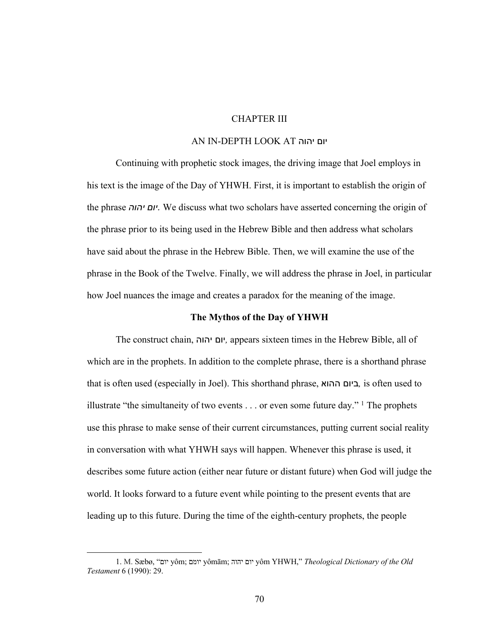# CHAPTER III

## AN IN-DEPTH LOOK AT הוהי םוי

Continuing with prophetic stock images, the driving image that Joel employs in his text is the image of the Day of YHWH. First, it is important to establish the origin of the phrase *יום יהוה*. We discuss what two scholars have asserted concerning the origin of the phrase prior to its being used in the Hebrew Bible and then address what scholars have said about the phrase in the Hebrew Bible. Then, we will examine the use of the phrase in the Book of the Twelve. Finally, we will address the phrase in Joel, in particular how Joel nuances the image and creates a paradox for the meaning of the image.

## **The Mythos of the Day of YHWH**

The construct chain, םוי הוהי *,* appears sixteen times in the Hebrew Bible, all of which are in the prophets. In addition to the complete phrase, there is a shorthand phrase that is often used (especially in Joel). This shorthand phrase, םויב אוהה *,* is often used to illustrate "the simultaneity of two events  $\dots$  or even some future day." <sup>1</sup> The prophets use this phrase to make sense of their current circumstances, putting current social reality in conversation with what YHWH says will happen. Whenever this phrase is used, it describes some future action (either near future or distant future) when God will judge the world. It looks forward to a future event while pointing to the present events that are leading up to this future. During the time of the eighth-century prophets, the people

<sup>1.</sup> M. Sæbø, " םוי yôm; םמוי yômām; םוי הוהי yôm YHWH," *Theological Dictionary of the Old Testament* 6 (1990): 29.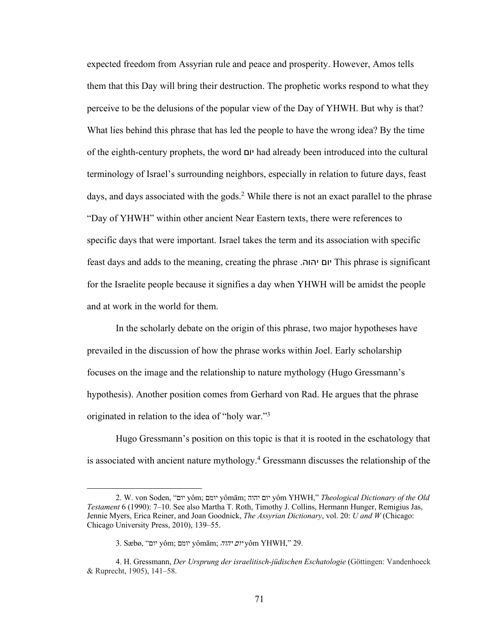expected freedom from Assyrian rule and peace and prosperity. However, Amos tells them that this Day will bring their destruction. The prophetic works respond to what they perceive to be the delusions of the popular view of the Day of YHWH. But why is that? What lies behind this phrase that has led the people to have the wrong idea? By the time of the eighth-century prophets, the word םוי had already been introduced into the cultural terminology of Israel's surrounding neighbors, especially in relation to future days, feast days, and days associated with the gods.<sup>2</sup> While there is not an exact parallel to the phrase "Day of YHWH" within other ancient Near Eastern texts, there were references to specific days that were important. Israel takes the term and its association with specific feast days and adds to the meaning, creating the phrase . םוי הוהי This phrase is significant for the Israelite people because it signifies a day when YHWH will be amidst the people and at work in the world for them.

In the scholarly debate on the origin of this phrase, two major hypotheses have prevailed in the discussion of how the phrase works within Joel. Early scholarship focuses on the image and the relationship to nature mythology (Hugo Gressmann's hypothesis). Another position comes from Gerhard von Rad. He argues that the phrase originated in relation to the idea of "holy war."3

Hugo Gressmann's position on this topic is that it is rooted in the eschatology that is associated with ancient nature mythology.4 Gressmann discusses the relationship of the

<sup>2.</sup> W. von Soden, " םוי yôm; םמוי yômām; םוי הוהי yôm YHWH," *Theological Dictionary of the Old Testament* 6 (1990): 7–10. See also Martha T. Roth, Timothy J. Collins, Hermann Hunger, Remigius Jas, Jennie Myers, Erica Reiner, and Joan Goodnick, *The Assyrian Dictionary*, vol. 20: *U and W* (Chicago: Chicago University Press, 2010), 139–55.

<sup>3.</sup> Sæbø, " םוי yôm; םמוי yômām; םוי הוהי yôm YHWH," 29.

<sup>4.</sup> H. Gressmann, *Der Ursprung der israelitisch-jüdischen Eschatologie* (Göttingen: Vandenhoeck & Ruprecht, 1905), 141–58.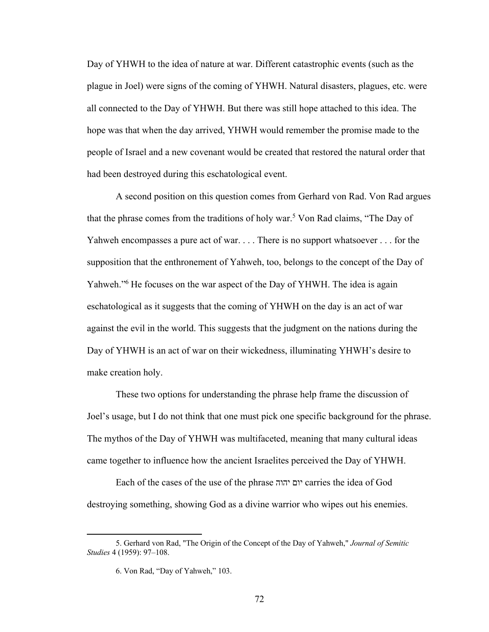Day of YHWH to the idea of nature at war. Different catastrophic events (such as the plague in Joel) were signs of the coming of YHWH. Natural disasters, plagues, etc. were all connected to the Day of YHWH. But there was still hope attached to this idea. The hope was that when the day arrived, YHWH would remember the promise made to the people of Israel and a new covenant would be created that restored the natural order that had been destroyed during this eschatological event.

A second position on this question comes from Gerhard von Rad. Von Rad argues that the phrase comes from the traditions of holy war. <sup>5</sup> Von Rad claims, "The Day of Yahweh encompasses a pure act of war. . . . There is no support whatsoever . . . for the supposition that the enthronement of Yahweh, too, belongs to the concept of the Day of Yahweh."<sup>6</sup> He focuses on the war aspect of the Day of YHWH. The idea is again eschatological as it suggests that the coming of YHWH on the day is an act of war against the evil in the world. This suggests that the judgment on the nations during the Day of YHWH is an act of war on their wickedness, illuminating YHWH's desire to make creation holy.

These two options for understanding the phrase help frame the discussion of Joel's usage, but I do not think that one must pick one specific background for the phrase. The mythos of the Day of YHWH was multifaceted, meaning that many cultural ideas came together to influence how the ancient Israelites perceived the Day of YHWH.

Each of the cases of the use of the phrase הוהי םוי carries the idea of God destroying something, showing God as a divine warrior who wipes out his enemies.

<sup>5.</sup> Gerhard von Rad, "The Origin of the Concept of the Day of Yahweh," *Journal of Semitic Studies* 4 (1959): 97–108.

<sup>6.</sup> Von Rad, "Day of Yahweh," 103.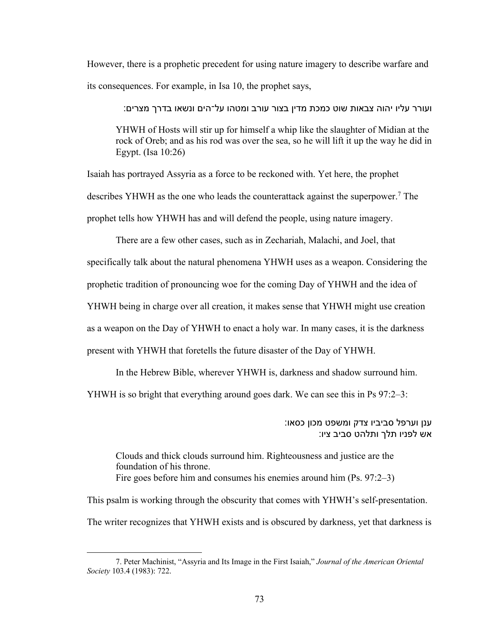However, there is a prophetic precedent for using nature imagery to describe warfare and its consequences. For example, in Isa 10, the prophet says,

ועורר עליו יהוה צבאות שוט כמכת מדין בצור עורב ומטהו על־הים ונשאו בדרך מצרים:

YHWH of Hosts will stir up for himself a whip like the slaughter of Midian at the rock of Oreb; and as his rod was over the sea, so he will lift it up the way he did in Egypt. (Isa 10:26)

Isaiah has portrayed Assyria as a force to be reckoned with. Yet here, the prophet describes YHWH as the one who leads the counterattack against the superpower.7 The prophet tells how YHWH has and will defend the people, using nature imagery.

There are a few other cases, such as in Zechariah, Malachi, and Joel, that specifically talk about the natural phenomena YHWH uses as a weapon. Considering the prophetic tradition of pronouncing woe for the coming Day of YHWH and the idea of YHWH being in charge over all creation, it makes sense that YHWH might use creation as a weapon on the Day of YHWH to enact a holy war. In many cases, it is the darkness present with YHWH that foretells the future disaster of the Day of YHWH.

In the Hebrew Bible, wherever YHWH is, darkness and shadow surround him.

YHWH is so bright that everything around goes dark. We can see this in Ps 97:2–3:

ענן וערפל סביביו צדק ומשפט מכון כסאו: אש לפניו תלך ותלהט סביב ציו:

Clouds and thick clouds surround him. Righteousness and justice are the foundation of his throne. Fire goes before him and consumes his enemies around him (Ps. 97:2–3)

This psalm is working through the obscurity that comes with YHWH's self-presentation. The writer recognizes that YHWH exists and is obscured by darkness, yet that darkness is

<sup>7.</sup> Peter Machinist, "Assyria and Its Image in the First Isaiah," *Journal of the American Oriental Society* 103.4 (1983): 722.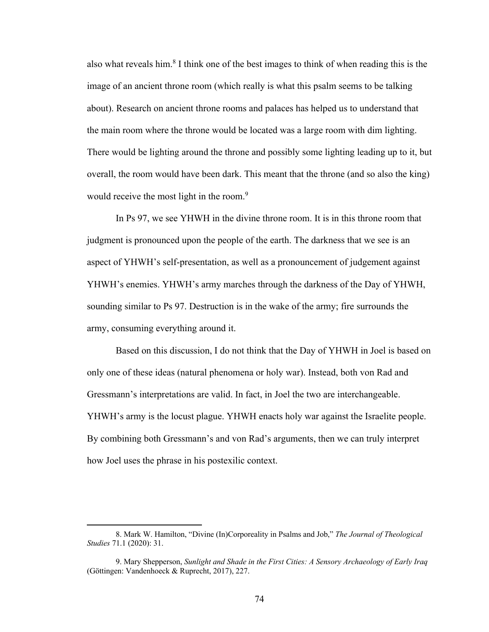also what reveals him.<sup>8</sup> I think one of the best images to think of when reading this is the image of an ancient throne room (which really is what this psalm seems to be talking about). Research on ancient throne rooms and palaces has helped us to understand that the main room where the throne would be located was a large room with dim lighting. There would be lighting around the throne and possibly some lighting leading up to it, but overall, the room would have been dark. This meant that the throne (and so also the king) would receive the most light in the room.<sup>9</sup>

In Ps 97, we see YHWH in the divine throne room. It is in this throne room that judgment is pronounced upon the people of the earth. The darkness that we see is an aspect of YHWH's self-presentation, as well as a pronouncement of judgement against YHWH's enemies. YHWH's army marches through the darkness of the Day of YHWH, sounding similar to Ps 97. Destruction is in the wake of the army; fire surrounds the army, consuming everything around it.

Based on this discussion, I do not think that the Day of YHWH in Joel is based on only one of these ideas (natural phenomena or holy war). Instead, both von Rad and Gressmann's interpretations are valid. In fact, in Joel the two are interchangeable. YHWH's army is the locust plague. YHWH enacts holy war against the Israelite people. By combining both Gressmann's and von Rad's arguments, then we can truly interpret how Joel uses the phrase in his postexilic context.

<sup>8.</sup> Mark W. Hamilton, "Divine (In)Corporeality in Psalms and Job," *The Journal of Theological Studies* 71.1 (2020): 31.

<sup>9.</sup> Mary Shepperson, *Sunlight and Shade in the First Cities: A Sensory Archaeology of Early Iraq* (Göttingen: Vandenhoeck & Ruprecht, 2017), 227.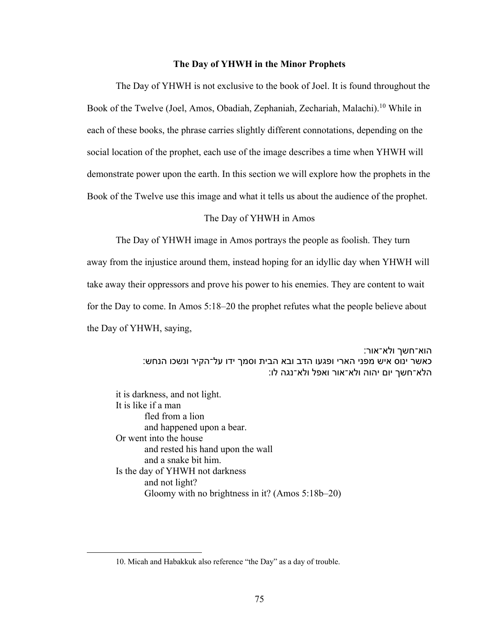### **The Day of YHWH in the Minor Prophets**

The Day of YHWH is not exclusive to the book of Joel. It is found throughout the Book of the Twelve (Joel, Amos, Obadiah, Zephaniah, Zechariah, Malachi).<sup>10</sup> While in each of these books, the phrase carries slightly different connotations, depending on the social location of the prophet, each use of the image describes a time when YHWH will demonstrate power upon the earth. In this section we will explore how the prophets in the Book of the Twelve use this image and what it tells us about the audience of the prophet.

#### The Day of YHWH in Amos

The Day of YHWH image in Amos portrays the people as foolish. They turn

away from the injustice around them, instead hoping for an idyllic day when YHWH will take away their oppressors and prove his power to his enemies. They are content to wait for the Day to come. In Amos 5:18–20 the prophet refutes what the people believe about the Day of YHWH, saying,

> הוא־חשך ולא־אור: כאשר ינוס איש מפני הארי ופגעו הדב ובא הבית וסמך ידו על־הקיר ונשכו הנחש: הלא־חשך יום יהוה ולא־אור ואפל ולא־נגה לו:

it is darkness, and not light. It is like if a man fled from a lion and happened upon a bear. Or went into the house and rested his hand upon the wall and a snake bit him. Is the day of YHWH not darkness and not light? Gloomy with no brightness in it? (Amos 5:18b–20)

<sup>10.</sup> Micah and Habakkuk also reference "the Day" as a day of trouble.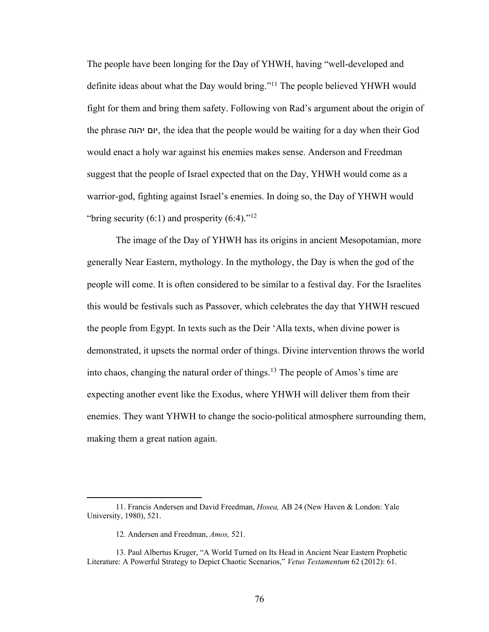The people have been longing for the Day of YHWH, having "well-developed and definite ideas about what the Day would bring."11 The people believed YHWH would fight for them and bring them safety. Following von Rad's argument about the origin of the phrase םוי הוהי , the idea that the people would be waiting for a day when their God would enact a holy war against his enemies makes sense. Anderson and Freedman suggest that the people of Israel expected that on the Day, YHWH would come as a warrior-god, fighting against Israel's enemies. In doing so, the Day of YHWH would "bring security  $(6:1)$  and prosperity  $(6:4)$ ."<sup>12</sup>

The image of the Day of YHWH has its origins in ancient Mesopotamian, more generally Near Eastern, mythology. In the mythology, the Day is when the god of the people will come. It is often considered to be similar to a festival day. For the Israelites this would be festivals such as Passover, which celebrates the day that YHWH rescued the people from Egypt. In texts such as the Deir 'Alla texts, when divine power is demonstrated, it upsets the normal order of things. Divine intervention throws the world into chaos, changing the natural order of things.<sup>13</sup> The people of Amos's time are expecting another event like the Exodus, where YHWH will deliver them from their enemies. They want YHWH to change the socio-political atmosphere surrounding them, making them a great nation again.

<sup>11.</sup> Francis Andersen and David Freedman, *Hosea,* AB 24 (New Haven & London: Yale University, 1980), 521.

<sup>12.</sup> Andersen and Freedman, *Amos,* 521.

<sup>13.</sup> Paul Albertus Kruger, "A World Turned on Its Head in Ancient Near Eastern Prophetic Literature: A Powerful Strategy to Depict Chaotic Scenarios," *Vetus Testamentum* 62 (2012): 61.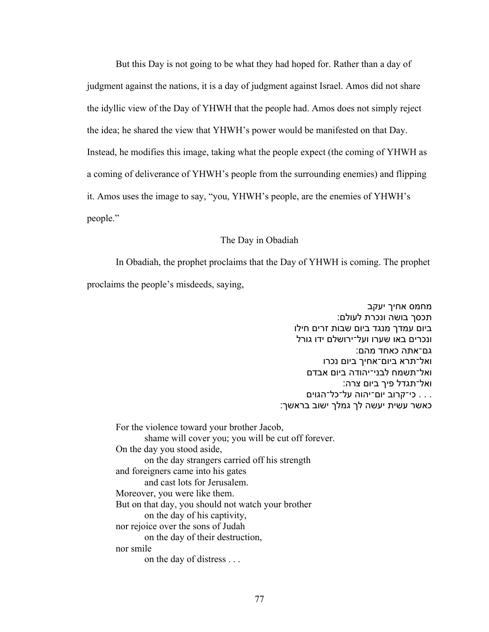But this Day is not going to be what they had hoped for. Rather than a day of judgment against the nations, it is a day of judgment against Israel. Amos did not share the idyllic view of the Day of YHWH that the people had. Amos does not simply reject the idea; he shared the view that YHWH's power would be manifested on that Day. Instead, he modifies this image, taking what the people expect (the coming of YHWH as a coming of deliverance of YHWH's people from the surrounding enemies) and flipping it. Amos uses the image to say, "you, YHWH's people, are the enemies of YHWH's people."

#### The Day in Obadiah

In Obadiah, the prophet proclaims that the Day of YHWH is coming. The prophet proclaims the people's misdeeds, saying,

> מחמס אחיך יעקב תכסך בושה ונכרת לעולם: ביום עמדך מנגד ביום שבות זרים חילו ונכרים באו שערו ועל־ירושלם ידו גורל גם־אתה כאחד מהם: ואל־תרא ביום־אחיך ביום נכרו ואל־תשמח לבני־יהודה ביום אבדם ואל־תגדל פיך ביום צרה:  $\cdots$  כי־קרוב יום־יהוה על־כל־הגוים . :כאשר עשית יעשה לך גמלך ישוב בראשך

For the violence toward your brother Jacob, shame will cover you; you will be cut off forever. On the day you stood aside, on the day strangers carried off his strength and foreigners came into his gates and cast lots for Jerusalem. Moreover, you were like them. But on that day, you should not watch your brother on the day of his captivity, nor rejoice over the sons of Judah on the day of their destruction, nor smile on the day of distress . . .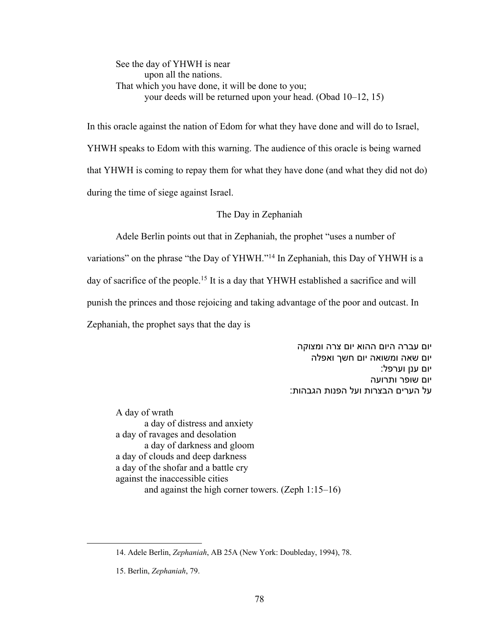See the day of YHWH is near upon all the nations. That which you have done, it will be done to you; your deeds will be returned upon your head. (Obad 10–12, 15)

In this oracle against the nation of Edom for what they have done and will do to Israel, YHWH speaks to Edom with this warning. The audience of this oracle is being warned that YHWH is coming to repay them for what they have done (and what they did not do) during the time of siege against Israel.

# The Day in Zephaniah

Adele Berlin points out that in Zephaniah, the prophet "uses a number of

variations" on the phrase "the Day of YHWH."14 In Zephaniah, this Day of YHWH is a day of sacrifice of the people.<sup>15</sup> It is a day that YHWH established a sacrifice and will punish the princes and those rejoicing and taking advantage of the poor and outcast. In

Zephaniah, the prophet says that the day is

יום עברה היום ההוא יום צרה ומצוקה יום שאה ומשואה יום חשך ואפלה יום ענן וערפל: יום שופר ותרועה על הערים הבצרות ועל הפנות הגבהות:

A day of wrath a day of distress and anxiety a day of ravages and desolation a day of darkness and gloom a day of clouds and deep darkness a day of the shofar and a battle cry against the inaccessible cities and against the high corner towers. (Zeph 1:15–16)

<sup>14.</sup> Adele Berlin, *Zephaniah*, AB 25A (New York: Doubleday, 1994), 78.

<sup>15.</sup> Berlin, *Zephaniah*, 79.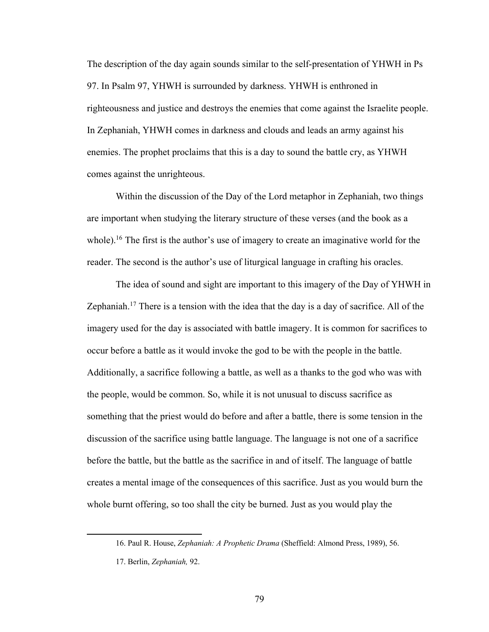The description of the day again sounds similar to the self-presentation of YHWH in Ps 97. In Psalm 97, YHWH is surrounded by darkness. YHWH is enthroned in righteousness and justice and destroys the enemies that come against the Israelite people. In Zephaniah, YHWH comes in darkness and clouds and leads an army against his enemies. The prophet proclaims that this is a day to sound the battle cry, as YHWH comes against the unrighteous.

Within the discussion of the Day of the Lord metaphor in Zephaniah, two things are important when studying the literary structure of these verses (and the book as a whole).<sup>16</sup> The first is the author's use of imagery to create an imaginative world for the reader. The second is the author's use of liturgical language in crafting his oracles.

The idea of sound and sight are important to this imagery of the Day of YHWH in Zephaniah.<sup>17</sup> There is a tension with the idea that the day is a day of sacrifice. All of the imagery used for the day is associated with battle imagery. It is common for sacrifices to occur before a battle as it would invoke the god to be with the people in the battle. Additionally, a sacrifice following a battle, as well as a thanks to the god who was with the people, would be common. So, while it is not unusual to discuss sacrifice as something that the priest would do before and after a battle, there is some tension in the discussion of the sacrifice using battle language. The language is not one of a sacrifice before the battle, but the battle as the sacrifice in and of itself. The language of battle creates a mental image of the consequences of this sacrifice. Just as you would burn the whole burnt offering, so too shall the city be burned. Just as you would play the

<sup>16.</sup> Paul R. House, *Zephaniah: A Prophetic Drama* (Sheffield: Almond Press, 1989), 56.

<sup>17.</sup> Berlin, *Zephaniah,* 92.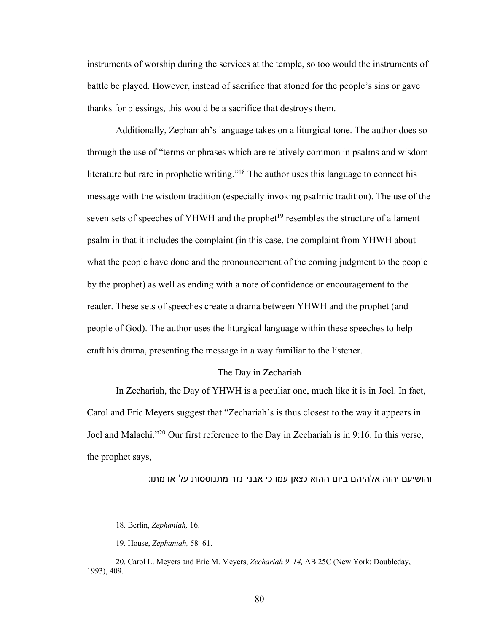instruments of worship during the services at the temple, so too would the instruments of battle be played. However, instead of sacrifice that atoned for the people's sins or gave thanks for blessings, this would be a sacrifice that destroys them.

Additionally, Zephaniah's language takes on a liturgical tone. The author does so through the use of "terms or phrases which are relatively common in psalms and wisdom literature but rare in prophetic writing."18 The author uses this language to connect his message with the wisdom tradition (especially invoking psalmic tradition). The use of the seven sets of speeches of YHWH and the prophet<sup>19</sup> resembles the structure of a lament psalm in that it includes the complaint (in this case, the complaint from YHWH about what the people have done and the pronouncement of the coming judgment to the people by the prophet) as well as ending with a note of confidence or encouragement to the reader. These sets of speeches create a drama between YHWH and the prophet (and people of God). The author uses the liturgical language within these speeches to help craft his drama, presenting the message in a way familiar to the listener.

## The Day in Zechariah

In Zechariah, the Day of YHWH is a peculiar one, much like it is in Joel. In fact, Carol and Eric Meyers suggest that "Zechariah's is thus closest to the way it appears in Joel and Malachi."20 Our first reference to the Day in Zechariah is in 9:16. In this verse, the prophet says,

והושיעם יהוה אלהיהם ביום ההוא כצאן עמו כי אבני־נזר מתנוססות על־אדמתו:

<sup>18.</sup> Berlin, *Zephaniah,* 16.

<sup>19.</sup> House, *Zephaniah,* 58–61.

<sup>20.</sup> Carol L. Meyers and Eric M. Meyers, *Zechariah 9–14,* AB 25C (New York: Doubleday, 1993), 409.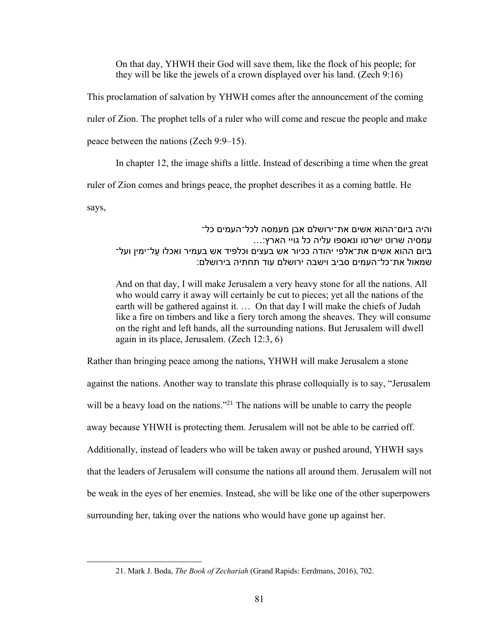On that day, YHWH their God will save them, like the flock of his people; for they will be like the jewels of a crown displayed over his land. (Zech 9:16)

This proclamation of salvation by YHWH comes after the announcement of the coming ruler of Zion. The prophet tells of a ruler who will come and rescue the people and make

peace between the nations (Zech 9:9–15).

In chapter 12, the image shifts a little. Instead of describing a time when the great

ruler of Zion comes and brings peace, the prophet describes it as a coming battle. He

says,

# והיה ביום־ההוא אשים את־ירושלם אבן מעמסה לכל־העמים כל־ עמסיה שרוט ישרטו ונאספו עליה כל גויי הארץ:... ביום ההוא אשים את־אלפי יהודה ככיור אש בעצים וכלפיד אש בעמיר ואכלו עַל־ימין ועל־ שמאול את־כל־העמים סביב וישבה ירושלם עוד תחתיה בירושלם:

And on that day, I will make Jerusalem a very heavy stone for all the nations. All who would carry it away will certainly be cut to pieces; yet all the nations of the earth will be gathered against it. … On that day I will make the chiefs of Judah like a fire on timbers and like a fiery torch among the sheaves. They will consume on the right and left hands, all the surrounding nations. But Jerusalem will dwell again in its place, Jerusalem. (Zech 12:3, 6)

Rather than bringing peace among the nations, YHWH will make Jerusalem a stone against the nations. Another way to translate this phrase colloquially is to say, "Jerusalem will be a heavy load on the nations."<sup>21</sup> The nations will be unable to carry the people away because YHWH is protecting them. Jerusalem will not be able to be carried off. Additionally, instead of leaders who will be taken away or pushed around, YHWH says that the leaders of Jerusalem will consume the nations all around them. Jerusalem will not be weak in the eyes of her enemies. Instead, she will be like one of the other superpowers surrounding her, taking over the nations who would have gone up against her.

<sup>21.</sup> Mark J. Boda, *The Book of Zechariah* (Grand Rapids: Eerdmans, 2016), 702.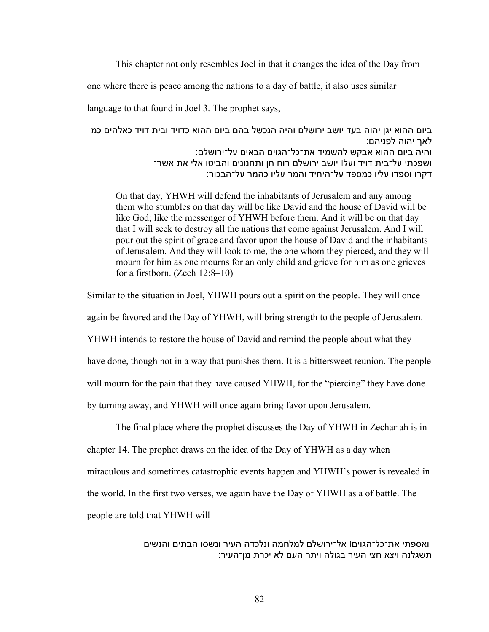This chapter not only resembles Joel in that it changes the idea of the Day from

one where there is peace among the nations to a day of battle, it also uses similar

language to that found in Joel 3. The prophet says,

ביום ההוא יגן יהוה בעד יושב ירושלם והיה הנכשל בהם ביום ההוא כדויד ובית דויד כאלהים כמ לאר יהוה לפניהם: והיה ביום ההוא אבקש להשמיד את־כל־הגוים הבאים על־ירושלם: ושפכתי על־בית דויד ועלו יושב ירושלם רוח חן ותחנונים והביטו אלי את אשר־ דקרו וספדו עליו כמספד על־היחיד והמר עליו כהמר על־הבכור:

On that day, YHWH will defend the inhabitants of Jerusalem and any among them who stumbles on that day will be like David and the house of David will be like God; like the messenger of YHWH before them. And it will be on that day that I will seek to destroy all the nations that come against Jerusalem. And I will pour out the spirit of grace and favor upon the house of David and the inhabitants of Jerusalem. And they will look to me, the one whom they pierced, and they will mourn for him as one mourns for an only child and grieve for him as one grieves for a firstborn. (Zech 12:8–10)

Similar to the situation in Joel, YHWH pours out a spirit on the people. They will once

again be favored and the Day of YHWH, will bring strength to the people of Jerusalem.

YHWH intends to restore the house of David and remind the people about what they

have done, though not in a way that punishes them. It is a bittersweet reunion. The people

will mourn for the pain that they have caused YHWH, for the "piercing" they have done

by turning away, and YHWH will once again bring favor upon Jerusalem.

The final place where the prophet discusses the Day of YHWH in Zechariah is in chapter 14. The prophet draws on the idea of the Day of YHWH as a day when miraculous and sometimes catastrophic events happen and YHWH's power is revealed in the world. In the first two verses, we again have the Day of YHWH as a of battle. The people are told that YHWH will

> ואספתי את־כל־הגויםו אל־ירושלם למלחמה ונלכדה העיר ונשסו הבתים והנשים תשגלנה ויצא חצי העיר בגולה ויתר העם לא יכרת מן־העיר: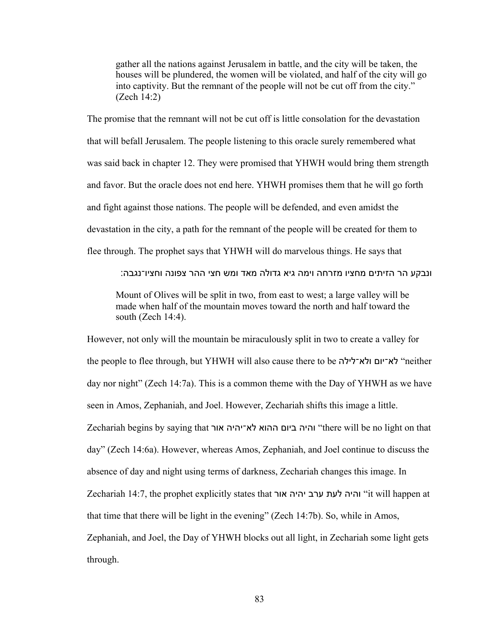gather all the nations against Jerusalem in battle, and the city will be taken, the houses will be plundered, the women will be violated, and half of the city will go into captivity. But the remnant of the people will not be cut off from the city." (Zech 14:2)

The promise that the remnant will not be cut off is little consolation for the devastation that will befall Jerusalem. The people listening to this oracle surely remembered what was said back in chapter 12. They were promised that YHWH would bring them strength and favor. But the oracle does not end here. YHWH promises them that he will go forth and fight against those nations. The people will be defended, and even amidst the devastation in the city, a path for the remnant of the people will be created for them to flee through. The prophet says that YHWH will do marvelous things. He says that

ונבקע הר הזיתים מחציו מזרחה וימה גיא גדולה מאד ומש חצי ההר צפונה וחציו־נגבה:

Mount of Olives will be split in two, from east to west; a large valley will be made when half of the mountain moves toward the north and half toward the south (Zech 14:4).

However, not only will the mountain be miraculously split in two to create a valley for the people to flee through, but YHWH will also cause there to be הלא־יום ולא־לילה day nor night" (Zech 14:7a). This is a common theme with the Day of YHWH as we have seen in Amos, Zephaniah, and Joel. However, Zechariah shifts this image a little. Zechariah begins by saying that רוא היהי־אל אוהה םויב היהו" there will be no light on that day" (Zech 14:6a). However, whereas Amos, Zephaniah, and Joel continue to discuss the absence of day and night using terms of darkness, Zechariah changes this image. In Zechariah 14:7, the prophet explicitly states that הי תעל ברע היהי רוא וה" it will happen at that time that there will be light in the evening" (Zech 14:7b). So, while in Amos, Zephaniah, and Joel, the Day of YHWH blocks out all light, in Zechariah some light gets through.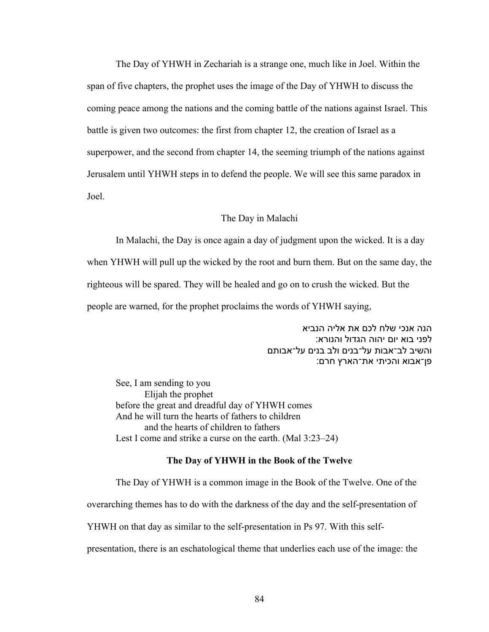The Day of YHWH in Zechariah is a strange one, much like in Joel. Within the span of five chapters, the prophet uses the image of the Day of YHWH to discuss the coming peace among the nations and the coming battle of the nations against Israel. This battle is given two outcomes: the first from chapter 12, the creation of Israel as a superpower, and the second from chapter 14, the seeming triumph of the nations against Jerusalem until YHWH steps in to defend the people. We will see this same paradox in Joel.

#### The Day in Malachi

In Malachi, the Day is once again a day of judgment upon the wicked. It is a day

when YHWH will pull up the wicked by the root and burn them. But on the same day, the righteous will be spared. They will be healed and go on to crush the wicked. But the people are warned, for the prophet proclaims the words of YHWH saying,

> הנה אנכי שלח לכם את אליה הנביא לפני בוא יום יהוה הגדול והנורא: והשיב לב־אבות על־בנים ולב בנים על־אבותם פן־אבוא והכיתי את־הארץ חרם:

See, I am sending to you Elijah the prophet before the great and dreadful day of YHWH comes And he will turn the hearts of fathers to children and the hearts of children to fathers Lest I come and strike a curse on the earth. (Mal 3:23–24)

#### **The Day of YHWH in the Book of the Twelve**

The Day of YHWH is a common image in the Book of the Twelve. One of the overarching themes has to do with the darkness of the day and the self-presentation of YHWH on that day as similar to the self-presentation in Ps 97. With this selfpresentation, there is an eschatological theme that underlies each use of the image: the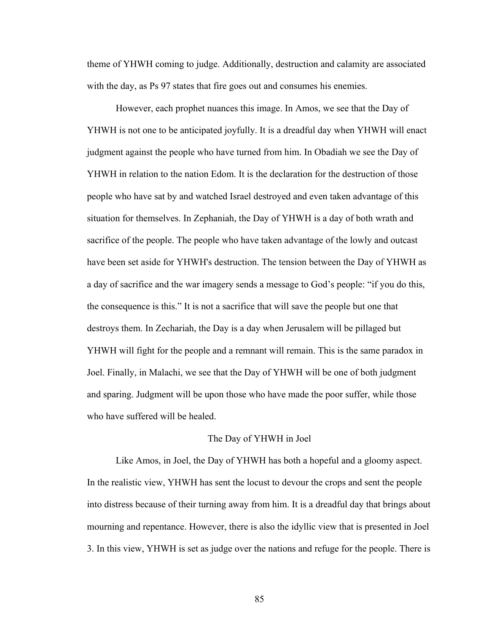theme of YHWH coming to judge. Additionally, destruction and calamity are associated with the day, as Ps 97 states that fire goes out and consumes his enemies.

However, each prophet nuances this image. In Amos, we see that the Day of YHWH is not one to be anticipated joyfully. It is a dreadful day when YHWH will enact judgment against the people who have turned from him. In Obadiah we see the Day of YHWH in relation to the nation Edom. It is the declaration for the destruction of those people who have sat by and watched Israel destroyed and even taken advantage of this situation for themselves. In Zephaniah, the Day of YHWH is a day of both wrath and sacrifice of the people. The people who have taken advantage of the lowly and outcast have been set aside for YHWH's destruction. The tension between the Day of YHWH as a day of sacrifice and the war imagery sends a message to God's people: "if you do this, the consequence is this." It is not a sacrifice that will save the people but one that destroys them. In Zechariah, the Day is a day when Jerusalem will be pillaged but YHWH will fight for the people and a remnant will remain. This is the same paradox in Joel. Finally, in Malachi, we see that the Day of YHWH will be one of both judgment and sparing. Judgment will be upon those who have made the poor suffer, while those who have suffered will be healed.

# The Day of YHWH in Joel

Like Amos, in Joel, the Day of YHWH has both a hopeful and a gloomy aspect. In the realistic view, YHWH has sent the locust to devour the crops and sent the people into distress because of their turning away from him. It is a dreadful day that brings about mourning and repentance. However, there is also the idyllic view that is presented in Joel 3. In this view, YHWH is set as judge over the nations and refuge for the people. There is

85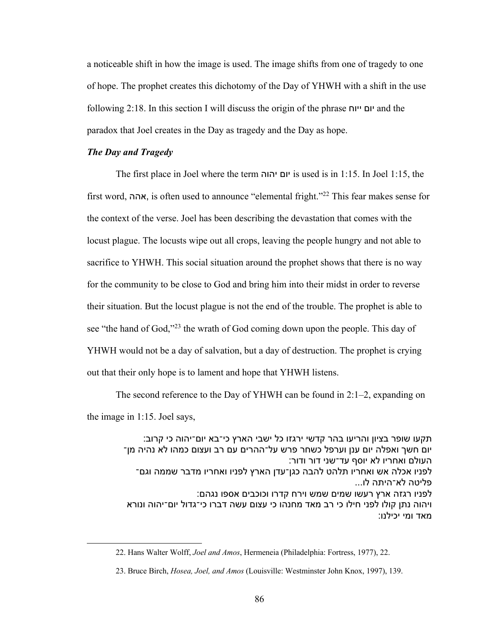a noticeable shift in how the image is used. The image shifts from one of tragedy to one of hope. The prophet creates this dichotomy of the Day of YHWH with a shift in the use following 2:18. In this section I will discuss the origin of the phrase חויי םוי and the paradox that Joel creates in the Day as tragedy and the Day as hope.

### *The Day and Tragedy*

The first place in Joel where the term םוי הוהי is used is in 1:15. In Joel 1:15, the first word, ההא , is often used to announce "elemental fright."22 This fear makes sense for the context of the verse. Joel has been describing the devastation that comes with the locust plague. The locusts wipe out all crops, leaving the people hungry and not able to sacrifice to YHWH. This social situation around the prophet shows that there is no way for the community to be close to God and bring him into their midst in order to reverse their situation. But the locust plague is not the end of the trouble. The prophet is able to see "the hand of God,"23 the wrath of God coming down upon the people. This day of YHWH would not be a day of salvation, but a day of destruction. The prophet is crying out that their only hope is to lament and hope that YHWH listens.

The second reference to the Day of YHWH can be found in 2:1–2, expanding on the image in 1:15. Joel says,

תקעו שופר בציון והריעו בהר קדשי ירגזו כל ישבי הארץ כי־בא יום־יהוה כי קרוב: יום חשר ואפלה יום ענן וערפל כשחר פרש על־ההרים עם רב ועצום כמהו לא נהיה מן־ העולם ואחריו לא יוסף עד־שני דור ודור: לפניו אכלה אש ואחריו תלהט להבה כגן־עדן הארץ לפניו ואחריו מדבר שממה וגם־ פליטה לא־היתה לו... לפניו רגזה ארץ רעשו שמים שמש וירח קדרו וכוכבים אספו נגהם: ויהוה נתן קולו לפני חילו כי רב מאד מחנהו כי עצום עשה דברו כי־גדול יום־יהוה ונורא מאד ומי יכילנו:

<sup>22.</sup> Hans Walter Wolff, *Joel and Amos*, Hermeneia (Philadelphia: Fortress, 1977), 22.

<sup>23.</sup> Bruce Birch, *Hosea, Joel, and Amos* (Louisville: Westminster John Knox, 1997), 139.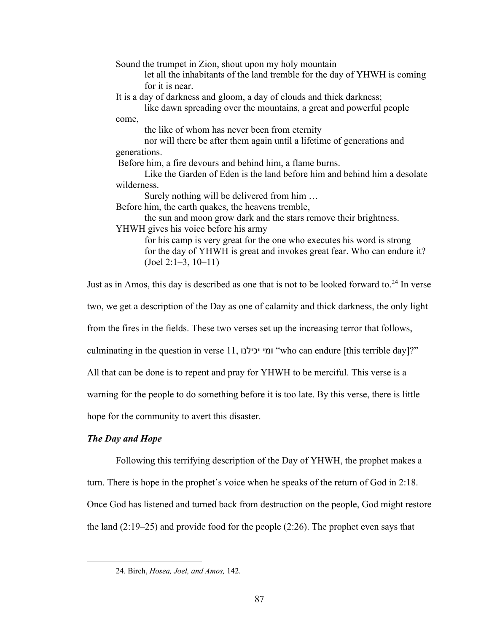Sound the trumpet in Zion, shout upon my holy mountain let all the inhabitants of the land tremble for the day of YHWH is coming for it is near. It is a day of darkness and gloom, a day of clouds and thick darkness; like dawn spreading over the mountains, a great and powerful people come, the like of whom has never been from eternity nor will there be after them again until a lifetime of generations and generations. Before him, a fire devours and behind him, a flame burns. Like the Garden of Eden is the land before him and behind him a desolate wilderness. Surely nothing will be delivered from him … Before him, the earth quakes, the heavens tremble, the sun and moon grow dark and the stars remove their brightness. YHWH gives his voice before his army for his camp is very great for the one who executes his word is strong for the day of YHWH is great and invokes great fear. Who can endure it? (Joel 2:1–3, 10–11)

Just as in Amos, this day is described as one that is not to be looked forward to. $24$  In verse two, we get a description of the Day as one of calamity and thick darkness, the only light from the fires in the fields. These two verses set up the increasing terror that follows, culminating in the question in verse 11, ונליכי ימו" who can endure [this terrible day]?" All that can be done is to repent and pray for YHWH to be merciful. This verse is a warning for the people to do something before it is too late. By this verse, there is little hope for the community to avert this disaster.

# *The Day and Hope*

Following this terrifying description of the Day of YHWH, the prophet makes a turn. There is hope in the prophet's voice when he speaks of the return of God in 2:18. Once God has listened and turned back from destruction on the people, God might restore the land (2:19–25) and provide food for the people (2:26). The prophet even says that

<sup>24.</sup> Birch, *Hosea, Joel, and Amos,* 142.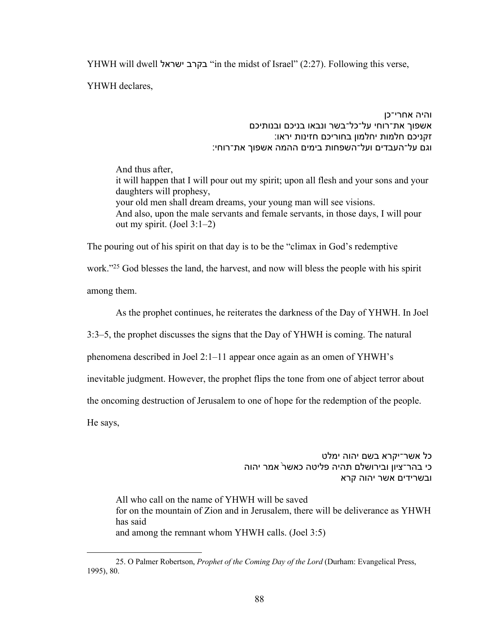YHWH will dwell לארשי ברקב" in the midst of Israel" (2:27). Following this verse,

YHWH declares,

והיה אחרי־כן אשפוך את־רוחי על־כל־בשר ונבאו בניכם ובנותיכם זקניכם חלמות יחלמון בחוריכם חזינות יראו: וגם על־העבדים ועל־השפחות בימים ההמה אשפוך את־רוחי:

And thus after, it will happen that I will pour out my spirit; upon all flesh and your sons and your daughters will prophesy, your old men shall dream dreams, your young man will see visions. And also, upon the male servants and female servants, in those days, I will pour out my spirit. (Joel 3:1–2)

The pouring out of his spirit on that day is to be the "climax in God's redemptive

work."25 God blesses the land, the harvest, and now will bless the people with his spirit

among them.

As the prophet continues, he reiterates the darkness of the Day of YHWH. In Joel

3:3–5, the prophet discusses the signs that the Day of YHWH is coming. The natural

phenomena described in Joel 2:1–11 appear once again as an omen of YHWH's

inevitable judgment. However, the prophet flips the tone from one of abject terror about

the oncoming destruction of Jerusalem to one of hope for the redemption of the people.

He says,

כל אשר־יקרא בשם יהוה ימלט כי בהר־ציון ובירושלם תהיה פליטה כאשר<sup>י</sup> אמר יהוה ובשרידים אשר יהוה קרא

All who call on the name of YHWH will be saved for on the mountain of Zion and in Jerusalem, there will be deliverance as YHWH has said and among the remnant whom YHWH calls. (Joel 3:5)

<sup>25.</sup> O Palmer Robertson, *Prophet of the Coming Day of the Lord* (Durham: Evangelical Press, 1995), 80.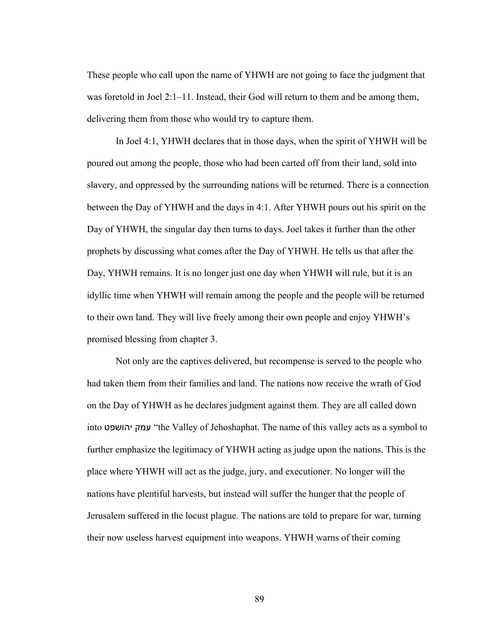These people who call upon the name of YHWH are not going to face the judgment that was foretold in Joel  $2:1-11$ . Instead, their God will return to them and be among them, delivering them from those who would try to capture them.

In Joel 4:1, YHWH declares that in those days, when the spirit of YHWH will be poured out among the people, those who had been carted off from their land, sold into slavery, and oppressed by the surrounding nations will be returned. There is a connection between the Day of YHWH and the days in 4:1. After YHWH pours out his spirit on the Day of YHWH, the singular day then turns to days. Joel takes it further than the other prophets by discussing what comes after the Day of YHWH. He tells us that after the Day, YHWH remains. It is no longer just one day when YHWH will rule, but it is an idyllic time when YHWH will remain among the people and the people will be returned to their own land. They will live freely among their own people and enjoy YHWH's promised blessing from chapter 3.

Not only are the captives delivered, but recompense is served to the people who had taken them from their families and land. The nations now receive the wrath of God on the Day of YHWH as he declares judgment against them. They are all called down into ק טפשוהי מע" the Valley of Jehoshaphat. The name of this valley acts as a symbol to further emphasize the legitimacy of YHWH acting as judge upon the nations. This is the place where YHWH will act as the judge, jury, and executioner. No longer will the nations have plentiful harvests, but instead will suffer the hunger that the people of Jerusalem suffered in the locust plague. The nations are told to prepare for war, turning their now useless harvest equipment into weapons. YHWH warns of their coming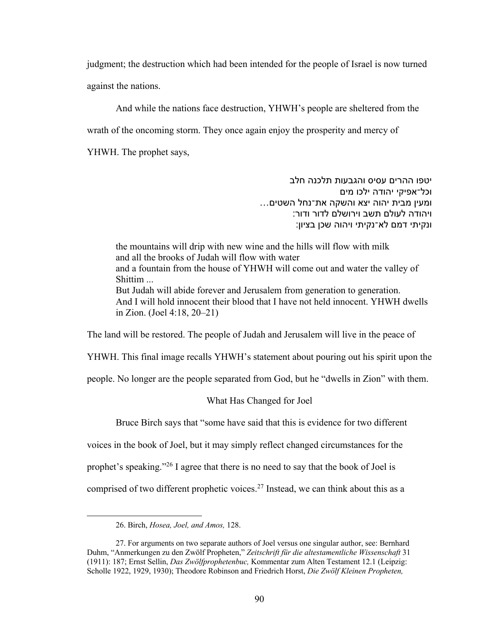judgment; the destruction which had been intended for the people of Israel is now turned against the nations.

And while the nations face destruction, YHWH's people are sheltered from the

wrath of the oncoming storm. They once again enjoy the prosperity and mercy of

YHWH. The prophet says,

יטפו ההרים עסיס והגבעות תלכנה חלב וכל־אפיקי יהודה ילכו מים ומעין מבית יהוה יצא והשקה את־נחל השטים... ויהודה לעולם תשב וירושלם לדור ודור: ונקיתי דמם לא־נקיתי ויהוה שכן בציון:

the mountains will drip with new wine and the hills will flow with milk and all the brooks of Judah will flow with water and a fountain from the house of YHWH will come out and water the valley of Shittim ... But Judah will abide forever and Jerusalem from generation to generation. And I will hold innocent their blood that I have not held innocent. YHWH dwells in Zion. (Joel 4:18, 20–21)

The land will be restored. The people of Judah and Jerusalem will live in the peace of

YHWH. This final image recalls YHWH's statement about pouring out his spirit upon the

people. No longer are the people separated from God, but he "dwells in Zion" with them.

### What Has Changed for Joel

Bruce Birch says that "some have said that this is evidence for two different

voices in the book of Joel, but it may simply reflect changed circumstances for the

prophet's speaking."26 I agree that there is no need to say that the book of Joel is

comprised of two different prophetic voices.27 Instead, we can think about this as a

<sup>26.</sup> Birch, *Hosea, Joel, and Amos,* 128.

<sup>27.</sup> For arguments on two separate authors of Joel versus one singular author, see: Bernhard Duhm, "Anmerkungen zu den Zwölf Propheten," *Zeitschrift für die altestamentliche Wissenschaft* 31 (1911): 187; Ernst Sellin, *Das Zwölfprophetenbuc,* Kommentar zum Alten Testament 12.1 (Leipzig: Scholle 1922, 1929, 1930); Theodore Robinson and Friedrich Horst, *Die Zwölf Kleinen Propheten,*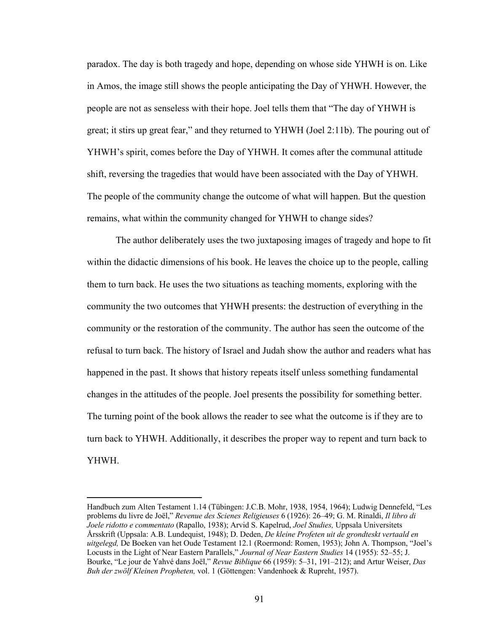paradox. The day is both tragedy and hope, depending on whose side YHWH is on. Like in Amos, the image still shows the people anticipating the Day of YHWH. However, the people are not as senseless with their hope. Joel tells them that "The day of YHWH is great; it stirs up great fear," and they returned to YHWH (Joel 2:11b). The pouring out of YHWH's spirit, comes before the Day of YHWH. It comes after the communal attitude shift, reversing the tragedies that would have been associated with the Day of YHWH. The people of the community change the outcome of what will happen. But the question remains, what within the community changed for YHWH to change sides?

The author deliberately uses the two juxtaposing images of tragedy and hope to fit within the didactic dimensions of his book. He leaves the choice up to the people, calling them to turn back. He uses the two situations as teaching moments, exploring with the community the two outcomes that YHWH presents: the destruction of everything in the community or the restoration of the community. The author has seen the outcome of the refusal to turn back. The history of Israel and Judah show the author and readers what has happened in the past. It shows that history repeats itself unless something fundamental changes in the attitudes of the people. Joel presents the possibility for something better. The turning point of the book allows the reader to see what the outcome is if they are to turn back to YHWH. Additionally, it describes the proper way to repent and turn back to YHWH.

Handbuch zum Alten Testament 1.14 (Tübingen: J.C.B. Mohr, 1938, 1954, 1964); Ludwig Dennefeld, "Les problems du livre de Joël," *Revenue des Scienes Religieuses* 6 (1926): 26–49; G. M. Rinaldi, *Il libro di Joele ridotto e commentato* (Rapallo, 1938); Arvid S. Kapelrud, *Joel Studies,* Uppsala Universitets Årsskrift (Uppsala: A.B. Lundequist, 1948); D. Deden, *De kleine Profeten uit de grondteskt vertaald en uitgelegd,* De Boeken van het Oude Testament 12.1 (Roermond: Romen, 1953); John A. Thompson, "Joel's Locusts in the Light of Near Eastern Parallels," *Journal of Near Eastern Studies* 14 (1955): 52–55; J. Bourke, "Le jour de Yahvé dans Joël," *Revue Biblique* 66 (1959): 5–31, 191–212); and Artur Weiser, *Das Buh der zwölf Kleinen Propheten,* vol. 1 (Göttengen: Vandenhoek & Rupreht, 1957).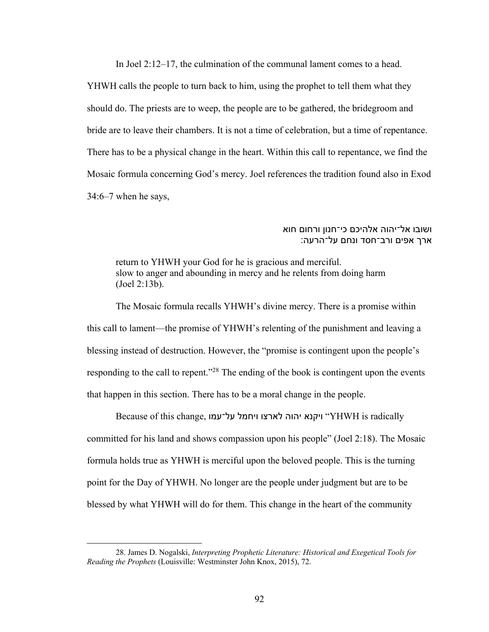In Joel 2:12–17, the culmination of the communal lament comes to a head.

YHWH calls the people to turn back to him, using the prophet to tell them what they should do. The priests are to weep, the people are to be gathered, the bridegroom and bride are to leave their chambers. It is not a time of celebration, but a time of repentance. There has to be a physical change in the heart. Within this call to repentance, we find the Mosaic formula concerning God's mercy. Joel references the tradition found also in Exod 34:6–7 when he says,

# ושובו אל־יהוה אלהיכם כי־חנון ורחום חוא ארך אפים ורב־חסד ונחם על־הרעה:

return to YHWH your God for he is gracious and merciful. slow to anger and abounding in mercy and he relents from doing harm (Joel 2:13b).

The Mosaic formula recalls YHWH's divine mercy. There is a promise within this call to lament—the promise of YHWH's relenting of the punishment and leaving a blessing instead of destruction. However, the "promise is contingent upon the people's responding to the call to repent."<sup>28</sup> The ending of the book is contingent upon the events that happen in this section. There has to be a moral change in the people.

Fadically ויקנא יהוה לארצו ויחמל על־עמו is radically וEcause of this change, ויקנא יהוה committed for his land and shows compassion upon his people" (Joel 2:18). The Mosaic formula holds true as YHWH is merciful upon the beloved people. This is the turning point for the Day of YHWH. No longer are the people under judgment but are to be blessed by what YHWH will do for them. This change in the heart of the community

<sup>28.</sup> James D. Nogalski, *Interpreting Prophetic Literature: Historical and Exegetical Tools for Reading the Prophets* (Louisville: Westminster John Knox, 2015), 72.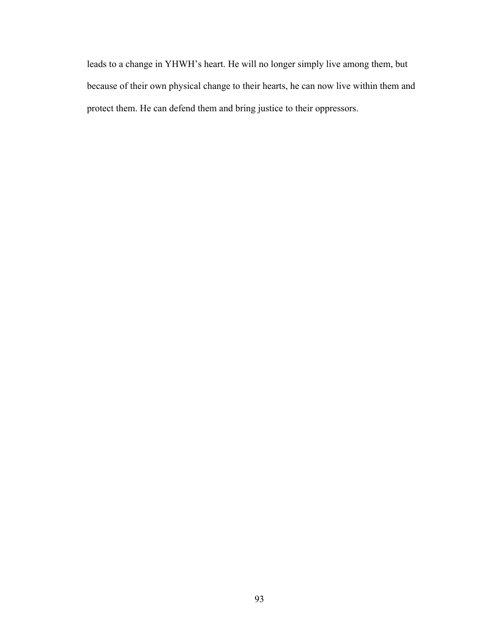leads to a change in YHWH's heart. He will no longer simply live among them, but because of their own physical change to their hearts, he can now live within them and protect them. He can defend them and bring justice to their oppressors.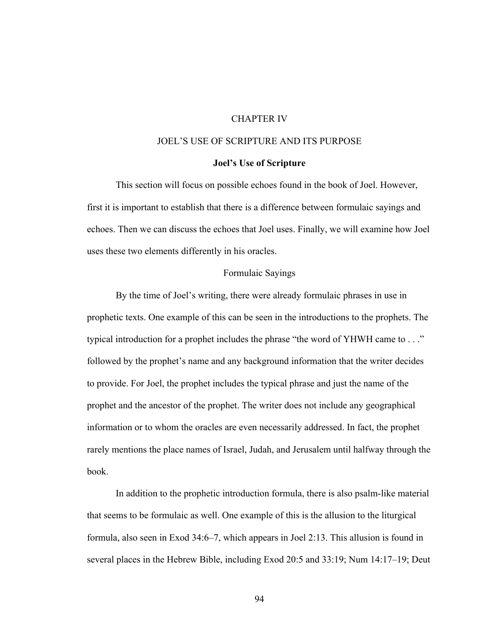# CHAPTER IV

# JOEL'S USE OF SCRIPTURE AND ITS PURPOSE

#### **Joel's Use of Scripture**

This section will focus on possible echoes found in the book of Joel. However, first it is important to establish that there is a difference between formulaic sayings and echoes. Then we can discuss the echoes that Joel uses. Finally, we will examine how Joel uses these two elements differently in his oracles.

## Formulaic Sayings

By the time of Joel's writing, there were already formulaic phrases in use in prophetic texts. One example of this can be seen in the introductions to the prophets. The typical introduction for a prophet includes the phrase "the word of YHWH came to . . ." followed by the prophet's name and any background information that the writer decides to provide. For Joel, the prophet includes the typical phrase and just the name of the prophet and the ancestor of the prophet. The writer does not include any geographical information or to whom the oracles are even necessarily addressed. In fact, the prophet rarely mentions the place names of Israel, Judah, and Jerusalem until halfway through the book.

In addition to the prophetic introduction formula, there is also psalm-like material that seems to be formulaic as well. One example of this is the allusion to the liturgical formula, also seen in Exod 34:6–7, which appears in Joel 2:13. This allusion is found in several places in the Hebrew Bible, including Exod 20:5 and 33:19; Num 14:17–19; Deut

94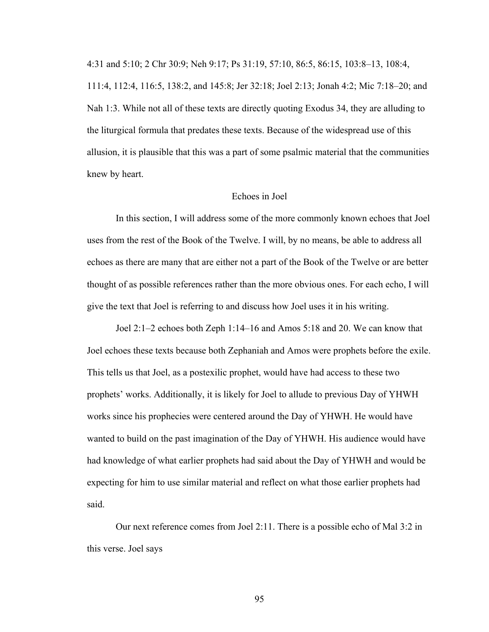4:31 and 5:10; 2 Chr 30:9; Neh 9:17; Ps 31:19, 57:10, 86:5, 86:15, 103:8–13, 108:4,

111:4, 112:4, 116:5, 138:2, and 145:8; Jer 32:18; Joel 2:13; Jonah 4:2; Mic 7:18–20; and Nah 1:3. While not all of these texts are directly quoting Exodus 34, they are alluding to the liturgical formula that predates these texts. Because of the widespread use of this allusion, it is plausible that this was a part of some psalmic material that the communities knew by heart.

### Echoes in Joel

In this section, I will address some of the more commonly known echoes that Joel uses from the rest of the Book of the Twelve. I will, by no means, be able to address all echoes as there are many that are either not a part of the Book of the Twelve or are better thought of as possible references rather than the more obvious ones. For each echo, I will give the text that Joel is referring to and discuss how Joel uses it in his writing.

Joel 2:1–2 echoes both Zeph 1:14–16 and Amos 5:18 and 20. We can know that Joel echoes these texts because both Zephaniah and Amos were prophets before the exile. This tells us that Joel, as a postexilic prophet, would have had access to these two prophets' works. Additionally, it is likely for Joel to allude to previous Day of YHWH works since his prophecies were centered around the Day of YHWH. He would have wanted to build on the past imagination of the Day of YHWH. His audience would have had knowledge of what earlier prophets had said about the Day of YHWH and would be expecting for him to use similar material and reflect on what those earlier prophets had said.

Our next reference comes from Joel 2:11. There is a possible echo of Mal 3:2 in this verse. Joel says

95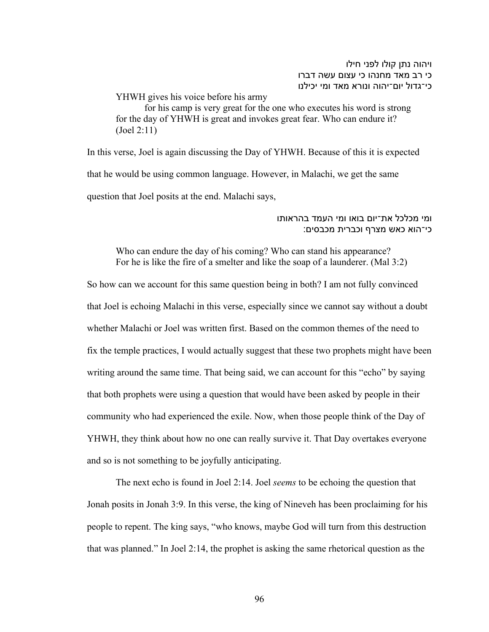ויהוה נתן קולו לפני חילו כי רב מאד מחנהו כי עצום עשה דברו כי־גדול יום־יהוה ונורא מאד ומי יכילנו

YHWH gives his voice before his army for his camp is very great for the one who executes his word is strong for the day of YHWH is great and invokes great fear. Who can endure it? (Joel 2:11)

In this verse, Joel is again discussing the Day of YHWH. Because of this it is expected that he would be using common language. However, in Malachi, we get the same question that Joel posits at the end. Malachi says,

## ומי מכלכל את־יום בואו ומי העמד בהראותו :כי־הוא כאש מצרף וכברית מכבסים

Who can endure the day of his coming? Who can stand his appearance? For he is like the fire of a smelter and like the soap of a launderer. (Mal 3:2)

So how can we account for this same question being in both? I am not fully convinced that Joel is echoing Malachi in this verse, especially since we cannot say without a doubt whether Malachi or Joel was written first. Based on the common themes of the need to fix the temple practices, I would actually suggest that these two prophets might have been writing around the same time. That being said, we can account for this "echo" by saying that both prophets were using a question that would have been asked by people in their community who had experienced the exile. Now, when those people think of the Day of YHWH, they think about how no one can really survive it. That Day overtakes everyone and so is not something to be joyfully anticipating.

The next echo is found in Joel 2:14. Joel *seems* to be echoing the question that Jonah posits in Jonah 3:9. In this verse, the king of Nineveh has been proclaiming for his people to repent. The king says, "who knows, maybe God will turn from this destruction that was planned." In Joel 2:14, the prophet is asking the same rhetorical question as the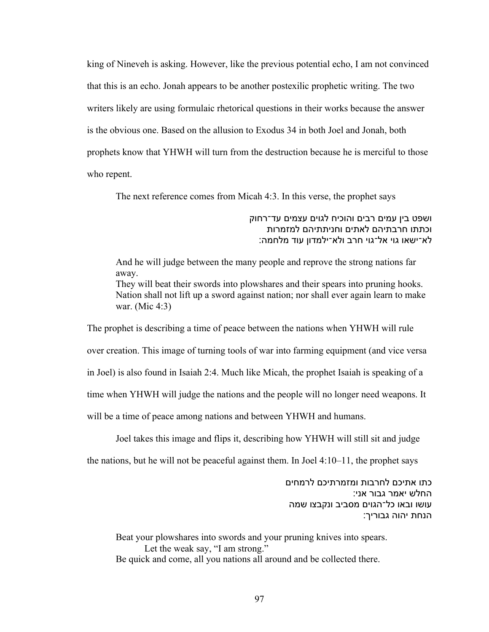king of Nineveh is asking. However, like the previous potential echo, I am not convinced that this is an echo. Jonah appears to be another postexilic prophetic writing. The two writers likely are using formulaic rhetorical questions in their works because the answer is the obvious one. Based on the allusion to Exodus 34 in both Joel and Jonah, both prophets know that YHWH will turn from the destruction because he is merciful to those who repent.

The next reference comes from Micah 4:3. In this verse, the prophet says

ושפט בין עמים רבים והוכיח לגוים עצמים עד־רחוק וכתתו חרבתיהם לאתים וחניתתיהם למזמרות לא־ישאו גוי אל־גוי חרב ולא־ילמדון עוד מלחמה:

And he will judge between the many people and reprove the strong nations far away. They will beat their swords into plowshares and their spears into pruning hooks. Nation shall not lift up a sword against nation; nor shall ever again learn to make war. (Mic 4:3)

The prophet is describing a time of peace between the nations when YHWH will rule over creation. This image of turning tools of war into farming equipment (and vice versa in Joel) is also found in Isaiah 2:4. Much like Micah, the prophet Isaiah is speaking of a time when YHWH will judge the nations and the people will no longer need weapons. It will be a time of peace among nations and between YHWH and humans.

Joel takes this image and flips it, describing how YHWH will still sit and judge

the nations, but he will not be peaceful against them. In Joel 4:10–11, the prophet says

כתו אתיכם לחרבות ומזמרתיכם לרמחים החלש יאמר גבור אני: עושו ובאו כל־הגוים מסביב ונקבצו שמה הנחת יהוה גבוריך:

Beat your plowshares into swords and your pruning knives into spears. Let the weak say, "I am strong." Be quick and come, all you nations all around and be collected there.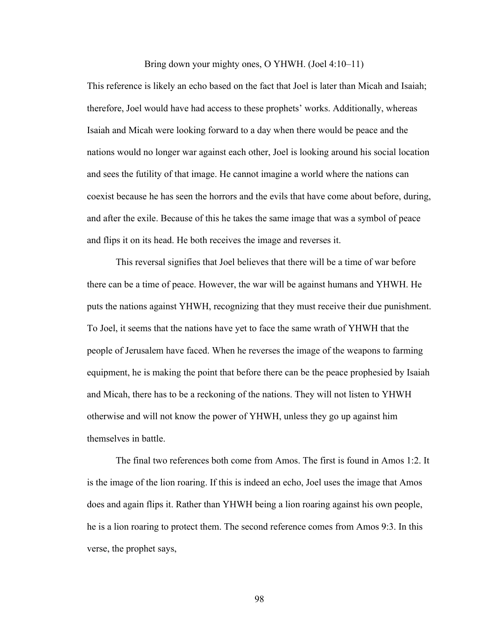#### Bring down your mighty ones, O YHWH. (Joel 4:10–11)

This reference is likely an echo based on the fact that Joel is later than Micah and Isaiah; therefore, Joel would have had access to these prophets' works. Additionally, whereas Isaiah and Micah were looking forward to a day when there would be peace and the nations would no longer war against each other, Joel is looking around his social location and sees the futility of that image. He cannot imagine a world where the nations can coexist because he has seen the horrors and the evils that have come about before, during, and after the exile. Because of this he takes the same image that was a symbol of peace and flips it on its head. He both receives the image and reverses it.

This reversal signifies that Joel believes that there will be a time of war before there can be a time of peace. However, the war will be against humans and YHWH. He puts the nations against YHWH, recognizing that they must receive their due punishment. To Joel, it seems that the nations have yet to face the same wrath of YHWH that the people of Jerusalem have faced. When he reverses the image of the weapons to farming equipment, he is making the point that before there can be the peace prophesied by Isaiah and Micah, there has to be a reckoning of the nations. They will not listen to YHWH otherwise and will not know the power of YHWH, unless they go up against him themselves in battle.

The final two references both come from Amos. The first is found in Amos 1:2. It is the image of the lion roaring. If this is indeed an echo, Joel uses the image that Amos does and again flips it. Rather than YHWH being a lion roaring against his own people, he is a lion roaring to protect them. The second reference comes from Amos 9:3. In this verse, the prophet says,

98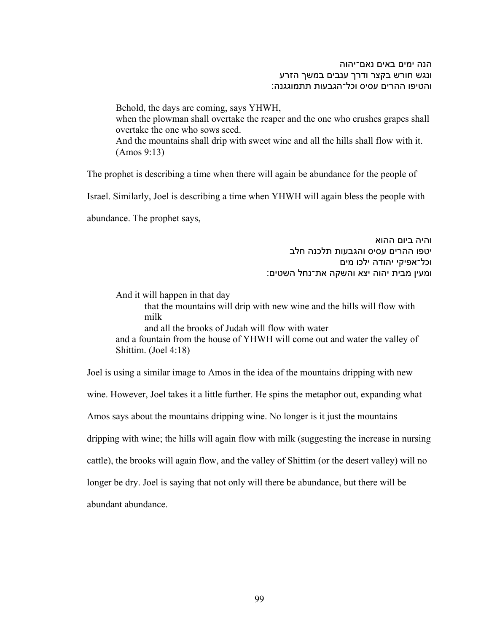הנה ימים באים נאם־יהוה ונגש חורש בקצר ודרך ענבים במשך הזרע והטיפו ההרים עסיס וכל־הגבעות תתמוגגנה:

Behold, the days are coming, says YHWH, when the plowman shall overtake the reaper and the one who crushes grapes shall overtake the one who sows seed. And the mountains shall drip with sweet wine and all the hills shall flow with it. (Amos 9:13)

The prophet is describing a time when there will again be abundance for the people of

Israel. Similarly, Joel is describing a time when YHWH will again bless the people with

abundance. The prophet says,

והיה ביום ההוא יטפו ההרים עסיס והגבעות תלכנה חלב וכל־אפיקי יהודה ילכו מים ומעין מבית יהוה יצא והשקה את־נחל השטים:

And it will happen in that day

that the mountains will drip with new wine and the hills will flow with milk

and all the brooks of Judah will flow with water

and a fountain from the house of YHWH will come out and water the valley of Shittim. (Joel 4:18)

Joel is using a similar image to Amos in the idea of the mountains dripping with new wine. However, Joel takes it a little further. He spins the metaphor out, expanding what Amos says about the mountains dripping wine. No longer is it just the mountains dripping with wine; the hills will again flow with milk (suggesting the increase in nursing cattle), the brooks will again flow, and the valley of Shittim (or the desert valley) will no longer be dry. Joel is saying that not only will there be abundance, but there will be abundant abundance.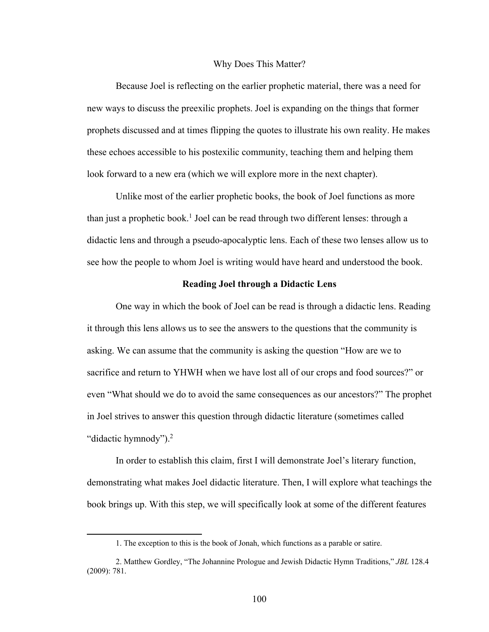#### Why Does This Matter?

Because Joel is reflecting on the earlier prophetic material, there was a need for new ways to discuss the preexilic prophets. Joel is expanding on the things that former prophets discussed and at times flipping the quotes to illustrate his own reality. He makes these echoes accessible to his postexilic community, teaching them and helping them look forward to a new era (which we will explore more in the next chapter).

Unlike most of the earlier prophetic books, the book of Joel functions as more than just a prophetic book.<sup>1</sup> Joel can be read through two different lenses: through a didactic lens and through a pseudo-apocalyptic lens. Each of these two lenses allow us to see how the people to whom Joel is writing would have heard and understood the book.

#### **Reading Joel through a Didactic Lens**

One way in which the book of Joel can be read is through a didactic lens. Reading it through this lens allows us to see the answers to the questions that the community is asking. We can assume that the community is asking the question "How are we to sacrifice and return to YHWH when we have lost all of our crops and food sources?" or even "What should we do to avoid the same consequences as our ancestors?" The prophet in Joel strives to answer this question through didactic literature (sometimes called "didactic hymnody").<sup>2</sup>

In order to establish this claim, first I will demonstrate Joel's literary function, demonstrating what makes Joel didactic literature. Then, I will explore what teachings the book brings up. With this step, we will specifically look at some of the different features

<sup>1.</sup> The exception to this is the book of Jonah, which functions as a parable or satire.

<sup>2.</sup> Matthew Gordley, "The Johannine Prologue and Jewish Didactic Hymn Traditions," *JBL* 128.4 (2009): 781.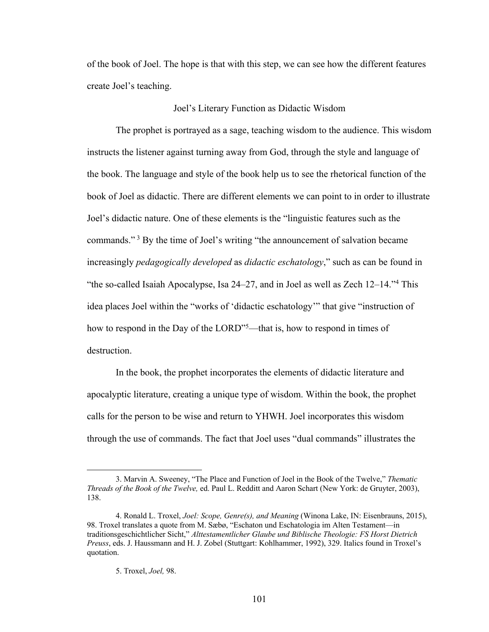of the book of Joel. The hope is that with this step, we can see how the different features create Joel's teaching.

### Joel's Literary Function as Didactic Wisdom

The prophet is portrayed as a sage, teaching wisdom to the audience. This wisdom instructs the listener against turning away from God, through the style and language of the book. The language and style of the book help us to see the rhetorical function of the book of Joel as didactic. There are different elements we can point to in order to illustrate Joel's didactic nature. One of these elements is the "linguistic features such as the commands." <sup>3</sup> By the time of Joel's writing "the announcement of salvation became increasingly *pedagogically developed* as *didactic eschatology*," such as can be found in "the so-called Isaiah Apocalypse, Isa 24–27, and in Joel as well as Zech 12–14."4 This idea places Joel within the "works of 'didactic eschatology'" that give "instruction of how to respond in the Day of the LORD"<sup>5</sup>—that is, how to respond in times of destruction.

In the book, the prophet incorporates the elements of didactic literature and apocalyptic literature, creating a unique type of wisdom. Within the book, the prophet calls for the person to be wise and return to YHWH. Joel incorporates this wisdom through the use of commands. The fact that Joel uses "dual commands" illustrates the

<sup>3.</sup> Marvin A. Sweeney, "The Place and Function of Joel in the Book of the Twelve," *Thematic Threads of the Book of the Twelve,* ed. Paul L. Redditt and Aaron Schart (New York: de Gruyter, 2003), 138.

<sup>4.</sup> Ronald L. Troxel, *Joel: Scope, Genre(s), and Meaning* (Winona Lake, IN: Eisenbrauns, 2015), 98. Troxel translates a quote from M. Sæbø, "Eschaton und Eschatologia im Alten Testament—in traditionsgeschichtlicher Sicht," *Alttestamentlicher Glaube und Biblische Theologie: FS Horst Dietrich Preuss*, eds. J. Haussmann and H. J. Zobel (Stuttgart: Kohlhammer, 1992), 329. Italics found in Troxel's quotation.

<sup>5.</sup> Troxel, *Joel,* 98.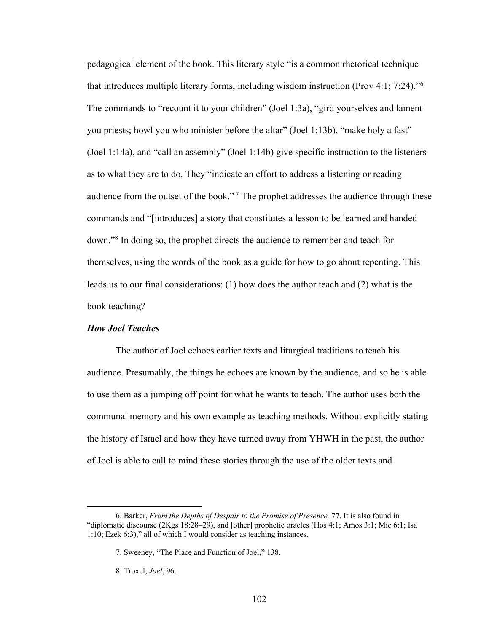pedagogical element of the book. This literary style "is a common rhetorical technique that introduces multiple literary forms, including wisdom instruction (Prov 4:1; 7:24)."6 The commands to "recount it to your children" (Joel 1:3a), "gird yourselves and lament you priests; howl you who minister before the altar" (Joel 1:13b), "make holy a fast" (Joel 1:14a), and "call an assembly" (Joel 1:14b) give specific instruction to the listeners as to what they are to do. They "indicate an effort to address a listening or reading audience from the outset of the book."<sup>7</sup> The prophet addresses the audience through these commands and "[introduces] a story that constitutes a lesson to be learned and handed down."8 In doing so, the prophet directs the audience to remember and teach for themselves, using the words of the book as a guide for how to go about repenting. This leads us to our final considerations: (1) how does the author teach and (2) what is the book teaching?

# *How Joel Teaches*

The author of Joel echoes earlier texts and liturgical traditions to teach his audience. Presumably, the things he echoes are known by the audience, and so he is able to use them as a jumping off point for what he wants to teach. The author uses both the communal memory and his own example as teaching methods. Without explicitly stating the history of Israel and how they have turned away from YHWH in the past, the author of Joel is able to call to mind these stories through the use of the older texts and

<sup>6.</sup> Barker, *From the Depths of Despair to the Promise of Presence,* 77. It is also found in "diplomatic discourse (2Kgs 18:28–29), and [other] prophetic oracles (Hos 4:1; Amos 3:1; Mic 6:1; Isa 1:10; Ezek 6:3)," all of which I would consider as teaching instances.

<sup>7.</sup> Sweeney, "The Place and Function of Joel," 138.

<sup>8.</sup> Troxel, *Joel*, 96.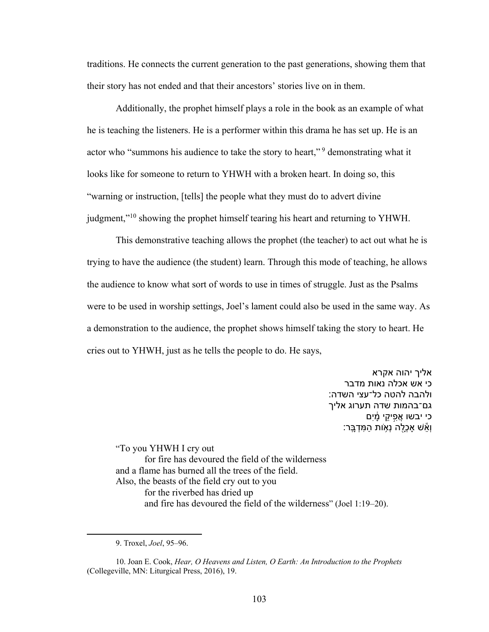traditions. He connects the current generation to the past generations, showing them that their story has not ended and that their ancestors' stories live on in them.

Additionally, the prophet himself plays a role in the book as an example of what he is teaching the listeners. He is a performer within this drama he has set up. He is an actor who "summons his audience to take the story to heart,"<sup>9</sup> demonstrating what it looks like for someone to return to YHWH with a broken heart. In doing so, this "warning or instruction, [tells] the people what they must do to advert divine judgment,"<sup>10</sup> showing the prophet himself tearing his heart and returning to YHWH.

This demonstrative teaching allows the prophet (the teacher) to act out what he is trying to have the audience (the student) learn. Through this mode of teaching, he allows the audience to know what sort of words to use in times of struggle. Just as the Psalms were to be used in worship settings, Joel's lament could also be used in the same way. As a demonstration to the audience, the prophet shows himself taking the story to heart. He cries out to YHWH, just as he tells the people to do. He says,

> אליך יהוה אקרא כי אש אכלה נאות מדבר ולהבה להטה כל־עצי השדה: גם־בהמות שדה תערוג אליך ֿכי יבשו אֲפִיקֵי מַ֫יִם וְאֵ**ּשׁ אַכָלה נִא**ָות הַמִּדְבֵּר:

"To you YHWH I cry out for fire has devoured the field of the wilderness and a flame has burned all the trees of the field. Also, the beasts of the field cry out to you for the riverbed has dried up and fire has devoured the field of the wilderness" (Joel 1:19–20).

<sup>9.</sup> Troxel, *Joel*, 95–96.

<sup>10.</sup> Joan E. Cook, *Hear, O Heavens and Listen, O Earth: An Introduction to the Prophets* (Collegeville, MN: Liturgical Press, 2016), 19.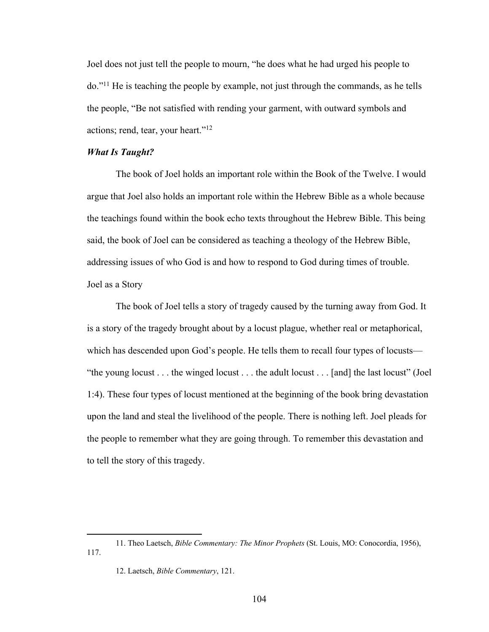Joel does not just tell the people to mourn, "he does what he had urged his people to do."11 He is teaching the people by example, not just through the commands, as he tells the people, "Be not satisfied with rending your garment, with outward symbols and actions; rend, tear, your heart."12

### *What Is Taught?*

The book of Joel holds an important role within the Book of the Twelve. I would argue that Joel also holds an important role within the Hebrew Bible as a whole because the teachings found within the book echo texts throughout the Hebrew Bible. This being said, the book of Joel can be considered as teaching a theology of the Hebrew Bible, addressing issues of who God is and how to respond to God during times of trouble. Joel as a Story

The book of Joel tells a story of tragedy caused by the turning away from God. It is a story of the tragedy brought about by a locust plague, whether real or metaphorical, which has descended upon God's people. He tells them to recall four types of locusts— "the young locust . . . the winged locust . . . the adult locust . . . [and] the last locust" (Joel 1:4). These four types of locust mentioned at the beginning of the book bring devastation upon the land and steal the livelihood of the people. There is nothing left. Joel pleads for the people to remember what they are going through. To remember this devastation and to tell the story of this tragedy.

<sup>11.</sup> Theo Laetsch, *Bible Commentary: The Minor Prophets* (St. Louis, MO: Conocordia, 1956), 117.

<sup>12.</sup> Laetsch, *Bible Commentary*, 121.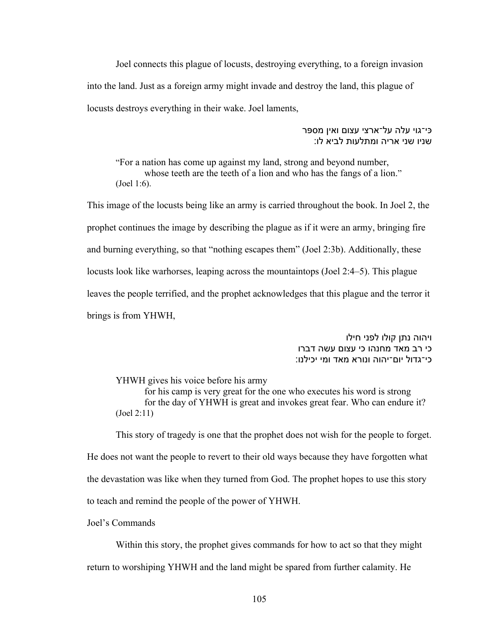Joel connects this plague of locusts, destroying everything, to a foreign invasion into the land. Just as a foreign army might invade and destroy the land, this plague of locusts destroys everything in their wake. Joel laments,

> כּי־גוי עלה על־ארצי עצום ואין מספּר שניו שני אריה ומתלעות לביא לו:

"For a nation has come up against my land, strong and beyond number, whose teeth are the teeth of a lion and who has the fangs of a lion." (Joel 1:6).

This image of the locusts being like an army is carried throughout the book. In Joel 2, the prophet continues the image by describing the plague as if it were an army, bringing fire and burning everything, so that "nothing escapes them" (Joel 2:3b). Additionally, these locusts look like warhorses, leaping across the mountaintops (Joel 2:4–5). This plague leaves the people terrified, and the prophet acknowledges that this plague and the terror it brings is from YHWH,

> ויהוה נתן קולו לפני חילו כי רב מאד מחנהו כי עצום עשה דברו כי־גדול יום־יהוה ונורא מאד ומי יכילנו:

YHWH gives his voice before his army

for his camp is very great for the one who executes his word is strong for the day of YHWH is great and invokes great fear. Who can endure it? (Joel 2:11)

This story of tragedy is one that the prophet does not wish for the people to forget. He does not want the people to revert to their old ways because they have forgotten what the devastation was like when they turned from God. The prophet hopes to use this story to teach and remind the people of the power of YHWH.

Joel's Commands

Within this story, the prophet gives commands for how to act so that they might return to worshiping YHWH and the land might be spared from further calamity. He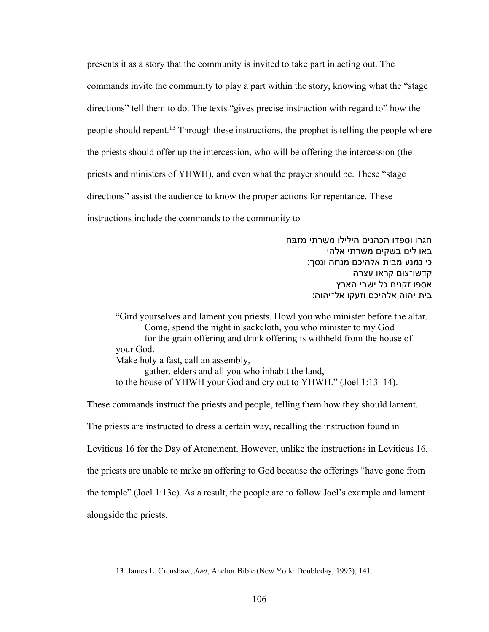presents it as a story that the community is invited to take part in acting out. The commands invite the community to play a part within the story, knowing what the "stage directions" tell them to do. The texts "gives precise instruction with regard to" how the people should repent.<sup>13</sup> Through these instructions, the prophet is telling the people where the priests should offer up the intercession, who will be offering the intercession (the priests and ministers of YHWH), and even what the prayer should be. These "stage directions" assist the audience to know the proper actions for repentance. These instructions include the commands to the community to

> חגרו וספדו הכהנים הילילו משרתי מזבּח באו לינו בשקים משרתי אלהי כי נמנע מבית אלהיכם מנחה ונסך: הדשו־צום קראו עצרה אספו זקנים כל ישבי הארץ בית יהוה אלהיכם וזעקו אל־יהוה:

"Gird yourselves and lament you priests. Howl you who minister before the altar. Come, spend the night in sackcloth, you who minister to my God for the grain offering and drink offering is withheld from the house of your God. Make holy a fast, call an assembly, gather, elders and all you who inhabit the land, to the house of YHWH your God and cry out to YHWH." (Joel 1:13–14).

These commands instruct the priests and people, telling them how they should lament. The priests are instructed to dress a certain way, recalling the instruction found in Leviticus 16 for the Day of Atonement. However, unlike the instructions in Leviticus 16, the priests are unable to make an offering to God because the offerings "have gone from the temple" (Joel 1:13e). As a result, the people are to follow Joel's example and lament alongside the priests.

<sup>13.</sup> James L. Crenshaw, *Joel*, Anchor Bible (New York: Doubleday, 1995), 141.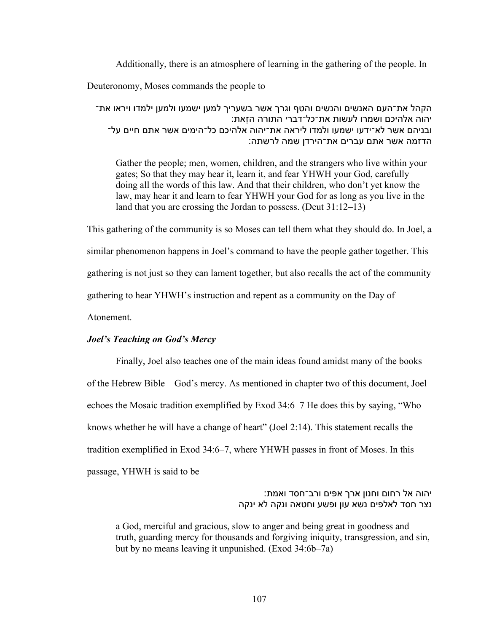Additionally, there is an atmosphere of learning in the gathering of the people. In

Deuteronomy, Moses commands the people to

הקהל את־העם האנשים והנשים והטף וגרך אשר בשעריך למען ישמעו ולמען ילמדו ויראו את־ יהוה אלהיכם ושמרו לעשות את־כל־דברי התורה הזאת: ובניהם אשר לא־ידעו ישמעו ולמדו ליראה את־יהוה אלהיכם כל־הימים אשר אתם חיים על־ הדזמה אשר אתם עברים את־הירדן שמה לרשתה:

Gather the people; men, women, children, and the strangers who live within your gates; So that they may hear it, learn it, and fear YHWH your God, carefully doing all the words of this law. And that their children, who don't yet know the law, may hear it and learn to fear YHWH your God for as long as you live in the land that you are crossing the Jordan to possess. (Deut 31:12–13)

This gathering of the community is so Moses can tell them what they should do. In Joel, a similar phenomenon happens in Joel's command to have the people gather together. This gathering is not just so they can lament together, but also recalls the act of the community gathering to hear YHWH's instruction and repent as a community on the Day of Atonement.

# *Joel's Teaching on God's Mercy*

Finally, Joel also teaches one of the main ideas found amidst many of the books of the Hebrew Bible—God's mercy. As mentioned in chapter two of this document, Joel echoes the Mosaic tradition exemplified by Exod 34:6–7 He does this by saying, "Who knows whether he will have a change of heart" (Joel 2:14). This statement recalls the tradition exemplified in Exod 34:6–7, where YHWH passes in front of Moses. In this passage, YHWH is said to be

> יהוה אל רחום וחנון ארך אפים ורב־חסד ואמת: נצר חסד לאלפים נשא עון ופשע וחטאה ונקה לא ינקה

a God, merciful and gracious, slow to anger and being great in goodness and truth, guarding mercy for thousands and forgiving iniquity, transgression, and sin, but by no means leaving it unpunished. (Exod 34:6b–7a)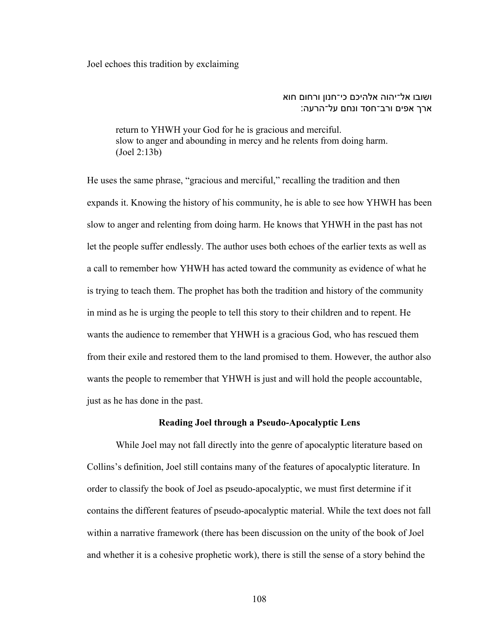Joel echoes this tradition by exclaiming

## ושובו אל־יהוה אלהיכם כי־חנון ורחום חוא ארך אפים ורב־חסד ונחם על־הרעה:

return to YHWH your God for he is gracious and merciful. slow to anger and abounding in mercy and he relents from doing harm. (Joel 2:13b)

He uses the same phrase, "gracious and merciful," recalling the tradition and then expands it. Knowing the history of his community, he is able to see how YHWH has been slow to anger and relenting from doing harm. He knows that YHWH in the past has not let the people suffer endlessly. The author uses both echoes of the earlier texts as well as a call to remember how YHWH has acted toward the community as evidence of what he is trying to teach them. The prophet has both the tradition and history of the community in mind as he is urging the people to tell this story to their children and to repent. He wants the audience to remember that YHWH is a gracious God, who has rescued them from their exile and restored them to the land promised to them. However, the author also wants the people to remember that YHWH is just and will hold the people accountable, just as he has done in the past.

## **Reading Joel through a Pseudo-Apocalyptic Lens**

While Joel may not fall directly into the genre of apocalyptic literature based on Collins's definition, Joel still contains many of the features of apocalyptic literature. In order to classify the book of Joel as pseudo-apocalyptic, we must first determine if it contains the different features of pseudo-apocalyptic material. While the text does not fall within a narrative framework (there has been discussion on the unity of the book of Joel and whether it is a cohesive prophetic work), there is still the sense of a story behind the

108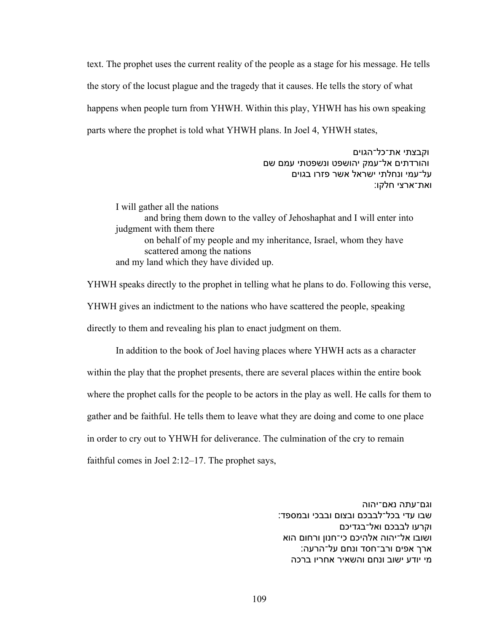text. The prophet uses the current reality of the people as a stage for his message. He tells the story of the locust plague and the tragedy that it causes. He tells the story of what happens when people turn from YHWH. Within this play, YHWH has his own speaking parts where the prophet is told what YHWH plans. In Joel 4, YHWH states,

> וקבצתי את־כל־הגוים והורדתים אל־עמק יהושפט ונשפטתי עמם שם על־עמי ונחלתי ישראל אשר פזרו בגוים ואת־ארצי חלקו:

I will gather all the nations and bring them down to the valley of Jehoshaphat and I will enter into judgment with them there on behalf of my people and my inheritance, Israel, whom they have scattered among the nations and my land which they have divided up.

YHWH speaks directly to the prophet in telling what he plans to do. Following this verse, YHWH gives an indictment to the nations who have scattered the people, speaking directly to them and revealing his plan to enact judgment on them.

In addition to the book of Joel having places where YHWH acts as a character within the play that the prophet presents, there are several places within the entire book where the prophet calls for the people to be actors in the play as well. He calls for them to gather and be faithful. He tells them to leave what they are doing and come to one place in order to cry out to YHWH for deliverance. The culmination of the cry to remain faithful comes in Joel 2:12–17. The prophet says,

> וגם־עתה נאם־יהוה שבו עדי בכל־לבבכם ובצום ובבכי ובמספד: וקרעו לבבכם ואל־בגדיכם ושובו אל־יהוה אלהיכם כי־חנון ורחום הוא ארך אפים ורב־חסד ונחם על־הרעה: מי יודע ישוב ונחם והשאיר אחריו ברכה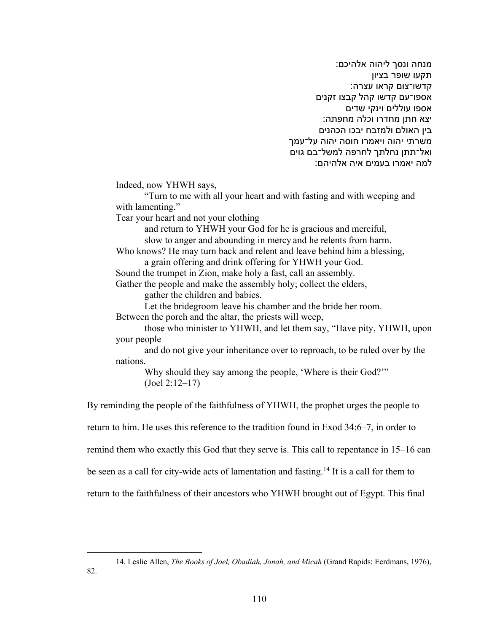מנחה ונסר ליהוה אלהיכם: תקעו שופר בציון קדשו־צום קראו עצרה: אספו־עם קדשו קהל קבצו זקנים אספו עוללים וינקי שדים יצא חתן מחדרו וכלה מחפתה: בין האולם ולמזבח יבכו הכהנים משרתי יהוה ויאמרו חוסה יהוה על־עמך ואל־תתן נחלתך לחרפה למשל־בם גוים למה יאמרו בעמים איה אלהיהם:

Indeed, now YHWH says,

"Turn to me with all your heart and with fasting and with weeping and with lamenting."

Tear your heart and not your clothing

and return to YHWH your God for he is gracious and merciful, slow to anger and abounding in mercy and he relents from harm.

Who knows? He may turn back and relent and leave behind him a blessing, a grain offering and drink offering for YHWH your God.

Sound the trumpet in Zion, make holy a fast, call an assembly.

Gather the people and make the assembly holy; collect the elders, gather the children and babies.

Let the bridegroom leave his chamber and the bride her room. Between the porch and the altar, the priests will weep,

those who minister to YHWH, and let them say, "Have pity, YHWH, upon your people

and do not give your inheritance over to reproach, to be ruled over by the nations.

Why should they say among the people, 'Where is their God?'" (Joel 2:12–17)

By reminding the people of the faithfulness of YHWH, the prophet urges the people to

return to him. He uses this reference to the tradition found in Exod 34:6–7, in order to

remind them who exactly this God that they serve is. This call to repentance in 15–16 can

be seen as a call for city-wide acts of lamentation and fasting.14 It is a call for them to

return to the faithfulness of their ancestors who YHWH brought out of Egypt. This final

<sup>14.</sup> Leslie Allen, *The Books of Joel, Obadiah, Jonah, and Micah* (Grand Rapids: Eerdmans, 1976),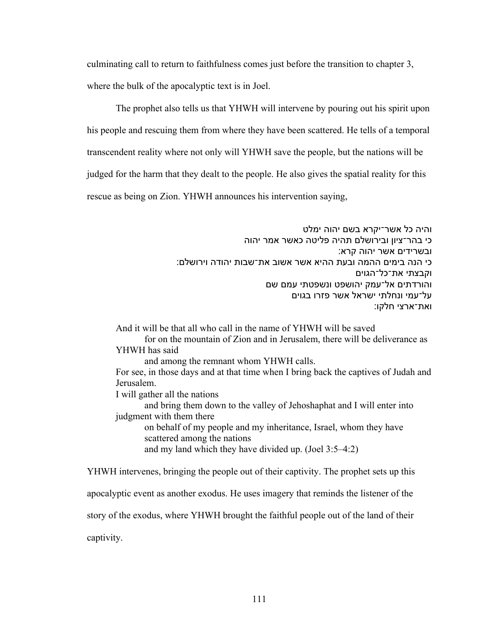culminating call to return to faithfulness comes just before the transition to chapter 3,

where the bulk of the apocalyptic text is in Joel.

The prophet also tells us that YHWH will intervene by pouring out his spirit upon

his people and rescuing them from where they have been scattered. He tells of a temporal

transcendent reality where not only will YHWH save the people, but the nations will be

judged for the harm that they dealt to the people. He also gives the spatial reality for this

rescue as being on Zion. YHWH announces his intervention saying,

והיה כל אשר־יקרא בשם יהוה ימלט כי בהר־ציון ובירושלם תהיה פליטה כאשר אמר יהוה ובשרידים אשר יהוה קרא: יכ הנה בימים ההמה ובעת ההיא אשר אשוב את־שבות יהודה וירושלם: וקבצתי את־כל־הגוים והורדתים אל־עמק יהושפט ונשפטתי עמם שם על־עמי ונחלתי ישראל אשר פזרו בגוים ואת־ארצי חלקו:

And it will be that all who call in the name of YHWH will be saved for on the mountain of Zion and in Jerusalem, there will be deliverance as YHWH has said and among the remnant whom YHWH calls. For see, in those days and at that time when I bring back the captives of Judah and Jerusalem. I will gather all the nations

and bring them down to the valley of Jehoshaphat and I will enter into judgment with them there

on behalf of my people and my inheritance, Israel, whom they have scattered among the nations and my land which they have divided up. (Joel 3:5–4:2)

YHWH intervenes, bringing the people out of their captivity. The prophet sets up this

apocalyptic event as another exodus. He uses imagery that reminds the listener of the

story of the exodus, where YHWH brought the faithful people out of the land of their

captivity.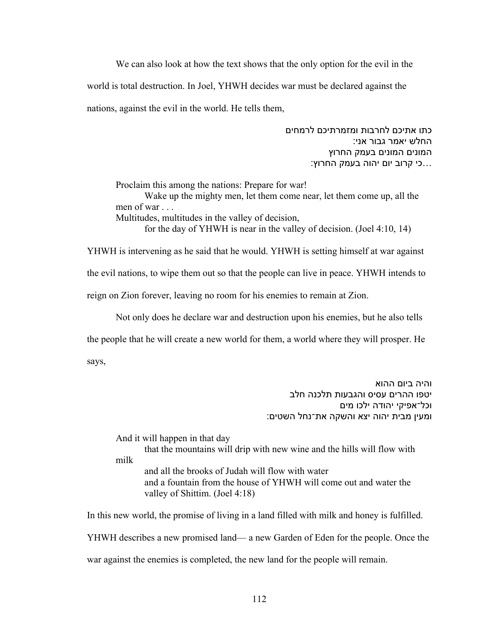We can also look at how the text shows that the only option for the evil in the world is total destruction. In Joel, YHWH decides war must be declared against the nations, against the evil in the world. He tells them,

> כתו אתיכם לחרבות ומזמרתיכם לרמחים החלש יאמר גבור אני: המונים המונים בעמק החרוץ ...כי קרוב יום יהוה בעמק החרוץ:

Proclaim this among the nations: Prepare for war!

Wake up the mighty men, let them come near, let them come up, all the men of war . . .

Multitudes, multitudes in the valley of decision,

for the day of YHWH is near in the valley of decision. (Joel 4:10, 14)

YHWH is intervening as he said that he would. YHWH is setting himself at war against the evil nations, to wipe them out so that the people can live in peace. YHWH intends to reign on Zion forever, leaving no room for his enemies to remain at Zion.

Not only does he declare war and destruction upon his enemies, but he also tells the people that he will create a new world for them, a world where they will prosper. He says,

> והיה ביום ההוא יטפו ההרים עסיס והגבעות תלכנה חלב וכל־אפיקי יהודה ילכו מים ומעין מבית יהוה יצא והשקה את־נחל השטים:

And it will happen in that day

that the mountains will drip with new wine and the hills will flow with milk

and all the brooks of Judah will flow with water and a fountain from the house of YHWH will come out and water the valley of Shittim. (Joel 4:18)

In this new world, the promise of living in a land filled with milk and honey is fulfilled.

YHWH describes a new promised land— a new Garden of Eden for the people. Once the

war against the enemies is completed, the new land for the people will remain.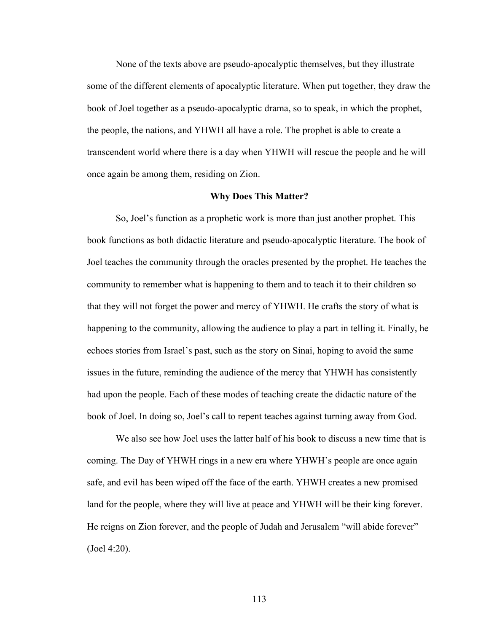None of the texts above are pseudo-apocalyptic themselves, but they illustrate some of the different elements of apocalyptic literature. When put together, they draw the book of Joel together as a pseudo-apocalyptic drama, so to speak, in which the prophet, the people, the nations, and YHWH all have a role. The prophet is able to create a transcendent world where there is a day when YHWH will rescue the people and he will once again be among them, residing on Zion.

#### **Why Does This Matter?**

So, Joel's function as a prophetic work is more than just another prophet. This book functions as both didactic literature and pseudo-apocalyptic literature. The book of Joel teaches the community through the oracles presented by the prophet. He teaches the community to remember what is happening to them and to teach it to their children so that they will not forget the power and mercy of YHWH. He crafts the story of what is happening to the community, allowing the audience to play a part in telling it. Finally, he echoes stories from Israel's past, such as the story on Sinai, hoping to avoid the same issues in the future, reminding the audience of the mercy that YHWH has consistently had upon the people. Each of these modes of teaching create the didactic nature of the book of Joel. In doing so, Joel's call to repent teaches against turning away from God.

We also see how Joel uses the latter half of his book to discuss a new time that is coming. The Day of YHWH rings in a new era where YHWH's people are once again safe, and evil has been wiped off the face of the earth. YHWH creates a new promised land for the people, where they will live at peace and YHWH will be their king forever. He reigns on Zion forever, and the people of Judah and Jerusalem "will abide forever" (Joel 4:20).

113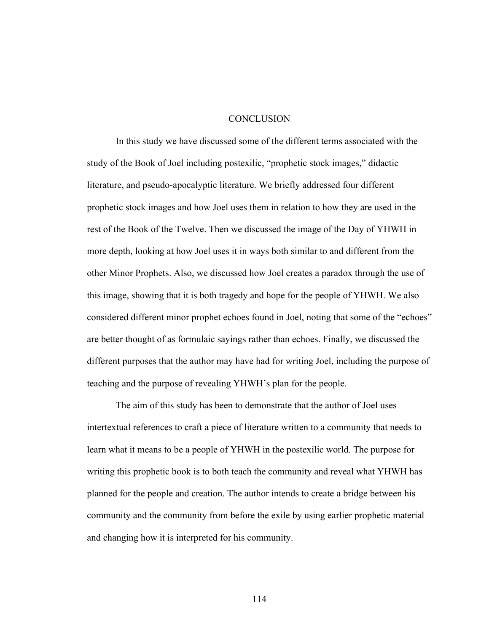## **CONCLUSION**

In this study we have discussed some of the different terms associated with the study of the Book of Joel including postexilic, "prophetic stock images," didactic literature, and pseudo-apocalyptic literature. We briefly addressed four different prophetic stock images and how Joel uses them in relation to how they are used in the rest of the Book of the Twelve. Then we discussed the image of the Day of YHWH in more depth, looking at how Joel uses it in ways both similar to and different from the other Minor Prophets. Also, we discussed how Joel creates a paradox through the use of this image, showing that it is both tragedy and hope for the people of YHWH. We also considered different minor prophet echoes found in Joel, noting that some of the "echoes" are better thought of as formulaic sayings rather than echoes. Finally, we discussed the different purposes that the author may have had for writing Joel, including the purpose of teaching and the purpose of revealing YHWH's plan for the people.

The aim of this study has been to demonstrate that the author of Joel uses intertextual references to craft a piece of literature written to a community that needs to learn what it means to be a people of YHWH in the postexilic world. The purpose for writing this prophetic book is to both teach the community and reveal what YHWH has planned for the people and creation. The author intends to create a bridge between his community and the community from before the exile by using earlier prophetic material and changing how it is interpreted for his community.

114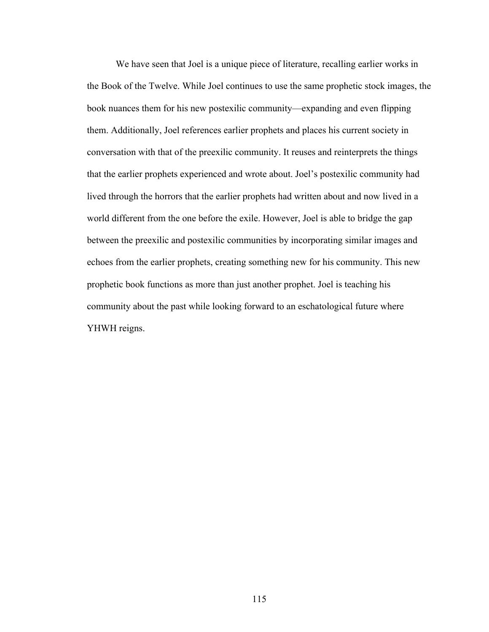We have seen that Joel is a unique piece of literature, recalling earlier works in the Book of the Twelve. While Joel continues to use the same prophetic stock images, the book nuances them for his new postexilic community—expanding and even flipping them. Additionally, Joel references earlier prophets and places his current society in conversation with that of the preexilic community. It reuses and reinterprets the things that the earlier prophets experienced and wrote about. Joel's postexilic community had lived through the horrors that the earlier prophets had written about and now lived in a world different from the one before the exile. However, Joel is able to bridge the gap between the preexilic and postexilic communities by incorporating similar images and echoes from the earlier prophets, creating something new for his community. This new prophetic book functions as more than just another prophet. Joel is teaching his community about the past while looking forward to an eschatological future where YHWH reigns.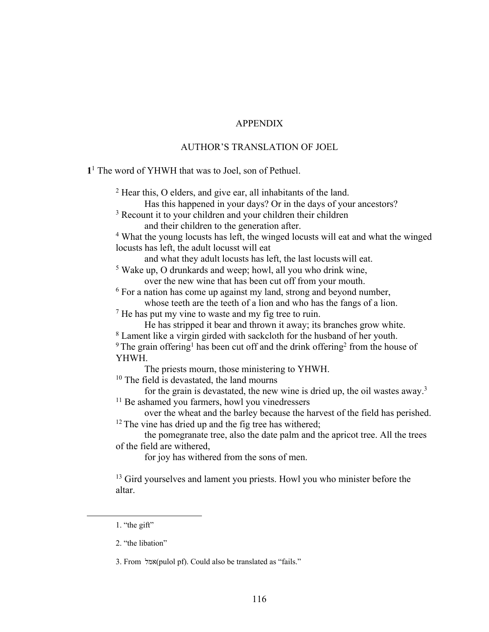# APPENDIX

# AUTHOR'S TRANSLATION OF JOEL

**1**<sup>1</sup> The word of YHWH that was to Joel, son of Pethuel.

<sup>2</sup> Hear this, O elders, and give ear, all inhabitants of the land.

Has this happened in your days? Or in the days of your ancestors?

<sup>3</sup> Recount it to your children and your children their children and their children to the generation after.

<sup>4</sup> What the young locusts has left, the winged locusts will eat and what the winged locusts has left, the adult locusst will eat

and what they adult locusts has left, the last locusts will eat.

<sup>5</sup> Wake up, O drunkards and weep; howl, all you who drink wine, over the new wine that has been cut off from your mouth.

<sup>6</sup> For a nation has come up against my land, strong and beyond number, whose teeth are the teeth of a lion and who has the fangs of a lion.

 $<sup>7</sup>$  He has put my vine to waste and my fig tree to ruin.</sup>

He has stripped it bear and thrown it away; its branches grow white.

<sup>8</sup> Lament like a virgin girded with sackcloth for the husband of her youth.

 $9$  The grain offering<sup>1</sup> has been cut off and the drink offering<sup>2</sup> from the house of YHWH.

The priests mourn, those ministering to YHWH.

<sup>10</sup> The field is devastated, the land mourns

for the grain is devastated, the new wine is dried up, the oil wastes away.<sup>3</sup>

<sup>11</sup> Be ashamed you farmers, howl you vinedressers

over the wheat and the barley because the harvest of the field has perished.  $12$  The vine has dried up and the fig tree has withered;

the pomegranate tree, also the date palm and the apricot tree. All the trees of the field are withered,

for joy has withered from the sons of men.

<sup>13</sup> Gird yourselves and lament you priests. Howl you who minister before the altar.

3. From למא) pulol pf). Could also be translated as "fails."

<sup>1.</sup> "the gift"

<sup>2.</sup> "the libation"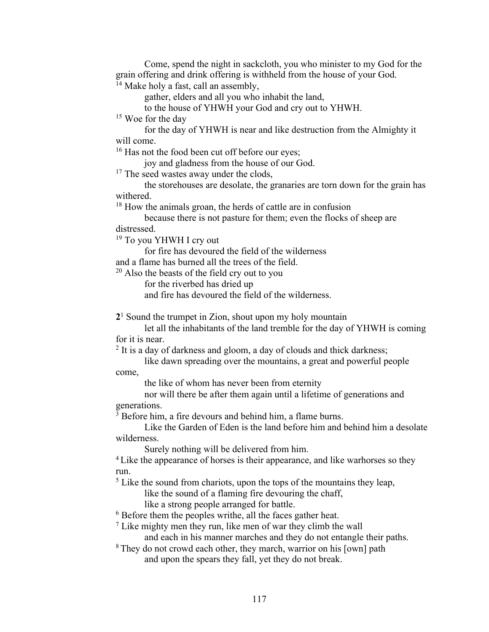Come, spend the night in sackcloth, you who minister to my God for the grain offering and drink offering is withheld from the house of your God. <sup>14</sup> Make holy a fast, call an assembly,

gather, elders and all you who inhabit the land,

to the house of YHWH your God and cry out to YHWH.

<sup>15</sup> Woe for the day

for the day of YHWH is near and like destruction from the Almighty it will come.

<sup>16</sup> Has not the food been cut off before our eyes;

joy and gladness from the house of our God.

<sup>17</sup> The seed wastes away under the clods,

the storehouses are desolate, the granaries are torn down for the grain has withered.

<sup>18</sup> How the animals groan, the herds of cattle are in confusion

because there is not pasture for them; even the flocks of sheep are distressed.

<sup>19</sup> To you YHWH I cry out

for fire has devoured the field of the wilderness

and a flame has burned all the trees of the field.

 $20$  Also the beasts of the field cry out to you

for the riverbed has dried up

and fire has devoured the field of the wilderness.

**2**<sup>1</sup> Sound the trumpet in Zion, shout upon my holy mountain

let all the inhabitants of the land tremble for the day of YHWH is coming for it is near.

 $2$  It is a day of darkness and gloom, a day of clouds and thick darkness;

like dawn spreading over the mountains, a great and powerful people come,

the like of whom has never been from eternity

nor will there be after them again until a lifetime of generations and generations.

<sup>3</sup> Before him, a fire devours and behind him, a flame burns.

Like the Garden of Eden is the land before him and behind him a desolate wilderness.

Surely nothing will be delivered from him.

<sup>4</sup> Like the appearance of horses is their appearance, and like warhorses so they run.

 $<sup>5</sup>$  Like the sound from chariots, upon the tops of the mountains they leap,</sup>

like the sound of a flaming fire devouring the chaff,

like a strong people arranged for battle.

<sup>6</sup> Before them the peoples writhe, all the faces gather heat.

 $<sup>7</sup>$  Like mighty men they run, like men of war they climb the wall</sup>

and each in his manner marches and they do not entangle their paths.

<sup>8</sup> They do not crowd each other, they march, warrior on his [own] path

and upon the spears they fall, yet they do not break.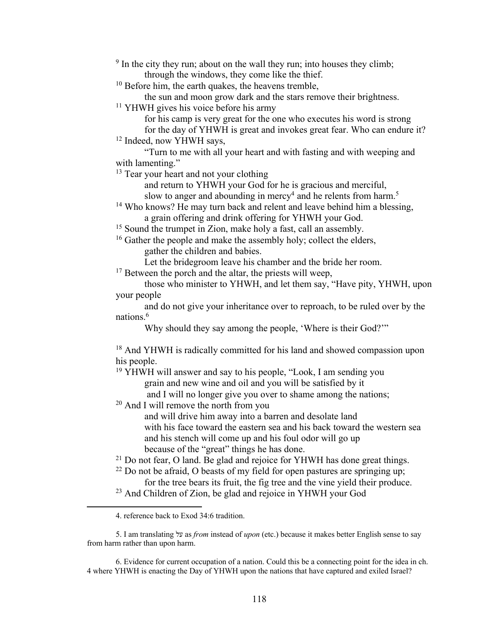$9 \text{ In the city they run; about on the wall they run; into houses they climb;}$ through the windows, they come like the thief.

<sup>10</sup> Before him, the earth quakes, the heavens tremble,

the sun and moon grow dark and the stars remove their brightness.

<sup>11</sup> YHWH gives his voice before his army

for his camp is very great for the one who executes his word is strong

for the day of YHWH is great and invokes great fear. Who can endure it? <sup>12</sup> Indeed, now YHWH says,

"Turn to me with all your heart and with fasting and with weeping and with lamenting."

<sup>13</sup> Tear your heart and not your clothing

and return to YHWH your God for he is gracious and merciful,

slow to anger and abounding in mercy<sup>4</sup> and he relents from harm.<sup>5</sup>

<sup>14</sup> Who knows? He may turn back and relent and leave behind him a blessing, a grain offering and drink offering for YHWH your God.

<sup>15</sup> Sound the trumpet in Zion, make holy a fast, call an assembly.

<sup>16</sup> Gather the people and make the assembly holy; collect the elders,

gather the children and babies.

Let the bridegroom leave his chamber and the bride her room.

 $17$  Between the porch and the altar, the priests will weep,

those who minister to YHWH, and let them say, "Have pity, YHWH, upon your people

and do not give your inheritance over to reproach, to be ruled over by the nations.6

Why should they say among the people, 'Where is their God?'"

<sup>18</sup> And YHWH is radically committed for his land and showed compassion upon his people.

<sup>19</sup> YHWH will answer and say to his people, "Look, I am sending you grain and new wine and oil and you will be satisfied by it

and I will no longer give you over to shame among the nations;

<sup>20</sup> And I will remove the north from you

and will drive him away into a barren and desolate land with his face toward the eastern sea and his back toward the western sea and his stench will come up and his foul odor will go up because of the "great" things he has done.

 $21$  Do not fear, O land. Be glad and rejoice for YHWH has done great things.

- $22$  Do not be afraid, O beasts of my field for open pastures are springing up; for the tree bears its fruit, the fig tree and the vine yield their produce.
- <sup>23</sup> And Children of Zion, be glad and rejoice in YHWH your God

6. Evidence for current occupation of a nation. Could this be a connecting point for the idea in ch. 4 where YHWH is enacting the Day of YHWH upon the nations that have captured and exiled Israel?

<sup>4.</sup> reference back to Exod 34:6 tradition.

<sup>5.</sup> I am translating לע as *from* instead of *upon* (etc.) because it makes better English sense to say from harm rather than upon harm.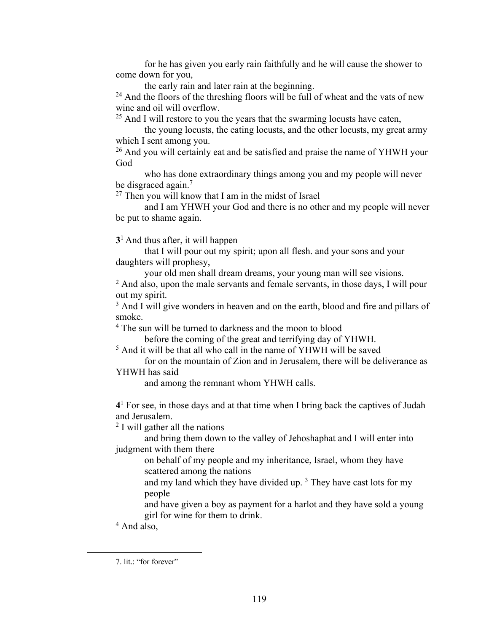for he has given you early rain faithfully and he will cause the shower to come down for you,

the early rain and later rain at the beginning.

 $24$  And the floors of the threshing floors will be full of wheat and the vats of new wine and oil will overflow.

 $25$  And I will restore to you the years that the swarming locusts have eaten,

the young locusts, the eating locusts, and the other locusts, my great army which I sent among you.

<sup>26</sup> And you will certainly eat and be satisfied and praise the name of YHWH your God

who has done extraordinary things among you and my people will never be disgraced again.<sup>7</sup>

 $27$  Then you will know that I am in the midst of Israel

and I am YHWH your God and there is no other and my people will never be put to shame again.

**3**1 And thus after, it will happen

that I will pour out my spirit; upon all flesh. and your sons and your daughters will prophesy,

your old men shall dream dreams, your young man will see visions.

 $<sup>2</sup>$  And also, upon the male servants and female servants, in those days, I will pour</sup> out my spirit.

<sup>3</sup> And I will give wonders in heaven and on the earth, blood and fire and pillars of smoke.

<sup>4</sup> The sun will be turned to darkness and the moon to blood

before the coming of the great and terrifying day of YHWH.

<sup>5</sup> And it will be that all who call in the name of YHWH will be saved

for on the mountain of Zion and in Jerusalem, there will be deliverance as YHWH has said

and among the remnant whom YHWH calls.

**4**<sup>1</sup> For see, in those days and at that time when I bring back the captives of Judah and Jerusalem.

<sup>2</sup> I will gather all the nations

and bring them down to the valley of Jehoshaphat and I will enter into judgment with them there

on behalf of my people and my inheritance, Israel, whom they have scattered among the nations

and my land which they have divided up. 3 They have cast lots for my people

and have given a boy as payment for a harlot and they have sold a young girl for wine for them to drink.

<sup>4</sup> And also,

<sup>7.</sup> lit.: "for forever"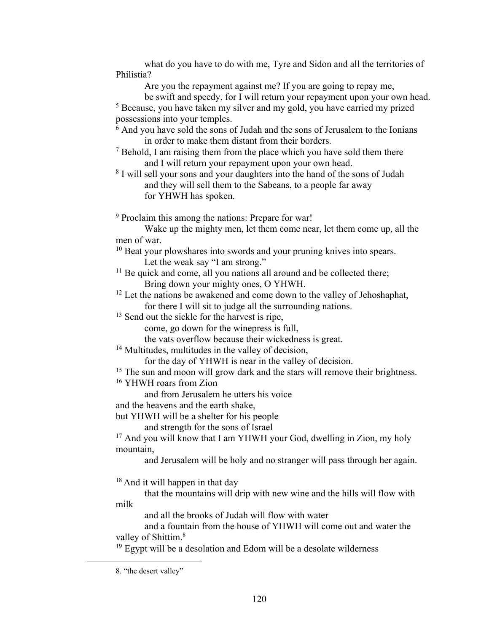what do you have to do with me, Tyre and Sidon and all the territories of Philistia?

Are you the repayment against me? If you are going to repay me,

be swift and speedy, for I will return your repayment upon your own head.

<sup>5</sup> Because, you have taken my silver and my gold, you have carried my prized possessions into your temples.

 $6$  And you have sold the sons of Judah and the sons of Jerusalem to the Ionians in order to make them distant from their borders.

- <sup>7</sup> Behold, I am raising them from the place which you have sold them there and I will return your repayment upon your own head.
- <sup>8</sup> I will sell your sons and your daughters into the hand of the sons of Judah and they will sell them to the Sabeans, to a people far away for YHWH has spoken.

<sup>9</sup> Proclaim this among the nations: Prepare for war!

Wake up the mighty men, let them come near, let them come up, all the men of war.

<sup>10</sup> Beat your plowshares into swords and your pruning knives into spears. Let the weak say "I am strong."

- $11$  Be quick and come, all you nations all around and be collected there; Bring down your mighty ones, O YHWH.
- <sup>12</sup> Let the nations be awakened and come down to the valley of Jehoshaphat, for there I will sit to judge all the surrounding nations.

<sup>13</sup> Send out the sickle for the harvest is ripe,

come, go down for the winepress is full,

the vats overflow because their wickedness is great.

<sup>14</sup> Multitudes, multitudes in the valley of decision,

for the day of YHWH is near in the valley of decision.

<sup>15</sup> The sun and moon will grow dark and the stars will remove their brightness.

<sup>16</sup> YHWH roars from Zion

and from Jerusalem he utters his voice

and the heavens and the earth shake,

but YHWH will be a shelter for his people

and strength for the sons of Israel

<sup>17</sup> And you will know that I am YHWH your God, dwelling in Zion, my holy mountain,

and Jerusalem will be holy and no stranger will pass through her again.

<sup>18</sup> And it will happen in that day

that the mountains will drip with new wine and the hills will flow with milk

and all the brooks of Judah will flow with water

and a fountain from the house of YHWH will come out and water the valley of Shittim.<sup>8</sup>

 $19$  Egypt will be a desolation and Edom will be a desolate wilderness

<sup>8.</sup> "the desert valley"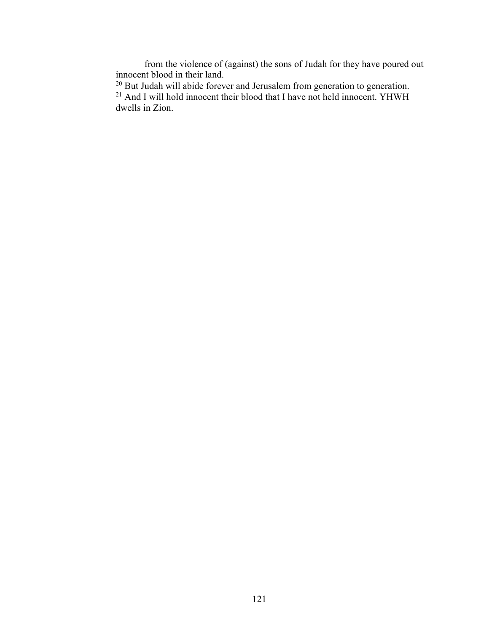from the violence of (against) the sons of Judah for they have poured out innocent blood in their land.

 $20$  But Judah will abide forever and Jerusalem from generation to generation.  $21$  And I will hold innocent their blood that I have not held innocent. YHWH dwells in Zion.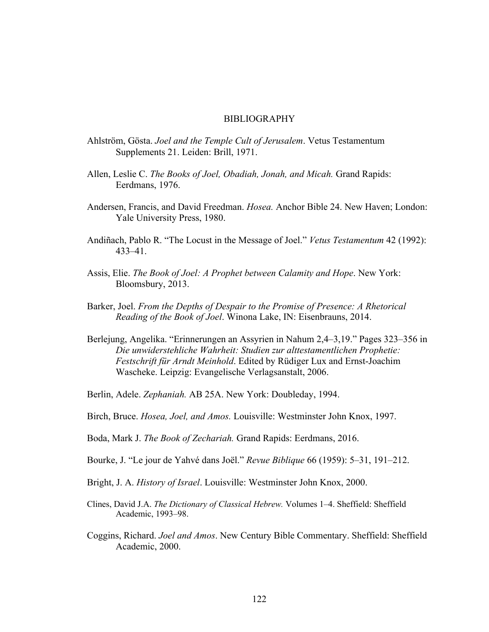#### BIBLIOGRAPHY

- Ahlström, Gösta. *Joel and the Temple Cult of Jerusalem*. Vetus Testamentum Supplements 21. Leiden: Brill, 1971.
- Allen, Leslie C. *The Books of Joel, Obadiah, Jonah, and Micah.* Grand Rapids: Eerdmans, 1976.
- Andersen, Francis, and David Freedman. *Hosea.* Anchor Bible 24. New Haven; London: Yale University Press, 1980.
- Andiñach, Pablo R. "The Locust in the Message of Joel." *Vetus Testamentum* 42 (1992): 433–41.
- Assis, Elie. *The Book of Joel: A Prophet between Calamity and Hope*. New York: Bloomsbury, 2013.
- Barker, Joel. *From the Depths of Despair to the Promise of Presence: A Rhetorical Reading of the Book of Joel*. Winona Lake, IN: Eisenbrauns, 2014.
- Berlejung, Angelika. "Erinnerungen an Assyrien in Nahum 2,4–3,19." Pages 323–356 in *Die unwiderstehliche Wahrheit: Studien zur alttestamentlichen Prophetie: Festschrift für Arndt Meinhold*. Edited by Rüdiger Lux and Ernst-Joachim Wascheke. Leipzig: Evangelische Verlagsanstalt, 2006.
- Berlin, Adele. *Zephaniah.* AB 25A. New York: Doubleday, 1994.
- Birch, Bruce. *Hosea, Joel, and Amos.* Louisville: Westminster John Knox, 1997.
- Boda, Mark J. *The Book of Zechariah.* Grand Rapids: Eerdmans, 2016.
- Bourke, J. "Le jour de Yahvé dans Joël." *Revue Biblique* 66 (1959): 5–31, 191–212.
- Bright, J. A. *History of Israel*. Louisville: Westminster John Knox, 2000.
- Clines, David J.A. *The Dictionary of Classical Hebrew.* Volumes 1–4. Sheffield: Sheffield Academic, 1993–98.
- Coggins, Richard. *Joel and Amos*. New Century Bible Commentary. Sheffield: Sheffield Academic, 2000.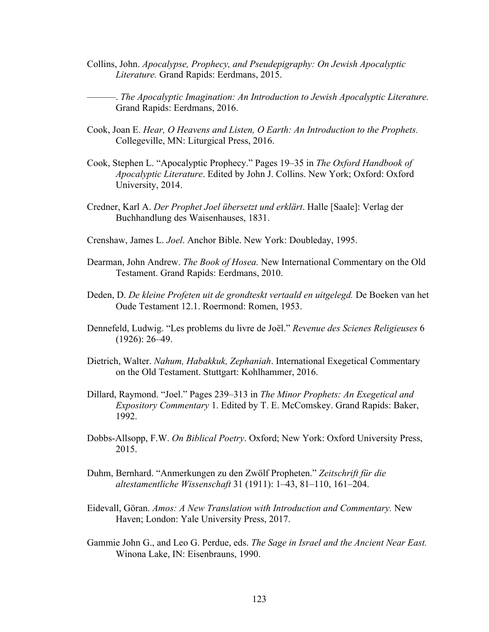Collins, John. *Apocalypse, Prophecy, and Pseudepigraphy: On Jewish Apocalyptic Literature.* Grand Rapids: Eerdmans, 2015.

———. *The Apocalyptic Imagination: An Introduction to Jewish Apocalyptic Literature.*  Grand Rapids: Eerdmans, 2016.

- Cook, Joan E. *Hear, O Heavens and Listen, O Earth: An Introduction to the Prophets.*  Collegeville, MN: Liturgical Press, 2016.
- Cook, Stephen L. "Apocalyptic Prophecy." Pages 19–35 in *The Oxford Handbook of Apocalyptic Literature*. Edited by John J. Collins. New York; Oxford: Oxford University, 2014.
- Credner, Karl A. *Der Prophet Joel übersetzt und erklärt*. Halle [Saale]: Verlag der Buchhandlung des Waisenhauses, 1831.
- Crenshaw, James L. *Joel*. Anchor Bible. New York: Doubleday, 1995.
- Dearman, John Andrew. *The Book of Hosea.* New International Commentary on the Old Testament. Grand Rapids: Eerdmans, 2010.
- Deden, D. *De kleine Profeten uit de grondteskt vertaald en uitgelegd.* De Boeken van het Oude Testament 12.1. Roermond: Romen, 1953.
- Dennefeld, Ludwig. "Les problems du livre de Joël." *Revenue des Scienes Religieuses* 6 (1926): 26–49.
- Dietrich, Walter. *Nahum, Habakkuk, Zephaniah*. International Exegetical Commentary on the Old Testament. Stuttgart: Kohlhammer, 2016.
- Dillard, Raymond. "Joel." Pages 239–313 in *The Minor Prophets: An Exegetical and Expository Commentary* 1. Edited by T. E. McComskey. Grand Rapids: Baker, 1992.
- Dobbs-Allsopp, F.W. *On Biblical Poetry*. Oxford; New York: Oxford University Press, 2015.
- Duhm, Bernhard. "Anmerkungen zu den Zwölf Propheten." *Zeitschrift für die altestamentliche Wissenschaft* 31 (1911): 1–43, 81–110, 161–204.
- Eidevall, Göran. *Amos: A New Translation with Introduction and Commentary.* New Haven; London: Yale University Press, 2017.
- Gammie John G., and Leo G. Perdue, eds. *The Sage in Israel and the Ancient Near East.*  Winona Lake, IN: Eisenbrauns, 1990.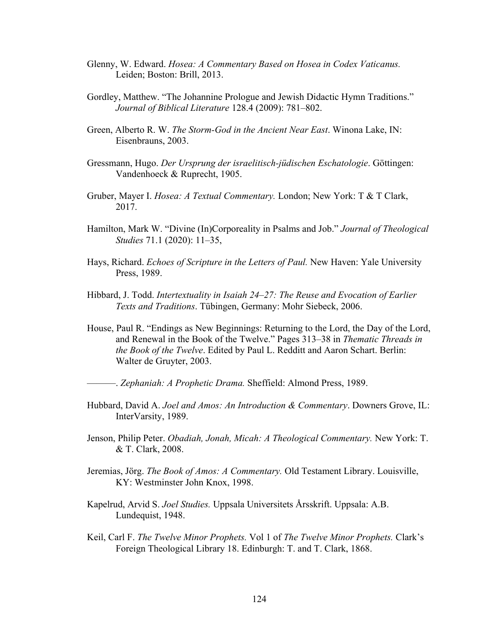- Glenny, W. Edward. *Hosea: A Commentary Based on Hosea in Codex Vaticanus.* Leiden; Boston: Brill, 2013.
- Gordley, Matthew. "The Johannine Prologue and Jewish Didactic Hymn Traditions." *Journal of Biblical Literature* 128.4 (2009): 781–802.
- Green, Alberto R. W. *The Storm-God in the Ancient Near East*. Winona Lake, IN: Eisenbrauns, 2003.
- Gressmann, Hugo. *Der Ursprung der israelitisch-jüdischen Eschatologie*. Göttingen: Vandenhoeck & Ruprecht, 1905.
- Gruber, Mayer I. *Hosea: A Textual Commentary.* London; New York: T & T Clark, 2017.
- Hamilton, Mark W. "Divine (In)Corporeality in Psalms and Job." *Journal of Theological Studies* 71.1 (2020): 11–35,
- Hays, Richard. *Echoes of Scripture in the Letters of Paul.* New Haven: Yale University Press, 1989.
- Hibbard, J. Todd. *Intertextuality in Isaiah 24–27: The Reuse and Evocation of Earlier Texts and Traditions*. Tübingen, Germany: Mohr Siebeck, 2006.
- House, Paul R. "Endings as New Beginnings: Returning to the Lord, the Day of the Lord, and Renewal in the Book of the Twelve." Pages 313–38 in *Thematic Threads in the Book of the Twelve*. Edited by Paul L. Redditt and Aaron Schart. Berlin: Walter de Gruyter, 2003.

———. *Zephaniah: A Prophetic Drama.* Sheffield: Almond Press, 1989.

- Hubbard, David A. *Joel and Amos: An Introduction & Commentary*. Downers Grove, IL: InterVarsity, 1989.
- Jenson, Philip Peter. *Obadiah, Jonah, Micah: A Theological Commentary.* New York: T. & T. Clark, 2008.
- Jeremias, Jörg. *The Book of Amos: A Commentary.* Old Testament Library. Louisville, KY: Westminster John Knox, 1998.
- Kapelrud, Arvid S. *Joel Studies.* Uppsala Universitets Årsskrift. Uppsala: A.B. Lundequist, 1948.
- Keil, Carl F. *The Twelve Minor Prophets.* Vol 1 of *The Twelve Minor Prophets.* Clark's Foreign Theological Library 18. Edinburgh: T. and T. Clark, 1868.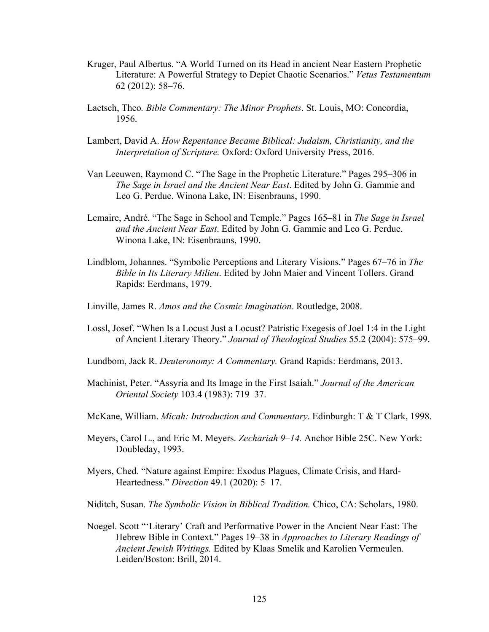- Kruger, Paul Albertus. "A World Turned on its Head in ancient Near Eastern Prophetic Literature: A Powerful Strategy to Depict Chaotic Scenarios." *Vetus Testamentum* 62 (2012): 58–76.
- Laetsch, Theo*. Bible Commentary: The Minor Prophets*. St. Louis, MO: Concordia, 1956.
- Lambert, David A. *How Repentance Became Biblical: Judaism, Christianity, and the Interpretation of Scripture.* Oxford: Oxford University Press, 2016.
- Van Leeuwen, Raymond C. "The Sage in the Prophetic Literature." Pages 295–306 in *The Sage in Israel and the Ancient Near East*. Edited by John G. Gammie and Leo G. Perdue. Winona Lake, IN: Eisenbrauns, 1990.
- Lemaire, André. "The Sage in School and Temple." Pages 165–81 in *The Sage in Israel and the Ancient Near East*. Edited by John G. Gammie and Leo G. Perdue. Winona Lake, IN: Eisenbrauns, 1990.
- Lindblom, Johannes. "Symbolic Perceptions and Literary Visions." Pages 67–76 in *The Bible in Its Literary Milieu*. Edited by John Maier and Vincent Tollers. Grand Rapids: Eerdmans, 1979.
- Linville, James R. *Amos and the Cosmic Imagination*. Routledge, 2008.
- Lossl, Josef. "When Is a Locust Just a Locust? Patristic Exegesis of Joel 1:4 in the Light of Ancient Literary Theory." *Journal of Theological Studies* 55.2 (2004): 575–99.
- Lundbom, Jack R. *Deuteronomy: A Commentary.* Grand Rapids: Eerdmans, 2013.
- Machinist, Peter. "Assyria and Its Image in the First Isaiah." *Journal of the American Oriental Society* 103.4 (1983): 719–37.
- McKane, William. *Micah: Introduction and Commentary*. Edinburgh: T & T Clark, 1998.
- Meyers, Carol L., and Eric M. Meyers. *Zechariah 9–14.* Anchor Bible 25C. New York: Doubleday, 1993.
- Myers, Ched. "Nature against Empire: Exodus Plagues, Climate Crisis, and Hard-Heartedness." *Direction* 49.1 (2020): 5–17.
- Niditch, Susan. *The Symbolic Vision in Biblical Tradition.* Chico, CA: Scholars, 1980.
- Noegel. Scott "'Literary' Craft and Performative Power in the Ancient Near East: The Hebrew Bible in Context." Pages 19–38 in *Approaches to Literary Readings of Ancient Jewish Writings.* Edited by Klaas Smelik and Karolien Vermeulen. Leiden/Boston: Brill, 2014.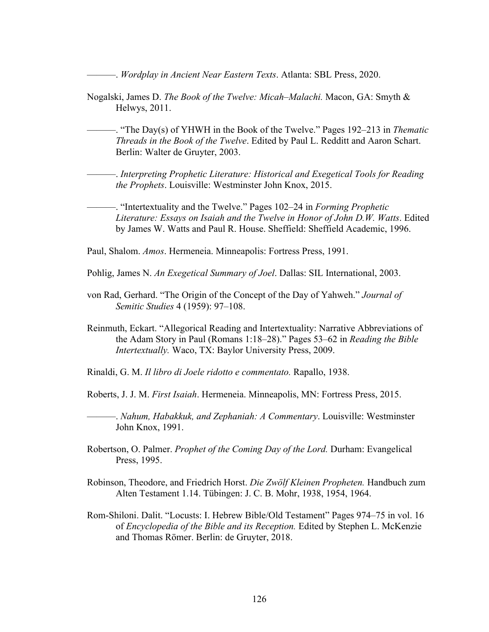———. *Wordplay in Ancient Near Eastern Texts*. Atlanta: SBL Press, 2020.

- Nogalski, James D. *The Book of the Twelve: Micah–Malachi.* Macon, GA: Smyth & Helwys, 2011.
	- ———. "The Day(s) of YHWH in the Book of the Twelve." Pages 192–213 in *Thematic Threads in the Book of the Twelve*. Edited by Paul L. Redditt and Aaron Schart. Berlin: Walter de Gruyter, 2003.

———. *Interpreting Prophetic Literature: Historical and Exegetical Tools for Reading the Prophets*. Louisville: Westminster John Knox, 2015.

———. "Intertextuality and the Twelve." Pages 102–24 in *Forming Prophetic Literature: Essays on Isaiah and the Twelve in Honor of John D.W. Watts*. Edited by James W. Watts and Paul R. House. Sheffield: Sheffield Academic, 1996.

Paul, Shalom. *Amos*. Hermeneia. Minneapolis: Fortress Press, 1991.

- Pohlig, James N. *An Exegetical Summary of Joel*. Dallas: SIL International, 2003.
- von Rad, Gerhard. "The Origin of the Concept of the Day of Yahweh." *Journal of Semitic Studies* 4 (1959): 97–108.
- Reinmuth, Eckart. "Allegorical Reading and Intertextuality: Narrative Abbreviations of the Adam Story in Paul (Romans 1:18–28)." Pages 53–62 in *Reading the Bible Intertextually.* Waco, TX: Baylor University Press, 2009.
- Rinaldi, G. M. *Il libro di Joele ridotto e commentato.* Rapallo, 1938.
- Roberts, J. J. M. *First Isaiah*. Hermeneia. Minneapolis, MN: Fortress Press, 2015.

———. *Nahum, Habakkuk, and Zephaniah: A Commentary*. Louisville: Westminster John Knox, 1991.

- Robertson, O. Palmer. *Prophet of the Coming Day of the Lord.* Durham: Evangelical Press, 1995.
- Robinson, Theodore, and Friedrich Horst. *Die Zwölf Kleinen Propheten.* Handbuch zum Alten Testament 1.14. Tübingen: J. C. B. Mohr, 1938, 1954, 1964.
- Rom-Shiloni. Dalit. "Locusts: I. Hebrew Bible/Old Testament" Pages 974–75 in vol. 16 of *Encyclopedia of the Bible and its Reception.* Edited by Stephen L. McKenzie and Thomas Römer. Berlin: de Gruyter, 2018.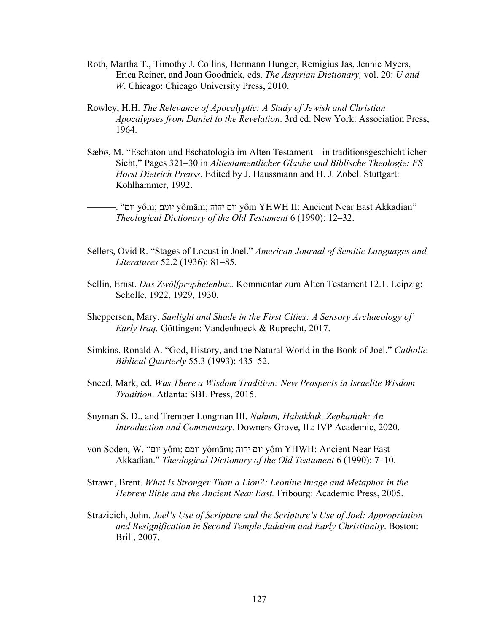- Roth, Martha T., Timothy J. Collins, Hermann Hunger, Remigius Jas, Jennie Myers, Erica Reiner, and Joan Goodnick, eds. *The Assyrian Dictionary,* vol. 20: *U and W*. Chicago: Chicago University Press, 2010.
- Rowley, H.H. *The Relevance of Apocalyptic: A Study of Jewish and Christian Apocalypses from Daniel to the Revelation*. 3rd ed. New York: Association Press, 1964.
- Sæbø, M. "Eschaton und Eschatologia im Alten Testament—in traditionsgeschichtlicher Sicht," Pages 321–30 in *Alttestamentlicher Glaube und Biblische Theologie: FS Horst Dietrich Preuss*. Edited by J. Haussmann and H. J. Zobel. Stuttgart: Kohlhammer, 1992.

———. " םוי yôm; םמוי yômām; םוי הוהי yôm YHWH II: Ancient Near East Akkadian" *Theological Dictionary of the Old Testament* 6 (1990): 12–32.

- Sellers, Ovid R. "Stages of Locust in Joel." *American Journal of Semitic Languages and Literatures* 52.2 (1936): 81–85.
- Sellin, Ernst. *Das Zwölfprophetenbuc.* Kommentar zum Alten Testament 12.1. Leipzig: Scholle, 1922, 1929, 1930.
- Shepperson, Mary. *Sunlight and Shade in the First Cities: A Sensory Archaeology of Early Iraq.* Göttingen: Vandenhoeck & Ruprecht, 2017.
- Simkins, Ronald A. "God, History, and the Natural World in the Book of Joel." *Catholic Biblical Quarterly* 55.3 (1993): 435–52.
- Sneed, Mark, ed. *Was There a Wisdom Tradition: New Prospects in Israelite Wisdom Tradition*. Atlanta: SBL Press, 2015.
- Snyman S. D., and Tremper Longman III. *Nahum, Habakkuk, Zephaniah: An Introduction and Commentary.* Downers Grove, IL: IVP Academic, 2020.
- von Soden, W. " םוי yôm; םמוי yômām; םוי הוהי yôm YHWH: Ancient Near East Akkadian." *Theological Dictionary of the Old Testament* 6 (1990): 7–10.
- Strawn, Brent. *What Is Stronger Than a Lion?: Leonine Image and Metaphor in the Hebrew Bible and the Ancient Near East.* Fribourg: Academic Press, 2005.
- Strazicich, John. *Joel's Use of Scripture and the Scripture's Use of Joel: Appropriation and Resignification in Second Temple Judaism and Early Christianity*. Boston: Brill, 2007.